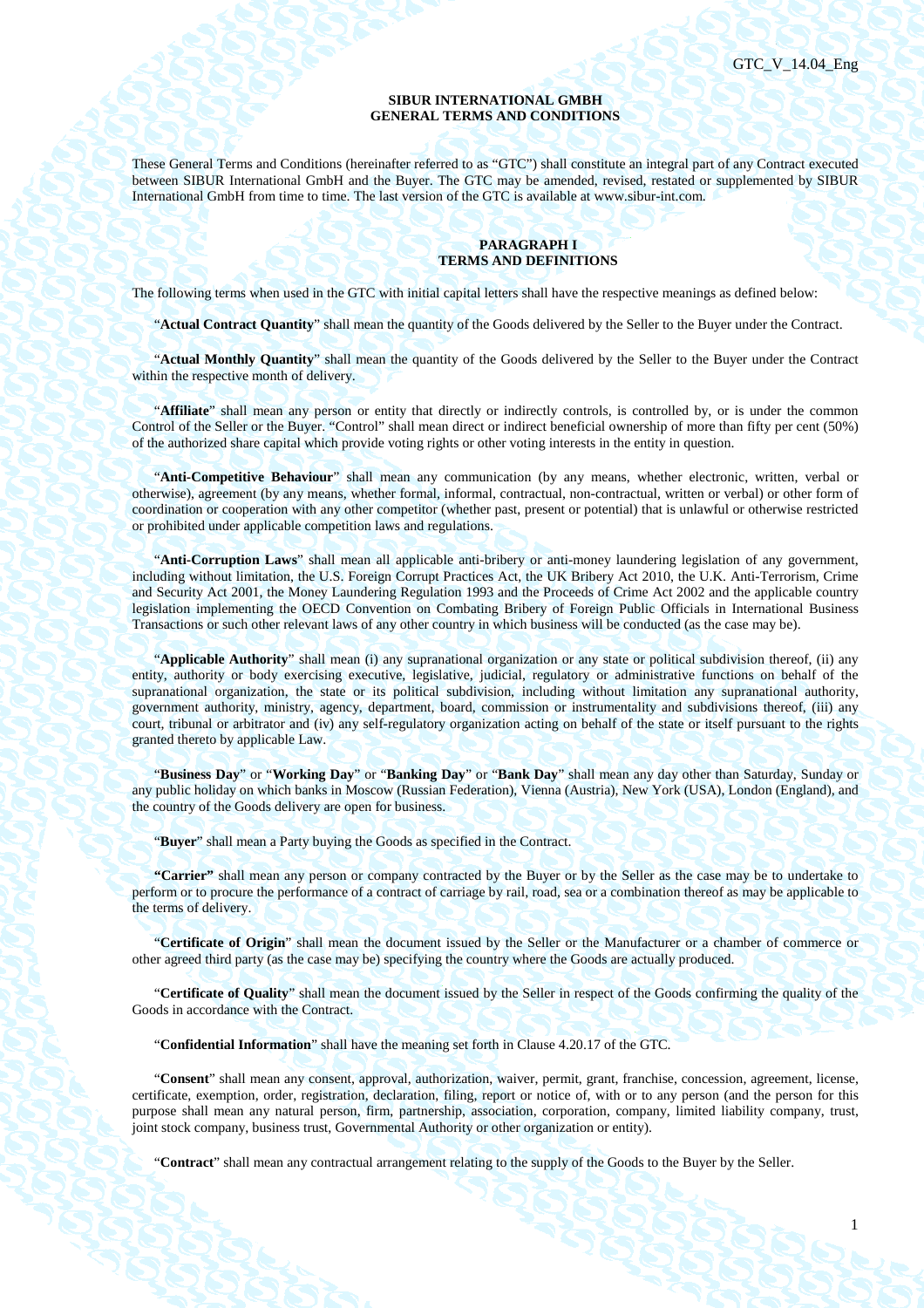1

### **SIBUR INTERNATIONAL GMBH GENERAL TERMS AND CONDITIONS**

These General Terms and Conditions (hereinafter referred to as "GTC") shall constitute an integral part of any Contract executed between SIBUR International GmbH and the Buyer. The GTC may be amended, revised, restated or supplemented by SIBUR International GmbH from time to time. The last version of the GTC is available at www.sibur-int.com.

## **PARAGRAPH I TERMS AND DEFINITIONS**

The following terms when used in the GTC with initial capital letters shall have the respective meanings as defined below:

"**Actual Contract Quantity**" shall mean the quantity of the Goods delivered by the Seller to the Buyer under the Contract.

"**Actual Monthly Quantity**" shall mean the quantity of the Goods delivered by the Seller to the Buyer under the Contract within the respective month of delivery.

"**Affiliate**" shall mean any person or entity that directly or indirectly controls, is controlled by, or is under the common Control of the Seller or the Buyer. "Control" shall mean direct or indirect beneficial ownership of more than fifty per cent (50%) of the authorized share capital which provide voting rights or other voting interests in the entity in question.

"**Anti-Competitive Behaviour**" shall mean any communication (by any means, whether electronic, written, verbal or otherwise), agreement (by any means, whether formal, informal, contractual, non-contractual, written or verbal) or other form of coordination or cooperation with any other competitor (whether past, present or potential) that is unlawful or otherwise restricted or prohibited under applicable competition laws and regulations.

"**Anti-Corruption Laws**" shall mean all applicable anti-bribery or anti-money laundering legislation of any government, including without limitation, the U.S. Foreign Corrupt Practices Act, the UK Bribery Act 2010, the U.K. Anti-Terrorism, Crime and Security Act 2001, the Money Laundering Regulation 1993 and the Proceeds of Crime Act 2002 and the applicable country legislation implementing the OECD Convention on Combating Bribery of Foreign Public Officials in International Business Transactions or such other relevant laws of any other country in which business will be conducted (as the case may be).

"**Applicable Authority**" shall mean (i) any supranational organization or any state or political subdivision thereof, (ii) any entity, authority or body exercising executive, legislative, judicial, regulatory or administrative functions on behalf of the supranational organization, the state or its political subdivision, including without limitation any supranational authority, government authority, ministry, agency, department, board, commission or instrumentality and subdivisions thereof, (iii) any court, tribunal or arbitrator and (iv) any self-regulatory organization acting on behalf of the state or itself pursuant to the rights granted thereto by applicable Law.

"**Business Day**" or "**Working Day**" or "**Banking Day**" or "**Bank Day**" shall mean any day other than Saturday, Sunday or any public holiday on which banks in Moscow (Russian Federation), Vienna (Austria), New York (USA), London (England), and the country of the Goods delivery are open for business.

"**Buyer**" shall mean a Party buying the Goods as specified in the Contract.

**"Carrier"** shall mean any person or company contracted by the Buyer or by the Seller as the case may be to undertake to perform or to procure the performance of a contract of carriage by rail, road, sea or a combination thereof as may be applicable to the terms of delivery.

"**Certificate of Origin**" shall mean the document issued by the Seller or the Manufacturer or a chamber of commerce or other agreed third party (as the case may be) specifying the country where the Goods are actually produced.

"**Certificate of Quality**" shall mean the document issued by the Seller in respect of the Goods confirming the quality of the Goods in accordance with the Contract.

"**Confidential Information**" shall have the meaning set forth in Clause 4.20.17 of the GTC.

"**Consent**" shall mean any consent, approval, authorization, waiver, permit, grant, franchise, concession, agreement, license, certificate, exemption, order, registration, declaration, filing, report or notice of, with or to any person (and the person for this purpose shall mean any natural person, firm, partnership, association, corporation, company, limited liability company, trust, joint stock company, business trust, Governmental Authority or other organization or entity).

"**Contract**" shall mean any contractual arrangement relating to the supply of the Goods to the Buyer by the Seller.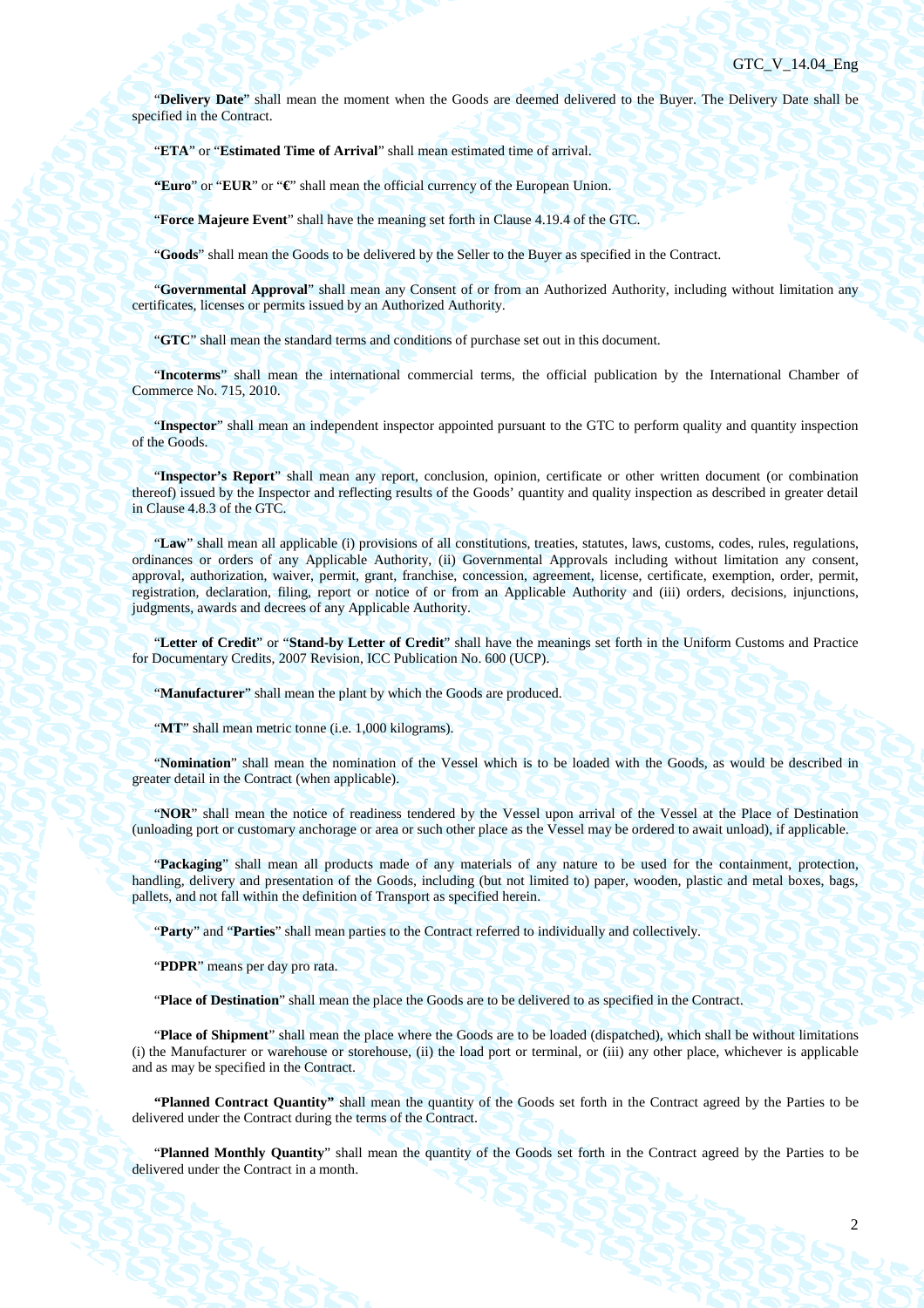"**Delivery Date**" shall mean the moment when the Goods are deemed delivered to the Buyer. The Delivery Date shall be specified in the Contract.

"**ETA**" or "**Estimated Time of Arrival**" shall mean estimated time of arrival.

**"Euro**" or "**EUR**" or "**€**" shall mean the official currency of the European Union.

"**Force Majeure Event**" shall have the meaning set forth in Clause 4.19.4 of the GTC.

"**Goods**" shall mean the Goods to be delivered by the Seller to the Buyer as specified in the Contract.

"**Governmental Approval**" shall mean any Consent of or from an Authorized Authority, including without limitation any certificates, licenses or permits issued by an Authorized Authority.

"**GTC**" shall mean the standard terms and conditions of purchase set out in this document.

"**Incoterms**" shall mean the international commercial terms, the official publication by the International Chamber of Commerce No. 715, 2010.

"**Inspector**" shall mean an independent inspector appointed pursuant to the GTC to perform quality and quantity inspection of the Goods.

"**Inspector's Report**" shall mean any report, conclusion, opinion, certificate or other written document (or combination thereof) issued by the Inspector and reflecting results of the Goods' quantity and quality inspection as described in greater detail in Clause 4.8.3 of the GTC.

"**Law**" shall mean all applicable (i) provisions of all constitutions, treaties, statutes, laws, customs, codes, rules, regulations, ordinances or orders of any Applicable Authority, (ii) Governmental Approvals including without limitation any consent, approval, authorization, waiver, permit, grant, franchise, concession, agreement, license, certificate, exemption, order, permit, registration, declaration, filing, report or notice of or from an Applicable Authority and (iii) orders, decisions, injunctions, judgments, awards and decrees of any Applicable Authority.

"**Letter of Credit**" or "**Stand-by Letter of Credit**" shall have the meanings set forth in the Uniform Customs and Practice for Documentary Credits, 2007 Revision, ICC Publication No. 600 (UCP).

"**Manufacturer**" shall mean the plant by which the Goods are produced.

"**MT**" shall mean metric tonne (i.e. 1,000 kilograms).

"**Nomination**" shall mean the nomination of the Vessel which is to be loaded with the Goods, as would be described in greater detail in the Contract (when applicable).

"**NOR**" shall mean the notice of readiness tendered by the Vessel upon arrival of the Vessel at the Place of Destination (unloading port or customary anchorage or area or such other place as the Vessel may be ordered to await unload), if applicable.

"**Packaging**" shall mean all products made of any materials of any nature to be used for the containment, protection, handling, delivery and presentation of the Goods, including (but not limited to) paper, wooden, plastic and metal boxes, bags, pallets, and not fall within the definition of Transport as specified herein.

"**Party**" and "**Parties**" shall mean parties to the Contract referred to individually and collectively.

"**PDPR**" means per day pro rata.

"**Place of Destination**" shall mean the place the Goods are to be delivered to as specified in the Contract.

"**Place of Shipment**" shall mean the place where the Goods are to be loaded (dispatched), which shall be without limitations (i) the Manufacturer or warehouse or storehouse, (ii) the load port or terminal, or (iii) any other place, whichever is applicable and as may be specified in the Contract.

**"Planned Contract Quantity"** shall mean the quantity of the Goods set forth in the Contract agreed by the Parties to be delivered under the Contract during the terms of the Contract.

"**Planned Monthly Quantity**" shall mean the quantity of the Goods set forth in the Contract agreed by the Parties to be delivered under the Contract in a month.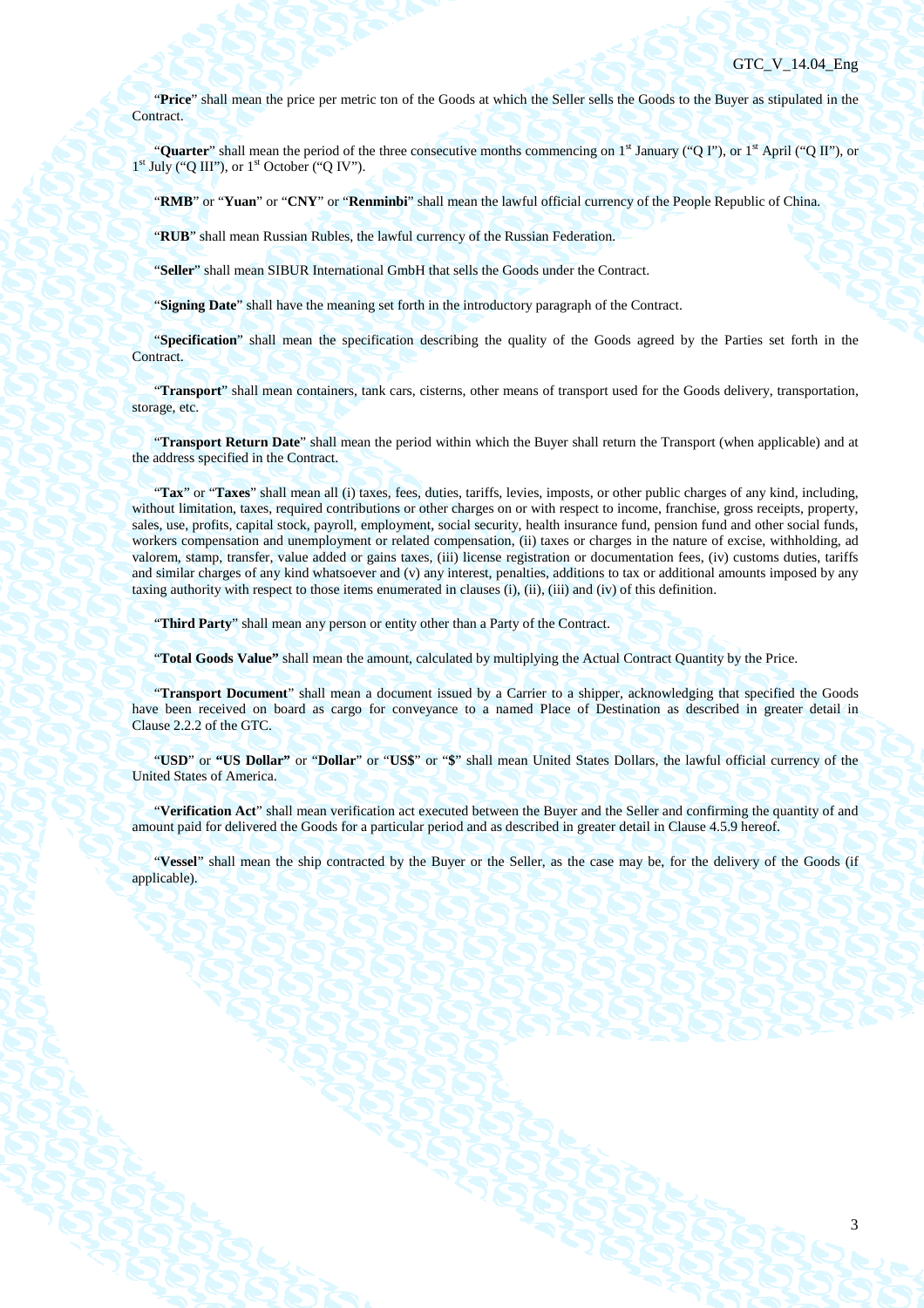"**Price**" shall mean the price per metric ton of the Goods at which the Seller sells the Goods to the Buyer as stipulated in the Contract.

"**Quarter**" shall mean the period of the three consecutive months commencing on 1<sup>st</sup> January ("Q I"), or 1<sup>st</sup> April ("Q II"), or 1<sup>st</sup> July ("Q III"), or 1<sup>st</sup> October ("Q IV").

"**RMB**" or "**Yuan**" or "**CNY**" or "**Renminbi**" shall mean the lawful official currency of the People Republic of China.

"**RUB**" shall mean Russian Rubles, the lawful currency of the Russian Federation.

"**Seller**" shall mean SIBUR International GmbH that sells the Goods under the Contract.

"**Signing Date**" shall have the meaning set forth in the introductory paragraph of the Contract.

"**Specification**" shall mean the specification describing the quality of the Goods agreed by the Parties set forth in the Contract.

"**Transport**" shall mean containers, tank cars, cisterns, other means of transport used for the Goods delivery, transportation, storage, etc.

"**Transport Return Date**" shall mean the period within which the Buyer shall return the Transport (when applicable) and at the address specified in the Contract.

"**Tax**" or "**Taxes**" shall mean all (i) taxes, fees, duties, tariffs, levies, imposts, or other public charges of any kind, including, without limitation, taxes, required contributions or other charges on or with respect to income, franchise, gross receipts, property, sales, use, profits, capital stock, payroll, employment, social security, health insurance fund, pension fund and other social funds, workers compensation and unemployment or related compensation, (ii) taxes or charges in the nature of excise, withholding, ad valorem, stamp, transfer, value added or gains taxes, (iii) license registration or documentation fees, (iv) customs duties, tariffs and similar charges of any kind whatsoever and (v) any interest, penalties, additions to tax or additional amounts imposed by any taxing authority with respect to those items enumerated in clauses (i), (ii), (iii) and (iv) of this definition.

"**Third Party**" shall mean any person or entity other than a Party of the Contract.

"**Total Goods Value"** shall mean the amount, calculated by multiplying the Actual Contract Quantity by the Price.

"**Transport Document**" shall mean a document issued by a Carrier to a shipper, acknowledging that specified the Goods have been received on board as cargo for conveyance to a named Place of Destination as described in greater detail in Clause 2.2.2 of the GTC.

"**USD**" or **"US Dollar"** or "**Dollar**" or "**US\$**" or "**\$**" shall mean United States Dollars, the lawful official currency of the United States of America.

"**Verification Act**" shall mean verification act executed between the Buyer and the Seller and confirming the quantity of and amount paid for delivered the Goods for a particular period and as described in greater detail in Clause 4.5.9 hereof.

"**Vessel**" shall mean the ship contracted by the Buyer or the Seller, as the case may be, for the delivery of the Goods (if applicable).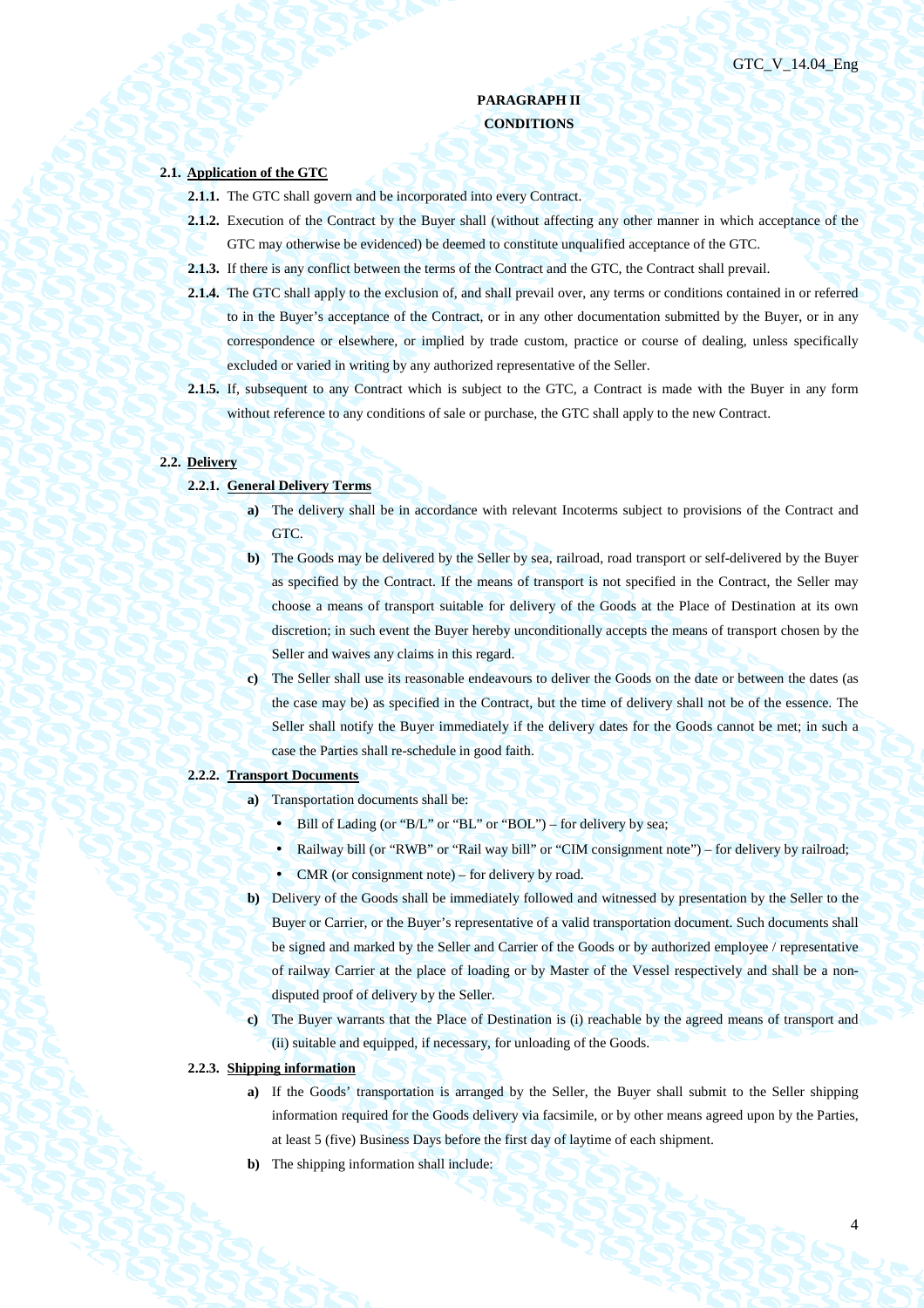4

## **PARAGRAPH II CONDITIONS**

## **2.1. Application of the GTC**

- **2.1.1.** The GTC shall govern and be incorporated into every Contract.
- **2.1.2.** Execution of the Contract by the Buyer shall (without affecting any other manner in which acceptance of the GTC may otherwise be evidenced) be deemed to constitute unqualified acceptance of the GTC.
- **2.1.3.** If there is any conflict between the terms of the Contract and the GTC, the Contract shall prevail.
- **2.1.4.** The GTC shall apply to the exclusion of, and shall prevail over, any terms or conditions contained in or referred to in the Buyer's acceptance of the Contract, or in any other documentation submitted by the Buyer, or in any correspondence or elsewhere, or implied by trade custom, practice or course of dealing, unless specifically excluded or varied in writing by any authorized representative of the Seller.
- **2.1.5.** If, subsequent to any Contract which is subject to the GTC, a Contract is made with the Buyer in any form without reference to any conditions of sale or purchase, the GTC shall apply to the new Contract.

## **2.2. Delivery**

### **2.2.1. General Delivery Terms**

- **a)** The delivery shall be in accordance with relevant Incoterms subject to provisions of the Contract and GTC.
- **b)** The Goods may be delivered by the Seller by sea, railroad, road transport or self-delivered by the Buyer as specified by the Contract. If the means of transport is not specified in the Contract, the Seller may choose a means of transport suitable for delivery of the Goods at the Place of Destination at its own discretion; in such event the Buyer hereby unconditionally accepts the means of transport chosen by the Seller and waives any claims in this regard.
- **c)** The Seller shall use its reasonable endeavours to deliver the Goods on the date or between the dates (as the case may be) as specified in the Contract, but the time of delivery shall not be of the essence. The Seller shall notify the Buyer immediately if the delivery dates for the Goods cannot be met; in such a case the Parties shall re-schedule in good faith.

### **2.2.2. Transport Documents**

- **a)** Transportation documents shall be:
	- Bill of Lading (or "B/L" or "BL" or "BOL") for delivery by sea;
	- Railway bill (or "RWB" or "Rail way bill" or "CIM consignment note") for delivery by railroad;
	- CMR (or consignment note) for delivery by road.
- **b)** Delivery of the Goods shall be immediately followed and witnessed by presentation by the Seller to the Buyer or Carrier, or the Buyer's representative of a valid transportation document. Such documents shall be signed and marked by the Seller and Carrier of the Goods or by authorized employee / representative of railway Carrier at the place of loading or by Master of the Vessel respectively and shall be a nondisputed proof of delivery by the Seller.
- **c)** The Buyer warrants that the Place of Destination is (i) reachable by the agreed means of transport and (ii) suitable and equipped, if necessary, for unloading of the Goods.
- **2.2.3. Shipping information** 
	- **a)** If the Goods' transportation is arranged by the Seller, the Buyer shall submit to the Seller shipping information required for the Goods delivery via facsimile, or by other means agreed upon by the Parties, at least 5 (five) Business Days before the first day of laytime of each shipment.
	- **b)** The shipping information shall include: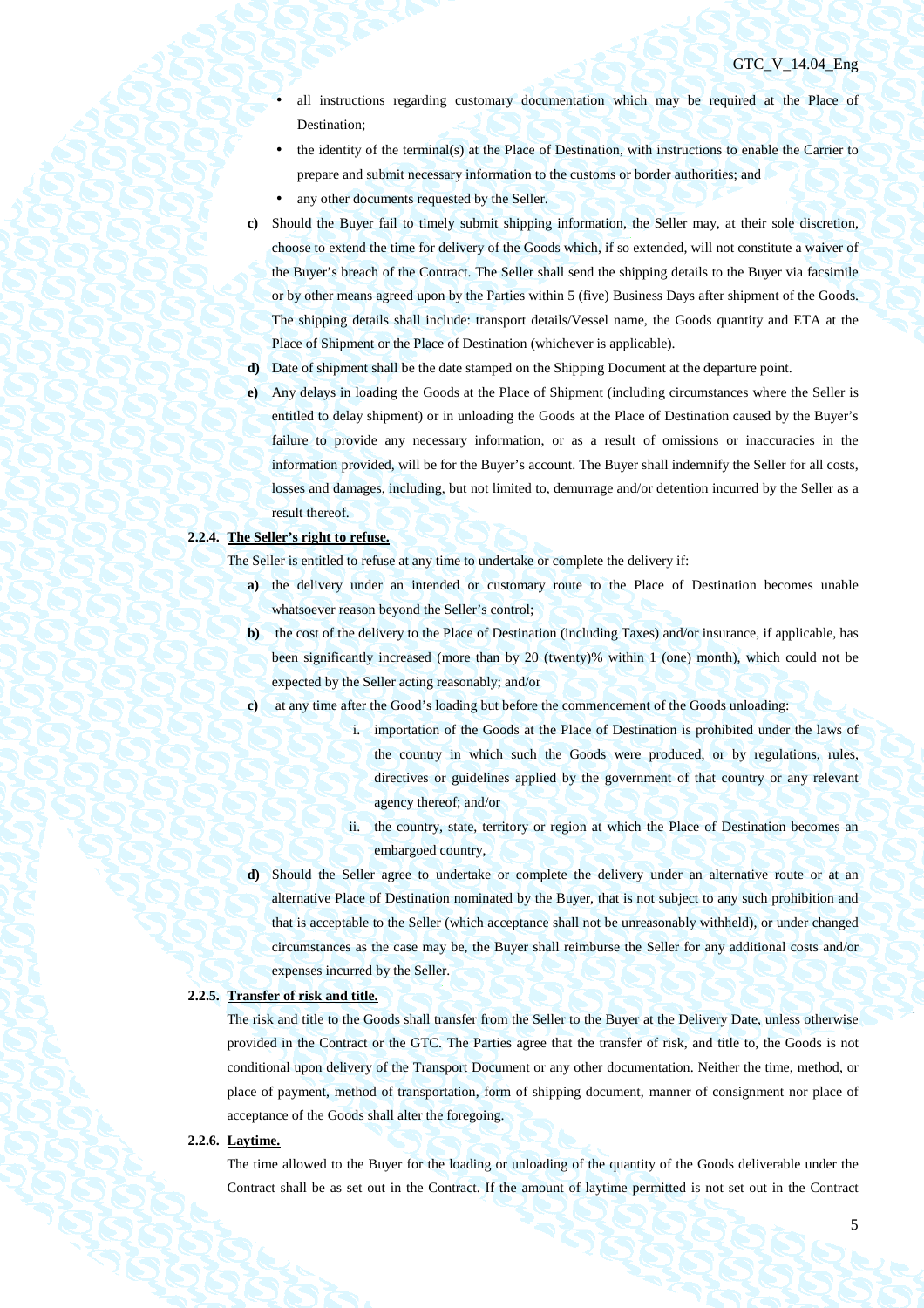- all instructions regarding customary documentation which may be required at the Place of Destination;
- the identity of the terminal(s) at the Place of Destination, with instructions to enable the Carrier to prepare and submit necessary information to the customs or border authorities; and
- any other documents requested by the Seller.
- **c)** Should the Buyer fail to timely submit shipping information, the Seller may, at their sole discretion, choose to extend the time for delivery of the Goods which, if so extended, will not constitute a waiver of the Buyer's breach of the Contract. The Seller shall send the shipping details to the Buyer via facsimile or by other means agreed upon by the Parties within 5 (five) Business Days after shipment of the Goods. The shipping details shall include: transport details/Vessel name, the Goods quantity and ETA at the Place of Shipment or the Place of Destination (whichever is applicable).
- **d)** Date of shipment shall be the date stamped on the Shipping Document at the departure point.
- **e)** Any delays in loading the Goods at the Place of Shipment (including circumstances where the Seller is entitled to delay shipment) or in unloading the Goods at the Place of Destination caused by the Buyer's failure to provide any necessary information, or as a result of omissions or inaccuracies in the information provided, will be for the Buyer's account. The Buyer shall indemnify the Seller for all costs, losses and damages, including, but not limited to, demurrage and/or detention incurred by the Seller as a result thereof.

### **2.2.4. The Seller's right to refuse.**

The Seller is entitled to refuse at any time to undertake or complete the delivery if:

- **a)** the delivery under an intended or customary route to the Place of Destination becomes unable whatsoever reason beyond the Seller's control;
- **b**) the cost of the delivery to the Place of Destination (including Taxes) and/or insurance, if applicable, has been significantly increased (more than by 20 (twenty)% within 1 (one) month), which could not be expected by the Seller acting reasonably; and/or
- **c)** at any time after the Good's loading but before the commencement of the Goods unloading:
	- i. importation of the Goods at the Place of Destination is prohibited under the laws of the country in which such the Goods were produced, or by regulations, rules, directives or guidelines applied by the government of that country or any relevant agency thereof; and/or
	- ii. the country, state, territory or region at which the Place of Destination becomes an embargoed country,
- **d)** Should the Seller agree to undertake or complete the delivery under an alternative route or at an alternative Place of Destination nominated by the Buyer, that is not subject to any such prohibition and that is acceptable to the Seller (which acceptance shall not be unreasonably withheld), or under changed circumstances as the case may be, the Buyer shall reimburse the Seller for any additional costs and/or expenses incurred by the Seller.

## **2.2.5. Transfer of risk and title.**

The risk and title to the Goods shall transfer from the Seller to the Buyer at the Delivery Date, unless otherwise provided in the Contract or the GTC. The Parties agree that the transfer of risk, and title to, the Goods is not conditional upon delivery of the Transport Document or any other documentation. Neither the time, method, or place of payment, method of transportation, form of shipping document, manner of consignment nor place of acceptance of the Goods shall alter the foregoing.

### **2.2.6. Laytime.**

The time allowed to the Buyer for the loading or unloading of the quantity of the Goods deliverable under the Contract shall be as set out in the Contract. If the amount of laytime permitted is not set out in the Contract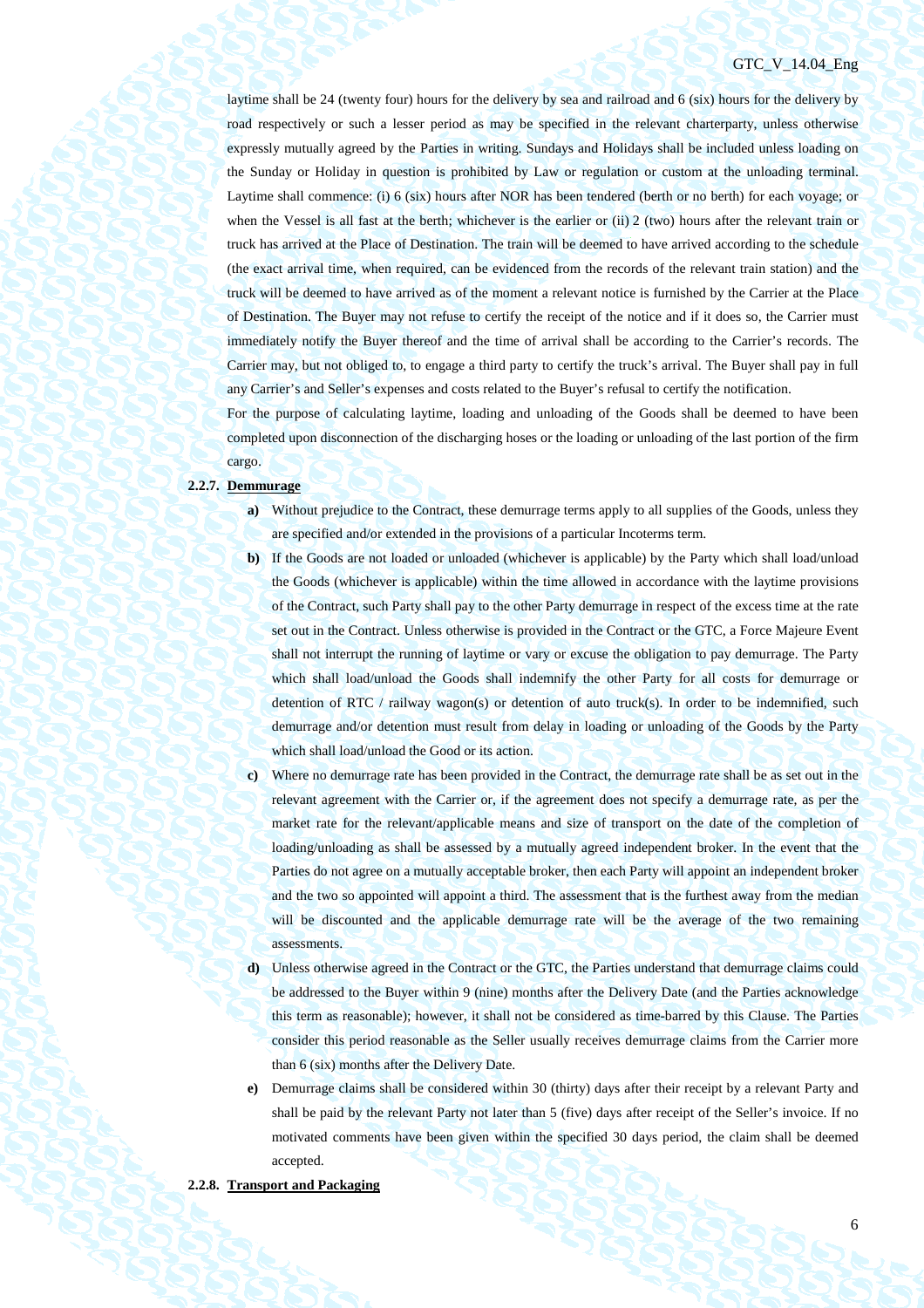## GTC\_V\_14.04\_Eng

laytime shall be 24 (twenty four) hours for the delivery by sea and railroad and 6 (six) hours for the delivery by road respectively or such a lesser period as may be specified in the relevant charterparty, unless otherwise expressly mutually agreed by the Parties in writing. Sundays and Holidays shall be included unless loading on the Sunday or Holiday in question is prohibited by Law or regulation or custom at the unloading terminal. Laytime shall commence: (i) 6 (six) hours after NOR has been tendered (berth or no berth) for each voyage; or when the Vessel is all fast at the berth; whichever is the earlier or (ii) 2 (two) hours after the relevant train or truck has arrived at the Place of Destination. The train will be deemed to have arrived according to the schedule (the exact arrival time, when required, can be evidenced from the records of the relevant train station) and the truck will be deemed to have arrived as of the moment a relevant notice is furnished by the Carrier at the Place of Destination. The Buyer may not refuse to certify the receipt of the notice and if it does so, the Carrier must immediately notify the Buyer thereof and the time of arrival shall be according to the Carrier's records. The Carrier may, but not obliged to, to engage a third party to certify the truck's arrival. The Buyer shall pay in full any Carrier's and Seller's expenses and costs related to the Buyer's refusal to certify the notification.

For the purpose of calculating laytime, loading and unloading of the Goods shall be deemed to have been completed upon disconnection of the discharging hoses or the loading or unloading of the last portion of the firm cargo.

### **2.2.7. Demmurage**

- **a)** Without prejudice to the Contract, these demurrage terms apply to all supplies of the Goods, unless they are specified and/or extended in the provisions of a particular Incoterms term.
- **b**) If the Goods are not loaded or unloaded (whichever is applicable) by the Party which shall load/unload the Goods (whichever is applicable) within the time allowed in accordance with the laytime provisions of the Contract, such Party shall pay to the other Party demurrage in respect of the excess time at the rate set out in the Contract. Unless otherwise is provided in the Contract or the GTC, a Force Majeure Event shall not interrupt the running of laytime or vary or excuse the obligation to pay demurrage. The Party which shall load/unload the Goods shall indemnify the other Party for all costs for demurrage or detention of RTC / railway wagon(s) or detention of auto truck(s). In order to be indemnified, such demurrage and/or detention must result from delay in loading or unloading of the Goods by the Party which shall load/unload the Good or its action.
- **c)** Where no demurrage rate has been provided in the Contract, the demurrage rate shall be as set out in the relevant agreement with the Carrier or, if the agreement does not specify a demurrage rate, as per the market rate for the relevant/applicable means and size of transport on the date of the completion of loading/unloading as shall be assessed by a mutually agreed independent broker. In the event that the Parties do not agree on a mutually acceptable broker, then each Party will appoint an independent broker and the two so appointed will appoint a third. The assessment that is the furthest away from the median will be discounted and the applicable demurrage rate will be the average of the two remaining assessments.
- **d)** Unless otherwise agreed in the Contract or the GTC, the Parties understand that demurrage claims could be addressed to the Buyer within 9 (nine) months after the Delivery Date (and the Parties acknowledge this term as reasonable); however, it shall not be considered as time-barred by this Clause. The Parties consider this period reasonable as the Seller usually receives demurrage claims from the Carrier more than 6 (six) months after the Delivery Date.
- **e)** Demurrage claims shall be considered within 30 (thirty) days after their receipt by a relevant Party and shall be paid by the relevant Party not later than 5 (five) days after receipt of the Seller's invoice. If no motivated comments have been given within the specified 30 days period, the claim shall be deemed accepted.

## **2.2.8. Transport and Packaging**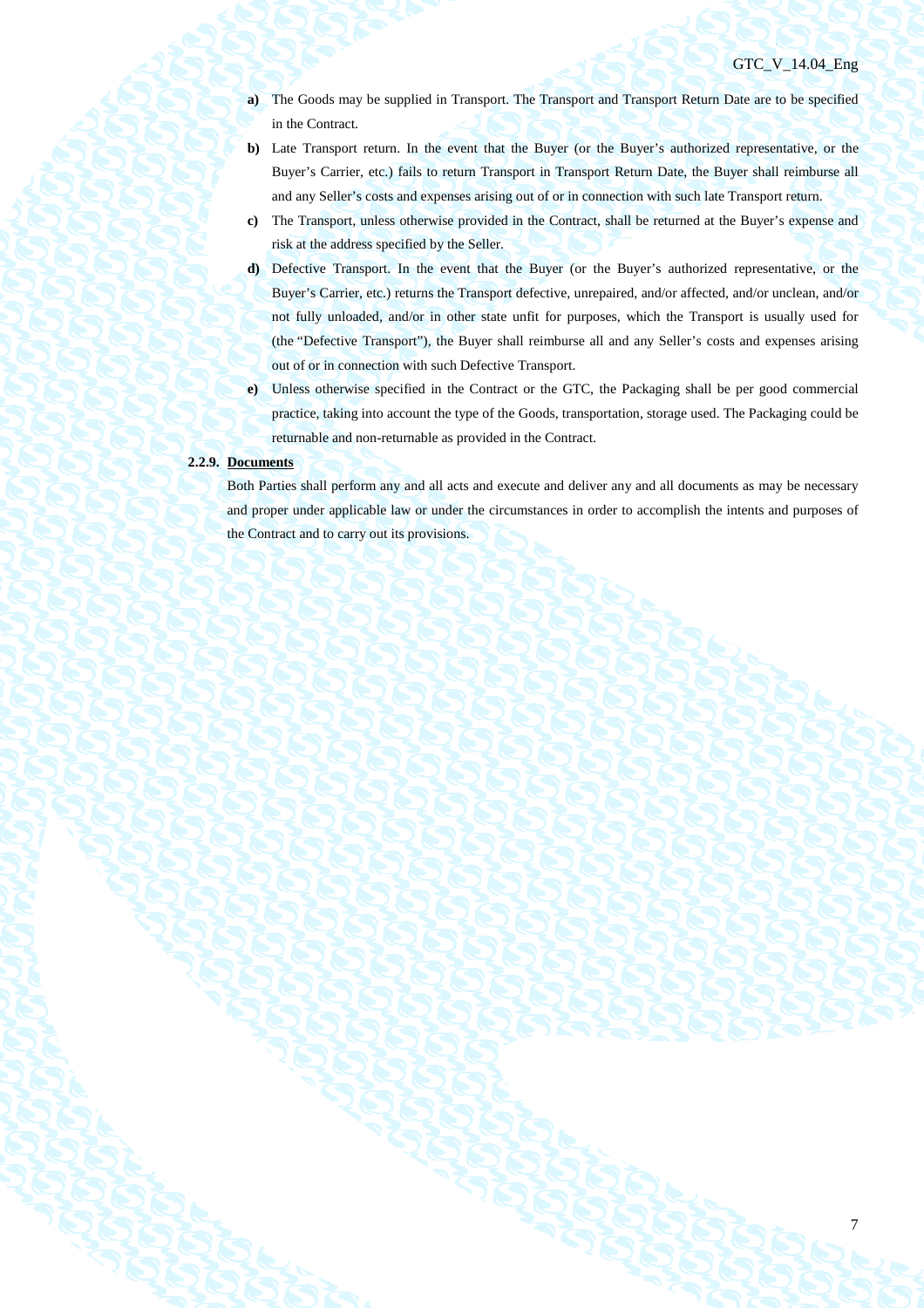## GTC\_V\_14.04\_Eng

7

- **a)** The Goods may be supplied in Transport. The Transport and Transport Return Date are to be specified in the Contract.
- **b**) Late Transport return. In the event that the Buyer (or the Buyer's authorized representative, or the Buyer's Carrier, etc.) fails to return Transport in Transport Return Date, the Buyer shall reimburse all and any Seller's costs and expenses arising out of or in connection with such late Transport return.
- **c)** The Transport, unless otherwise provided in the Contract, shall be returned at the Buyer's expense and risk at the address specified by the Seller.
- **d)** Defective Transport. In the event that the Buyer (or the Buyer's authorized representative, or the Buyer's Carrier, etc.) returns the Transport defective, unrepaired, and/or affected, and/or unclean, and/or not fully unloaded, and/or in other state unfit for purposes, which the Transport is usually used for (the "Defective Transport"), the Buyer shall reimburse all and any Seller's costs and expenses arising out of or in connection with such Defective Transport.
- **e)** Unless otherwise specified in the Contract or the GTC, the Packaging shall be per good commercial practice, taking into account the type of the Goods, transportation, storage used. The Packaging could be returnable and non-returnable as provided in the Contract.

### **2.2.9. Documents**

Both Parties shall perform any and all acts and execute and deliver any and all documents as may be necessary and proper under applicable law or under the circumstances in order to accomplish the intents and purposes of the Contract and to carry out its provisions.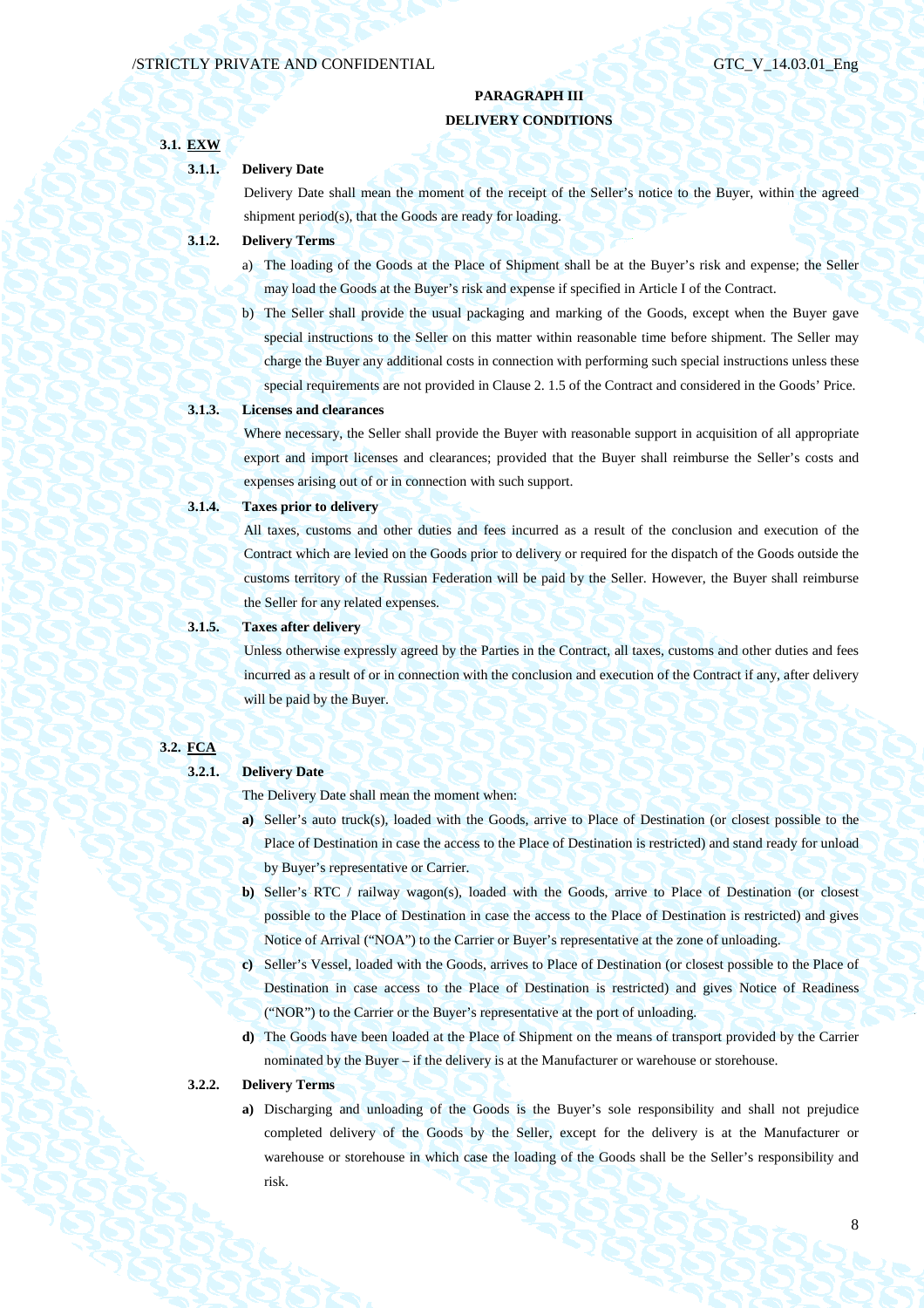## **PARAGRAPH III DELIVERY CONDITIONS**

# **3.1. EXW 3.1.1. Delivery Date**  Delivery Date shall mean the moment of the receipt of the Seller's notice to the Buyer, within the agreed shipment period(s), that the Goods are ready for loading. **3.1.2. Delivery Terms**  a) The loading of the Goods at the Place of Shipment shall be at the Buyer's risk and expense; the Seller may load the Goods at the Buyer's risk and expense if specified in Article I of the Contract. b) The Seller shall provide the usual packaging and marking of the Goods, except when the Buyer gave special instructions to the Seller on this matter within reasonable time before shipment. The Seller may charge the Buyer any additional costs in connection with performing such special instructions unless these special requirements are not provided in Clause 2. 1.5 of the Contract and considered in the Goods' Price. **3.1.3. Licenses and clearances**  Where necessary, the Seller shall provide the Buyer with reasonable support in acquisition of all appropriate export and import licenses and clearances; provided that the Buyer shall reimburse the Seller's costs and expenses arising out of or in connection with such support. **3.1.4. Taxes prior to delivery**  All taxes, customs and other duties and fees incurred as a result of the conclusion and execution of the Contract which are levied on the Goods prior to delivery or required for the dispatch of the Goods outside the customs territory of the Russian Federation will be paid by the Seller. However, the Buyer shall reimburse the Seller for any related expenses. **3.1.5. Taxes after delivery**  Unless otherwise expressly agreed by the Parties in the Contract, all taxes, customs and other duties and fees incurred as a result of or in connection with the conclusion and execution of the Contract if any, after delivery will be paid by the Buyer. **3.2. FCA 3.2.1. Delivery Date**

The Delivery Date shall mean the moment when:

- **a)** Seller's auto truck(s), loaded with the Goods, arrive to Place of Destination (or closest possible to the Place of Destination in case the access to the Place of Destination is restricted) and stand ready for unload by Buyer's representative or Carrier.
- **b)** Seller's RTC / railway wagon(s), loaded with the Goods, arrive to Place of Destination (or closest possible to the Place of Destination in case the access to the Place of Destination is restricted) and gives Notice of Arrival ("NOA") to the Carrier or Buyer's representative at the zone of unloading.
- **c)** Seller's Vessel, loaded with the Goods, arrives to Place of Destination (or closest possible to the Place of Destination in case access to the Place of Destination is restricted) and gives Notice of Readiness ("NOR") to the Carrier or the Buyer's representative at the port of unloading.
- **d)** The Goods have been loaded at the Place of Shipment on the means of transport provided by the Carrier nominated by the Buyer – if the delivery is at the Manufacturer or warehouse or storehouse.

### **3.2.2. Delivery Terms**

**a)** Discharging and unloading of the Goods is the Buyer's sole responsibility and shall not prejudice completed delivery of the Goods by the Seller, except for the delivery is at the Manufacturer or warehouse or storehouse in which case the loading of the Goods shall be the Seller's responsibility and risk.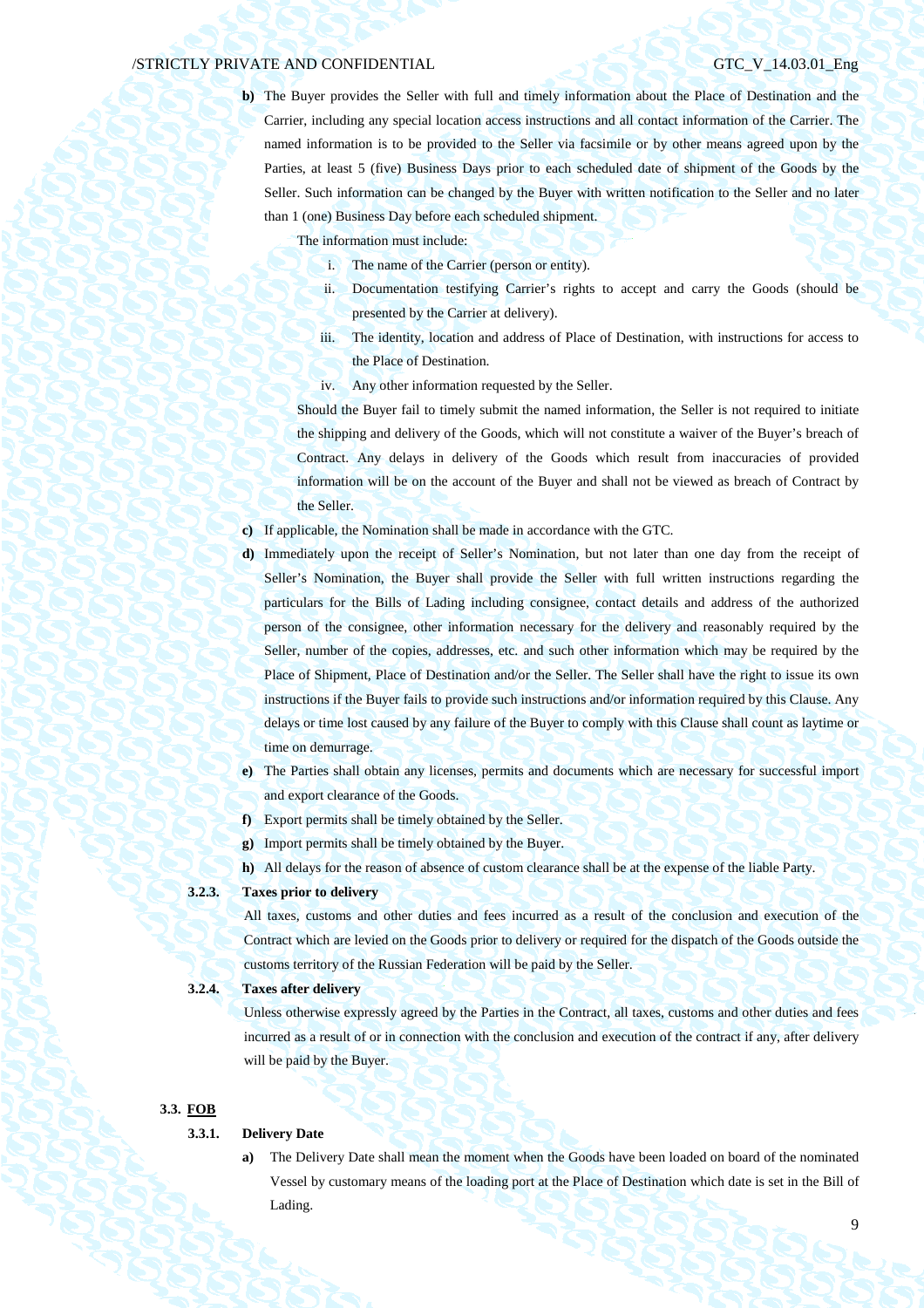**b)** The Buyer provides the Seller with full and timely information about the Place of Destination and the Carrier, including any special location access instructions and all contact information of the Carrier. The named information is to be provided to the Seller via facsimile or by other means agreed upon by the Parties, at least 5 (five) Business Days prior to each scheduled date of shipment of the Goods by the Seller. Such information can be changed by the Buyer with written notification to the Seller and no later than 1 (one) Business Day before each scheduled shipment.

The information must include:

- i. The name of the Carrier (person or entity).
- ii. Documentation testifying Carrier's rights to accept and carry the Goods (should be presented by the Carrier at delivery).
- iii. The identity, location and address of Place of Destination, with instructions for access to the Place of Destination.
- iv. Any other information requested by the Seller.

Should the Buyer fail to timely submit the named information, the Seller is not required to initiate the shipping and delivery of the Goods, which will not constitute a waiver of the Buyer's breach of Contract. Any delays in delivery of the Goods which result from inaccuracies of provided information will be on the account of the Buyer and shall not be viewed as breach of Contract by the Seller.

- **c)** If applicable, the Nomination shall be made in accordance with the GTC.
- **d)** Immediately upon the receipt of Seller's Nomination, but not later than one day from the receipt of Seller's Nomination, the Buyer shall provide the Seller with full written instructions regarding the particulars for the Bills of Lading including consignee, contact details and address of the authorized person of the consignee, other information necessary for the delivery and reasonably required by the Seller, number of the copies, addresses, etc. and such other information which may be required by the Place of Shipment, Place of Destination and/or the Seller. The Seller shall have the right to issue its own instructions if the Buyer fails to provide such instructions and/or information required by this Clause. Any delays or time lost caused by any failure of the Buyer to comply with this Clause shall count as laytime or time on demurrage.
- **e)** The Parties shall obtain any licenses, permits and documents which are necessary for successful import and export clearance of the Goods.
- **f)** Export permits shall be timely obtained by the Seller.
- **g)** Import permits shall be timely obtained by the Buyer.
- **h)** All delays for the reason of absence of custom clearance shall be at the expense of the liable Party.

## **3.2.3. Taxes prior to delivery**

All taxes, customs and other duties and fees incurred as a result of the conclusion and execution of the Contract which are levied on the Goods prior to delivery or required for the dispatch of the Goods outside the customs territory of the Russian Federation will be paid by the Seller.

### **3.2.4. Taxes after delivery**

Unless otherwise expressly agreed by the Parties in the Contract, all taxes, customs and other duties and fees incurred as a result of or in connection with the conclusion and execution of the contract if any, after delivery will be paid by the Buyer.

### **3.3. FOB**

## **3.3.1. Delivery Date**

**a)** The Delivery Date shall mean the moment when the Goods have been loaded on board of the nominated Vessel by customary means of the loading port at the Place of Destination which date is set in the Bill of Lading.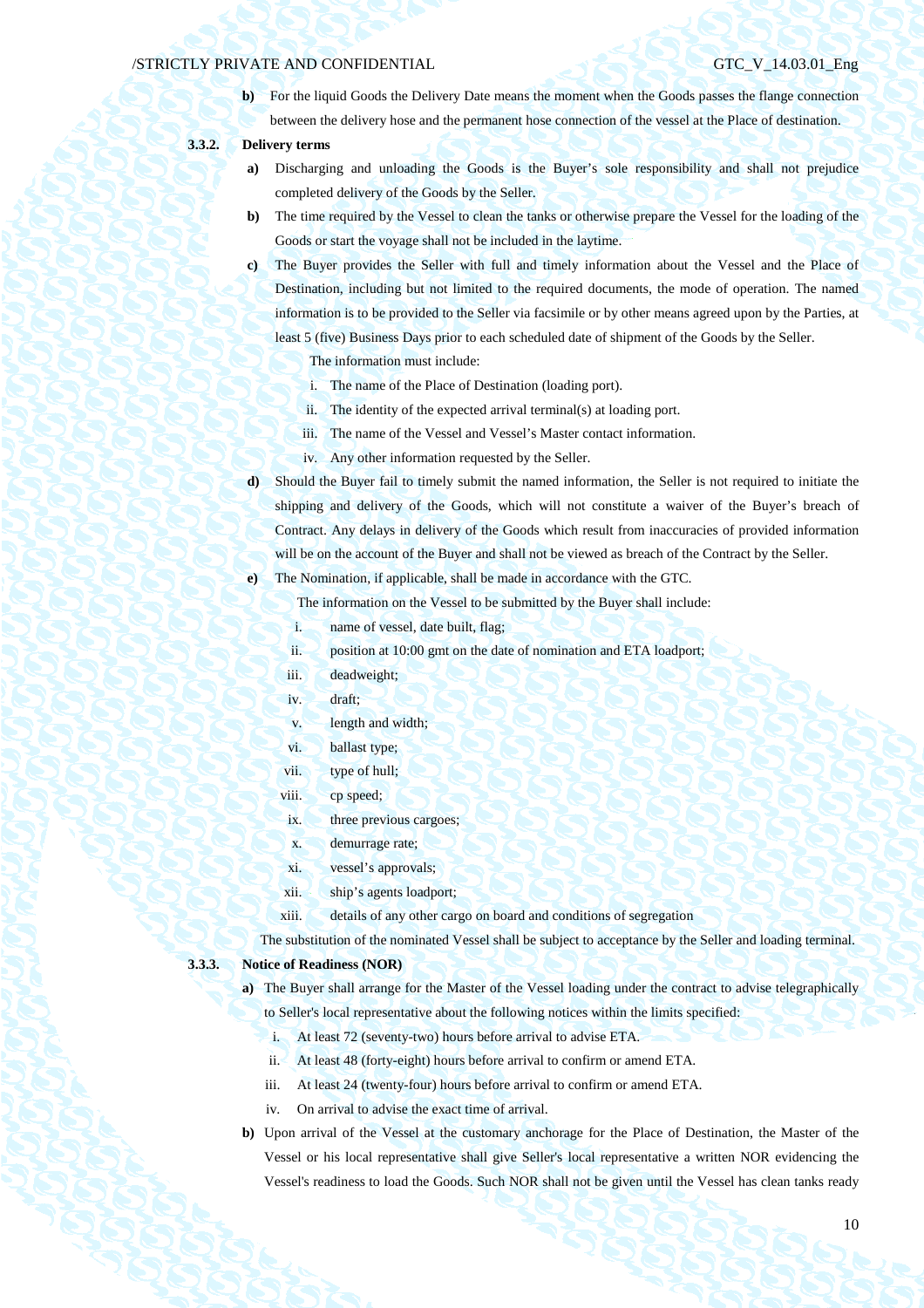**b**) For the liquid Goods the Delivery Date means the moment when the Goods passes the flange connection between the delivery hose and the permanent hose connection of the vessel at the Place of destination.

## **3.3.2. Delivery terms**

- **a)** Discharging and unloading the Goods is the Buyer's sole responsibility and shall not prejudice completed delivery of the Goods by the Seller.
- **b)** The time required by the Vessel to clean the tanks or otherwise prepare the Vessel for the loading of the Goods or start the voyage shall not be included in the laytime.
- **c)** The Buyer provides the Seller with full and timely information about the Vessel and the Place of Destination, including but not limited to the required documents, the mode of operation. The named information is to be provided to the Seller via facsimile or by other means agreed upon by the Parties, at least 5 (five) Business Days prior to each scheduled date of shipment of the Goods by the Seller.

The information must include:

- i. The name of the Place of Destination (loading port).
- ii. The identity of the expected arrival terminal(s) at loading port.
- iii. The name of the Vessel and Vessel's Master contact information.
- iv. Any other information requested by the Seller.
- **d)** Should the Buyer fail to timely submit the named information, the Seller is not required to initiate the shipping and delivery of the Goods, which will not constitute a waiver of the Buyer's breach of Contract. Any delays in delivery of the Goods which result from inaccuracies of provided information will be on the account of the Buyer and shall not be viewed as breach of the Contract by the Seller.

**e)** The Nomination, if applicable, shall be made in accordance with the GTC.

The information on the Vessel to be submitted by the Buyer shall include:

- i. name of vessel, date built, flag;
- ii. position at 10:00 gmt on the date of nomination and ETA loadport;
- iii. deadweight;
- iv. draft;
- v. length and width;
- vi. ballast type;
- vii. type of hull;
- viii. cp speed;
- ix. three previous cargoes;
- x. demurrage rate;
- xi. vessel's approvals;
- xii. ship's agents loadport;
- xiii. details of any other cargo on board and conditions of segregation

The substitution of the nominated Vessel shall be subject to acceptance by the Seller and loading terminal.

## **3.3.3. Notice of Readiness (NOR)**

- **a)** The Buyer shall arrange for the Master of the Vessel loading under the contract to advise telegraphically to Seller's local representative about the following notices within the limits specified:
	- i. At least 72 (seventy-two) hours before arrival to advise ETA.
	- ii. At least 48 (forty-eight) hours before arrival to confirm or amend ETA.
	- iii. At least 24 (twenty-four) hours before arrival to confirm or amend ETA.
	- iv. On arrival to advise the exact time of arrival.
- **b)** Upon arrival of the Vessel at the customary anchorage for the Place of Destination, the Master of the Vessel or his local representative shall give Seller's local representative a written NOR evidencing the Vessel's readiness to load the Goods. Such NOR shall not be given until the Vessel has clean tanks ready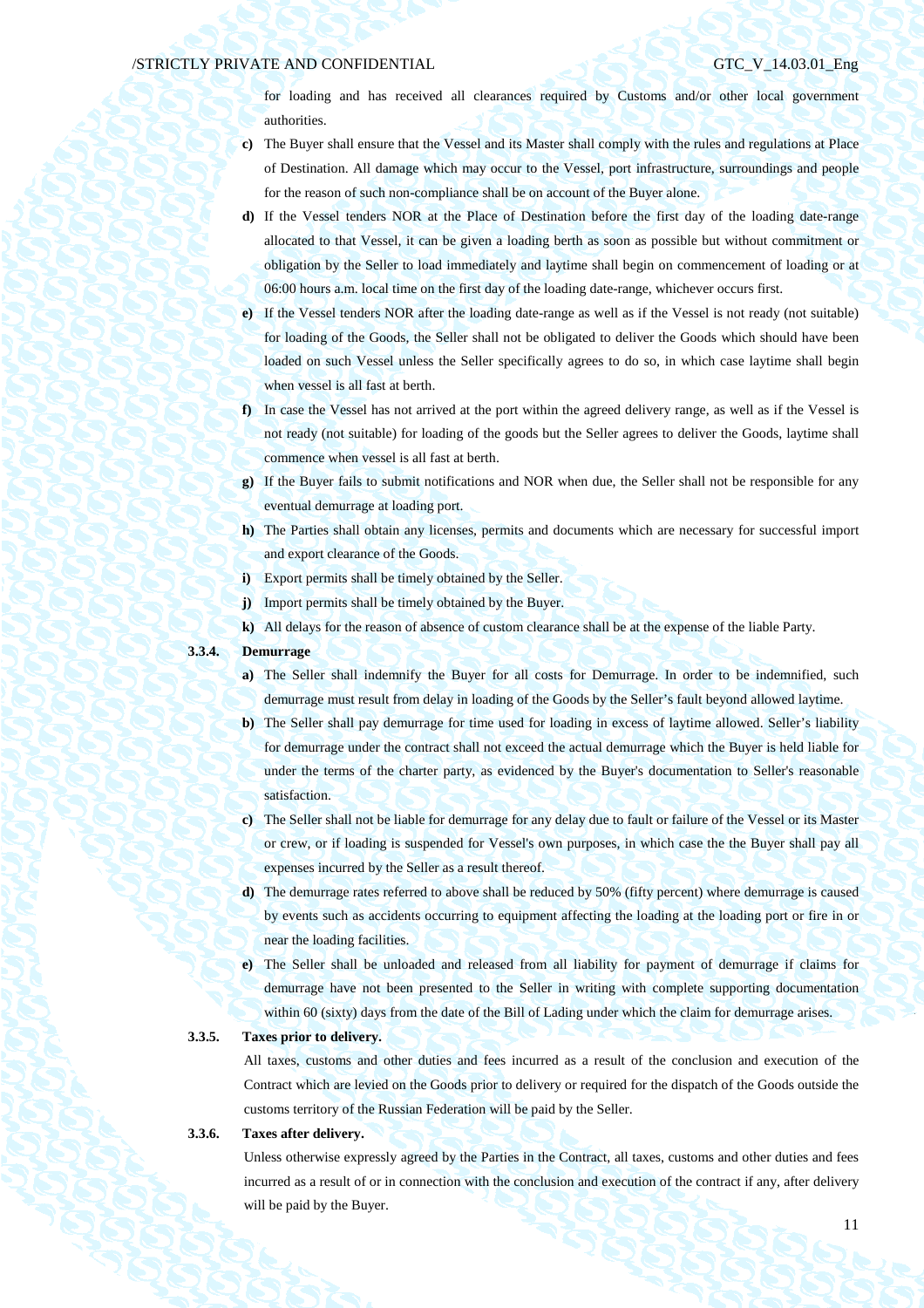for loading and has received all clearances required by Customs and/or other local government authorities.

- **c)** The Buyer shall ensure that the Vessel and its Master shall comply with the rules and regulations at Place of Destination. All damage which may occur to the Vessel, port infrastructure, surroundings and people for the reason of such non-compliance shall be on account of the Buyer alone.
- **d)** If the Vessel tenders NOR at the Place of Destination before the first day of the loading date-range allocated to that Vessel, it can be given a loading berth as soon as possible but without commitment or obligation by the Seller to load immediately and laytime shall begin on commencement of loading or at 06:00 hours a.m. local time on the first day of the loading date-range, whichever occurs first.
- **e)** If the Vessel tenders NOR after the loading date-range as well as if the Vessel is not ready (not suitable) for loading of the Goods, the Seller shall not be obligated to deliver the Goods which should have been loaded on such Vessel unless the Seller specifically agrees to do so, in which case laytime shall begin when vessel is all fast at berth.
- **f)** In case the Vessel has not arrived at the port within the agreed delivery range, as well as if the Vessel is not ready (not suitable) for loading of the goods but the Seller agrees to deliver the Goods, laytime shall commence when vessel is all fast at berth.
- **g)** If the Buyer fails to submit notifications and NOR when due, the Seller shall not be responsible for any eventual demurrage at loading port.
- **h)** The Parties shall obtain any licenses, permits and documents which are necessary for successful import and export clearance of the Goods.
- **i)** Export permits shall be timely obtained by the Seller.
- **j)** Import permits shall be timely obtained by the Buyer.
- **k)** All delays for the reason of absence of custom clearance shall be at the expense of the liable Party.

## **3.3.4. Demurrage**

- **a)** The Seller shall indemnify the Buyer for all costs for Demurrage. In order to be indemnified, such demurrage must result from delay in loading of the Goods by the Seller's fault beyond allowed laytime.
- **b)** The Seller shall pay demurrage for time used for loading in excess of laytime allowed. Seller's liability for demurrage under the contract shall not exceed the actual demurrage which the Buyer is held liable for under the terms of the charter party, as evidenced by the Buyer's documentation to Seller's reasonable satisfaction.
- **c)** The Seller shall not be liable for demurrage for any delay due to fault or failure of the Vessel or its Master or crew, or if loading is suspended for Vessel's own purposes, in which case the the Buyer shall pay all expenses incurred by the Seller as a result thereof.
- **d)** The demurrage rates referred to above shall be reduced by 50% (fifty percent) where demurrage is caused by events such as accidents occurring to equipment affecting the loading at the loading port or fire in or near the loading facilities.
- **e)** The Seller shall be unloaded and released from all liability for payment of demurrage if claims for demurrage have not been presented to the Seller in writing with complete supporting documentation within 60 (sixty) days from the date of the Bill of Lading under which the claim for demurrage arises.

## **3.3.5. Taxes prior to delivery.**

All taxes, customs and other duties and fees incurred as a result of the conclusion and execution of the Contract which are levied on the Goods prior to delivery or required for the dispatch of the Goods outside the customs territory of the Russian Federation will be paid by the Seller.

## **3.3.6. Taxes after delivery.**

Unless otherwise expressly agreed by the Parties in the Contract, all taxes, customs and other duties and fees incurred as a result of or in connection with the conclusion and execution of the contract if any, after delivery will be paid by the Buyer.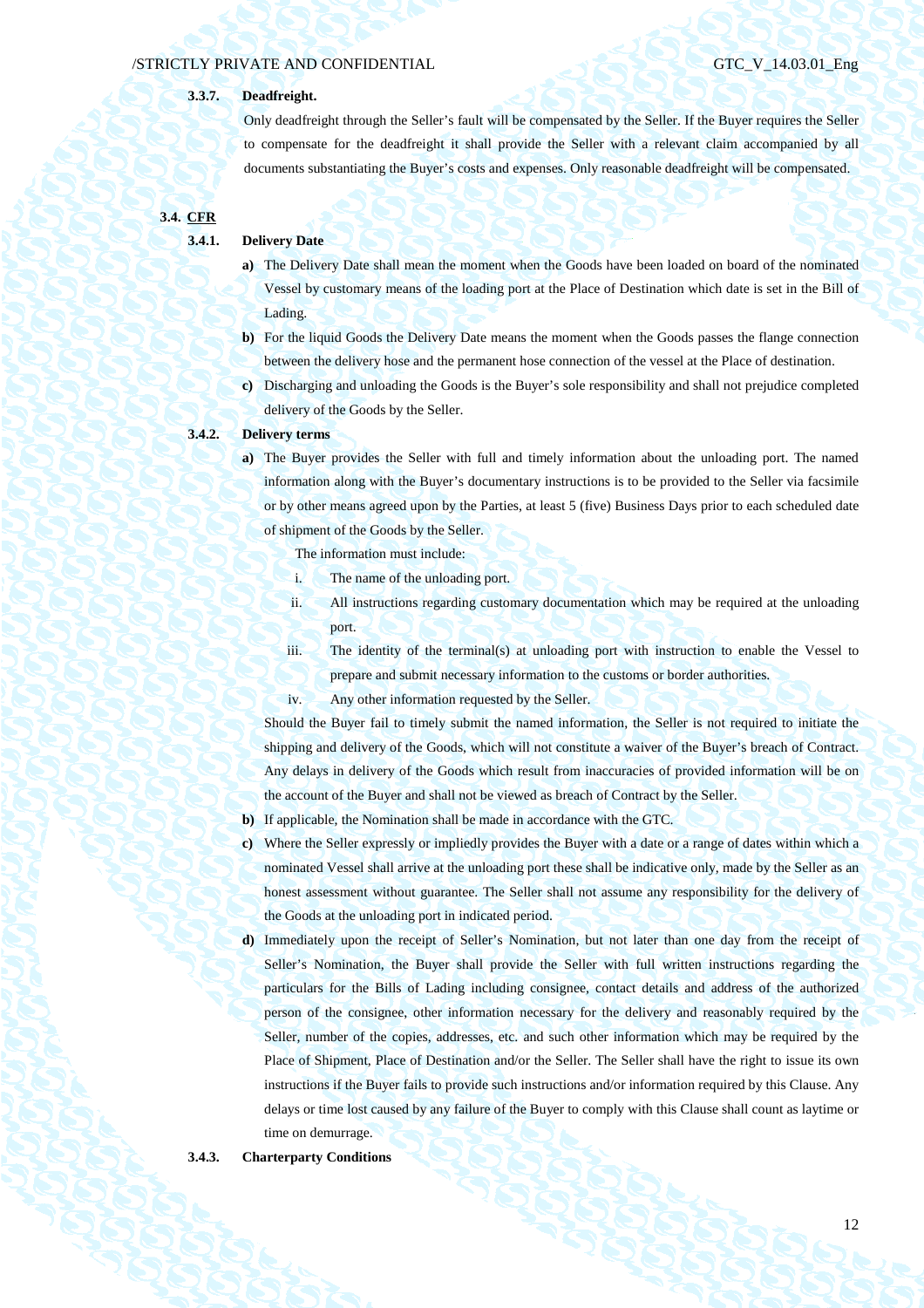## **3.3.7. Deadfreight.**

Only deadfreight through the Seller's fault will be compensated by the Seller. If the Buyer requires the Seller to compensate for the deadfreight it shall provide the Seller with a relevant claim accompanied by all documents substantiating the Buyer's costs and expenses. Only reasonable deadfreight will be compensated.

**3.4. CFR** 

### **3.4.1. Delivery Date**

- **a)** The Delivery Date shall mean the moment when the Goods have been loaded on board of the nominated Vessel by customary means of the loading port at the Place of Destination which date is set in the Bill of Lading.
- **b)** For the liquid Goods the Delivery Date means the moment when the Goods passes the flange connection between the delivery hose and the permanent hose connection of the vessel at the Place of destination.
- **c)** Discharging and unloading the Goods is the Buyer's sole responsibility and shall not prejudice completed delivery of the Goods by the Seller.

## **3.4.2. Delivery terms**

**a)** The Buyer provides the Seller with full and timely information about the unloading port. The named information along with the Buyer's documentary instructions is to be provided to the Seller via facsimile or by other means agreed upon by the Parties, at least 5 (five) Business Days prior to each scheduled date of shipment of the Goods by the Seller.

The information must include:

- i. The name of the unloading port.
- ii. All instructions regarding customary documentation which may be required at the unloading port.
- iii. The identity of the terminal(s) at unloading port with instruction to enable the Vessel to prepare and submit necessary information to the customs or border authorities.
- iv. Any other information requested by the Seller.

Should the Buyer fail to timely submit the named information, the Seller is not required to initiate the shipping and delivery of the Goods, which will not constitute a waiver of the Buyer's breach of Contract. Any delays in delivery of the Goods which result from inaccuracies of provided information will be on the account of the Buyer and shall not be viewed as breach of Contract by the Seller.

- **b)** If applicable, the Nomination shall be made in accordance with the GTC.
- **c)** Where the Seller expressly or impliedly provides the Buyer with a date or a range of dates within which a nominated Vessel shall arrive at the unloading port these shall be indicative only, made by the Seller as an honest assessment without guarantee. The Seller shall not assume any responsibility for the delivery of the Goods at the unloading port in indicated period.
- **d)** Immediately upon the receipt of Seller's Nomination, but not later than one day from the receipt of Seller's Nomination, the Buyer shall provide the Seller with full written instructions regarding the particulars for the Bills of Lading including consignee, contact details and address of the authorized person of the consignee, other information necessary for the delivery and reasonably required by the Seller, number of the copies, addresses, etc. and such other information which may be required by the Place of Shipment, Place of Destination and/or the Seller. The Seller shall have the right to issue its own instructions if the Buyer fails to provide such instructions and/or information required by this Clause. Any delays or time lost caused by any failure of the Buyer to comply with this Clause shall count as laytime or time on demurrage.

### **3.4.3. Charterparty Conditions**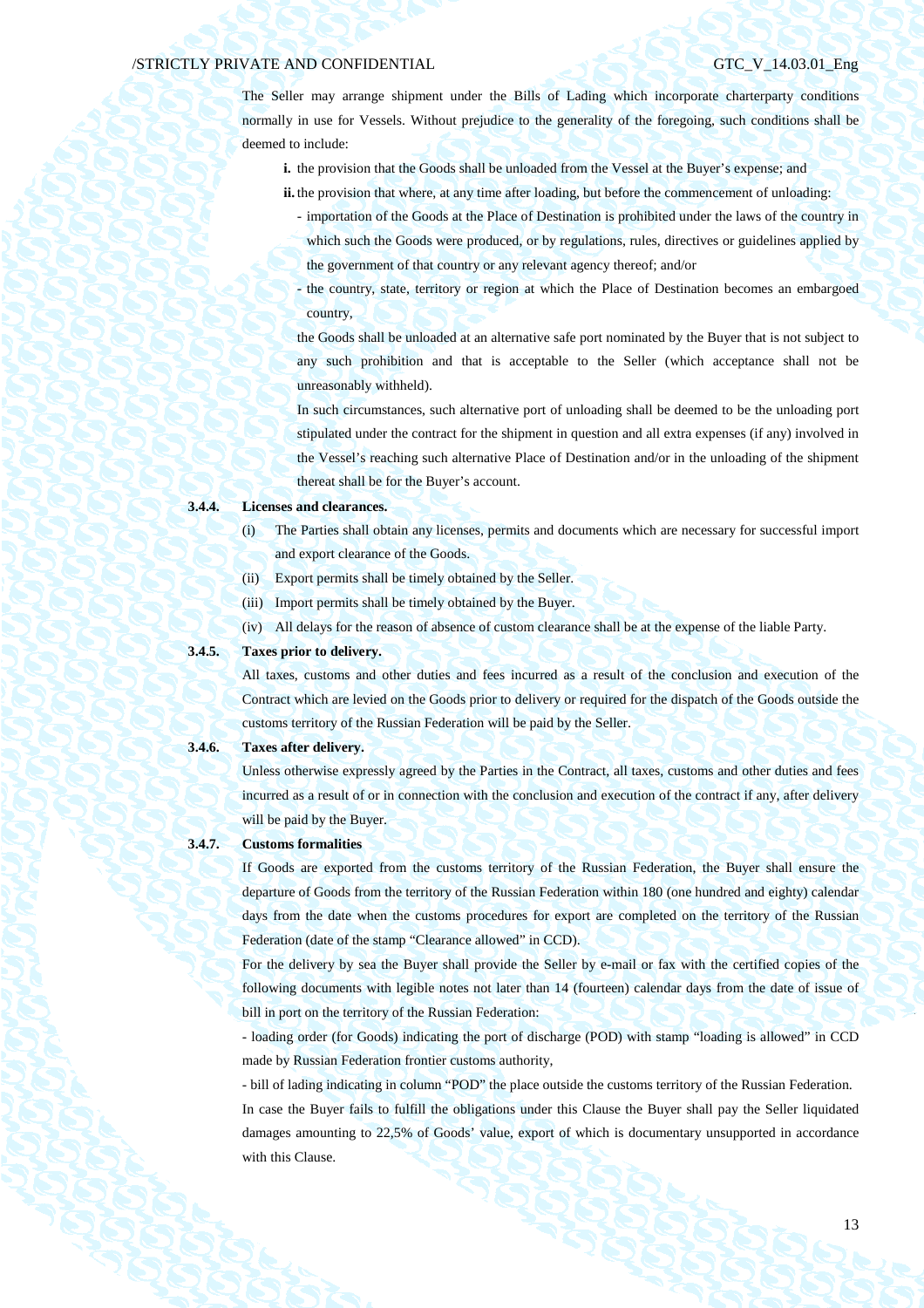The Seller may arrange shipment under the Bills of Lading which incorporate charterparty conditions normally in use for Vessels. Without prejudice to the generality of the foregoing, such conditions shall be deemed to include:

- **i.** the provision that the Goods shall be unloaded from the Vessel at the Buyer's expense; and
- **ii.** the provision that where, at any time after loading, but before the commencement of unloading:
	- importation of the Goods at the Place of Destination is prohibited under the laws of the country in which such the Goods were produced, or by regulations, rules, directives or guidelines applied by the government of that country or any relevant agency thereof; and/or
	- the country, state, territory or region at which the Place of Destination becomes an embargoed country,

the Goods shall be unloaded at an alternative safe port nominated by the Buyer that is not subject to any such prohibition and that is acceptable to the Seller (which acceptance shall not be unreasonably withheld).

In such circumstances, such alternative port of unloading shall be deemed to be the unloading port stipulated under the contract for the shipment in question and all extra expenses (if any) involved in the Vessel's reaching such alternative Place of Destination and/or in the unloading of the shipment thereat shall be for the Buyer's account.

## **3.4.4. Licenses and clearances.**

- (i) The Parties shall obtain any licenses, permits and documents which are necessary for successful import and export clearance of the Goods.
- (ii) Export permits shall be timely obtained by the Seller.
- (iii) Import permits shall be timely obtained by the Buyer.
- (iv) All delays for the reason of absence of custom clearance shall be at the expense of the liable Party.

## **3.4.5. Taxes prior to delivery.**

All taxes, customs and other duties and fees incurred as a result of the conclusion and execution of the Contract which are levied on the Goods prior to delivery or required for the dispatch of the Goods outside the customs territory of the Russian Federation will be paid by the Seller.

### **3.4.6. Taxes after delivery.**

Unless otherwise expressly agreed by the Parties in the Contract, all taxes, customs and other duties and fees incurred as a result of or in connection with the conclusion and execution of the contract if any, after delivery will be paid by the Buyer.

### **3.4.7. Customs formalities**

If Goods are exported from the customs territory of the Russian Federation, the Buyer shall ensure the departure of Goods from the territory of the Russian Federation within 180 (one hundred and eighty) calendar days from the date when the customs procedures for export are completed on the territory of the Russian Federation (date of the stamp "Clearance allowed" in CCD).

For the delivery by sea the Buyer shall provide the Seller by e-mail or fax with the certified copies of the following documents with legible notes not later than 14 (fourteen) calendar days from the date of issue of bill in port on the territory of the Russian Federation:

- loading order (for Goods) indicating the port of discharge (POD) with stamp "loading is allowed" in CCD made by Russian Federation frontier customs authority,

- bill of lading indicating in column "POD" the place outside the customs territory of the Russian Federation. In case the Buyer fails to fulfill the obligations under this Clause the Buyer shall pay the Seller liquidated damages amounting to 22,5% of Goods' value, export of which is documentary unsupported in accordance with this Clause.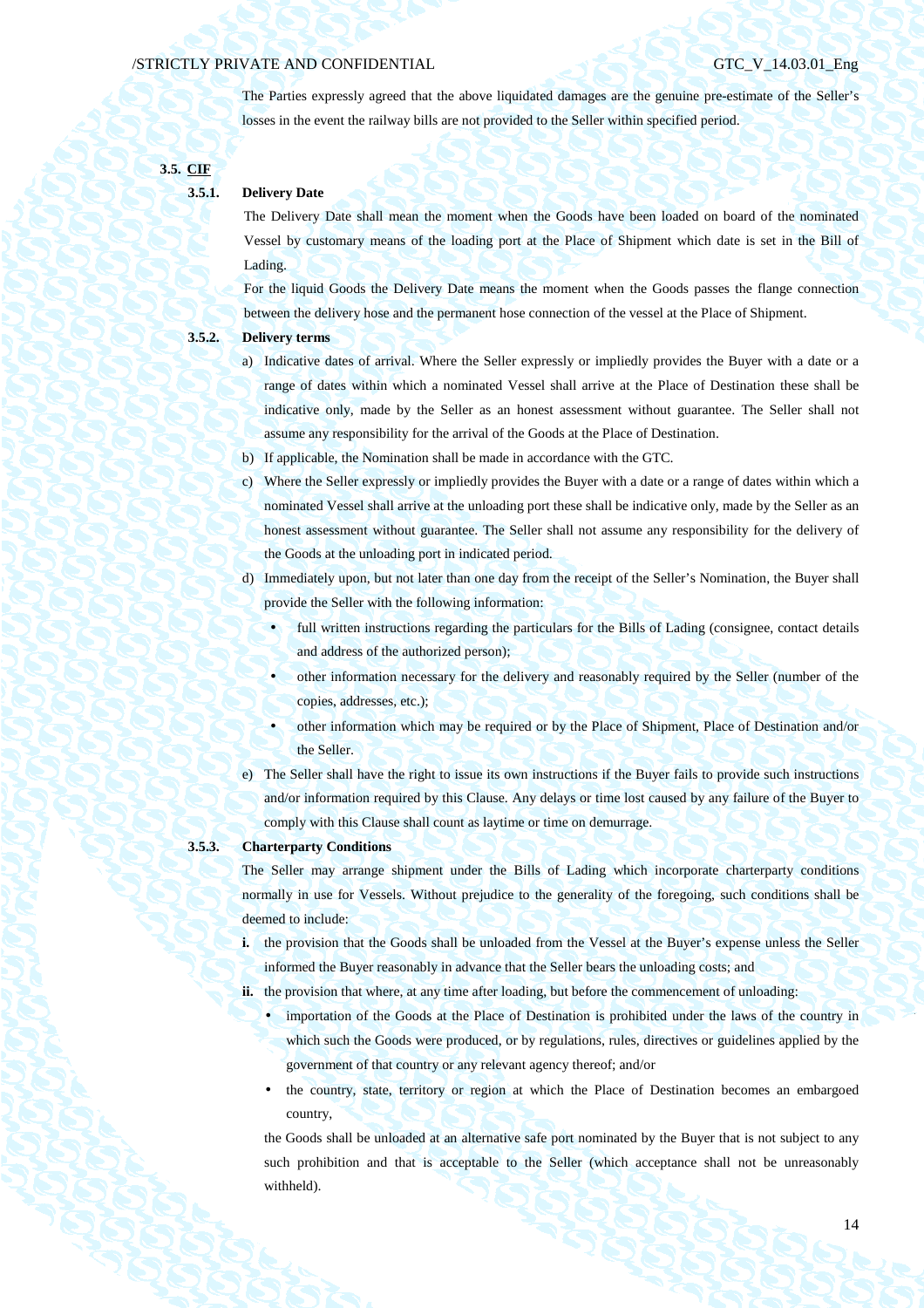The Parties expressly agreed that the above liquidated damages are the genuine pre-estimate of the Seller's losses in the event the railway bills are not provided to the Seller within specified period.

**3.5. CIF** 

## **3.5.1. Delivery Date**

The Delivery Date shall mean the moment when the Goods have been loaded on board of the nominated Vessel by customary means of the loading port at the Place of Shipment which date is set in the Bill of Lading.

For the liquid Goods the Delivery Date means the moment when the Goods passes the flange connection between the delivery hose and the permanent hose connection of the vessel at the Place of Shipment.

## **3.5.2. Delivery terms**

- a) Indicative dates of arrival. Where the Seller expressly or impliedly provides the Buyer with a date or a range of dates within which a nominated Vessel shall arrive at the Place of Destination these shall be indicative only, made by the Seller as an honest assessment without guarantee. The Seller shall not assume any responsibility for the arrival of the Goods at the Place of Destination.
- b) If applicable, the Nomination shall be made in accordance with the GTC.
- c) Where the Seller expressly or impliedly provides the Buyer with a date or a range of dates within which a nominated Vessel shall arrive at the unloading port these shall be indicative only, made by the Seller as an honest assessment without guarantee. The Seller shall not assume any responsibility for the delivery of the Goods at the unloading port in indicated period.
- d) Immediately upon, but not later than one day from the receipt of the Seller's Nomination, the Buyer shall provide the Seller with the following information:
	- full written instructions regarding the particulars for the Bills of Lading (consignee, contact details and address of the authorized person);
		- other information necessary for the delivery and reasonably required by the Seller (number of the copies, addresses, etc.);
	- other information which may be required or by the Place of Shipment, Place of Destination and/or the Seller.
- e) The Seller shall have the right to issue its own instructions if the Buyer fails to provide such instructions and/or information required by this Clause. Any delays or time lost caused by any failure of the Buyer to comply with this Clause shall count as laytime or time on demurrage.

**3.5.3. Charterparty Conditions** 

The Seller may arrange shipment under the Bills of Lading which incorporate charterparty conditions normally in use for Vessels. Without prejudice to the generality of the foregoing, such conditions shall be deemed to include:

**i.** the provision that the Goods shall be unloaded from the Vessel at the Buyer's expense unless the Seller informed the Buyer reasonably in advance that the Seller bears the unloading costs; and

**ii.** the provision that where, at any time after loading, but before the commencement of unloading:

- importation of the Goods at the Place of Destination is prohibited under the laws of the country in which such the Goods were produced, or by regulations, rules, directives or guidelines applied by the government of that country or any relevant agency thereof; and/or
- the country, state, territory or region at which the Place of Destination becomes an embargoed country,

the Goods shall be unloaded at an alternative safe port nominated by the Buyer that is not subject to any such prohibition and that is acceptable to the Seller (which acceptance shall not be unreasonably withheld).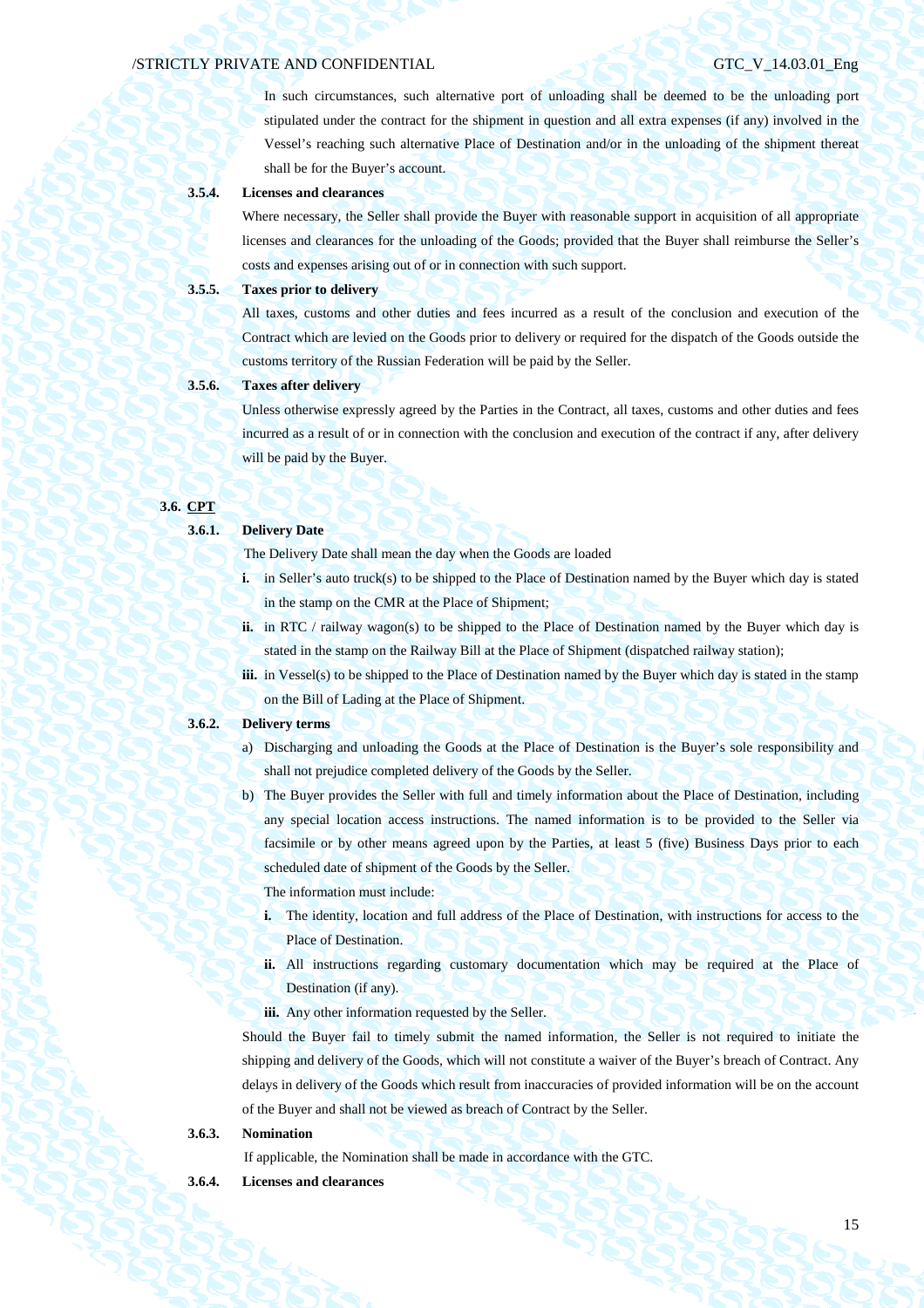In such circumstances, such alternative port of unloading shall be deemed to be the unloading port stipulated under the contract for the shipment in question and all extra expenses (if any) involved in the Vessel's reaching such alternative Place of Destination and/or in the unloading of the shipment thereat shall be for the Buyer's account.

### **3.5.4. Licenses and clearances**

Where necessary, the Seller shall provide the Buyer with reasonable support in acquisition of all appropriate licenses and clearances for the unloading of the Goods; provided that the Buyer shall reimburse the Seller's costs and expenses arising out of or in connection with such support.

## **3.5.5. Taxes prior to delivery**

All taxes, customs and other duties and fees incurred as a result of the conclusion and execution of the Contract which are levied on the Goods prior to delivery or required for the dispatch of the Goods outside the customs territory of the Russian Federation will be paid by the Seller.

## **3.5.6. Taxes after delivery**

Unless otherwise expressly agreed by the Parties in the Contract, all taxes, customs and other duties and fees incurred as a result of or in connection with the conclusion and execution of the contract if any, after delivery will be paid by the Buyer.

## **3.6. CPT**

### **3.6.1. Delivery Date**

The Delivery Date shall mean the day when the Goods are loaded

- **i.** in Seller's auto truck(s) to be shipped to the Place of Destination named by the Buyer which day is stated in the stamp on the CMR at the Place of Shipment;
- **ii.** in RTC / railway wagon(s) to be shipped to the Place of Destination named by the Buyer which day is stated in the stamp on the Railway Bill at the Place of Shipment (dispatched railway station);
- **iii.** in Vessel(s) to be shipped to the Place of Destination named by the Buyer which day is stated in the stamp on the Bill of Lading at the Place of Shipment.

### **3.6.2. Delivery terms**

- a) Discharging and unloading the Goods at the Place of Destination is the Buyer's sole responsibility and shall not prejudice completed delivery of the Goods by the Seller.
- b) The Buyer provides the Seller with full and timely information about the Place of Destination, including any special location access instructions. The named information is to be provided to the Seller via facsimile or by other means agreed upon by the Parties, at least 5 (five) Business Days prior to each scheduled date of shipment of the Goods by the Seller.

The information must include:

- **i.** The identity, location and full address of the Place of Destination, with instructions for access to the Place of Destination.
- **ii.** All instructions regarding customary documentation which may be required at the Place of Destination (if any).
- iii. Any other information requested by the Seller.

Should the Buyer fail to timely submit the named information, the Seller is not required to initiate the shipping and delivery of the Goods, which will not constitute a waiver of the Buyer's breach of Contract. Any delays in delivery of the Goods which result from inaccuracies of provided information will be on the account of the Buyer and shall not be viewed as breach of Contract by the Seller.

## **3.6.3. Nomination**

If applicable, the Nomination shall be made in accordance with the GTC.

**3.6.4. Licenses and clearances**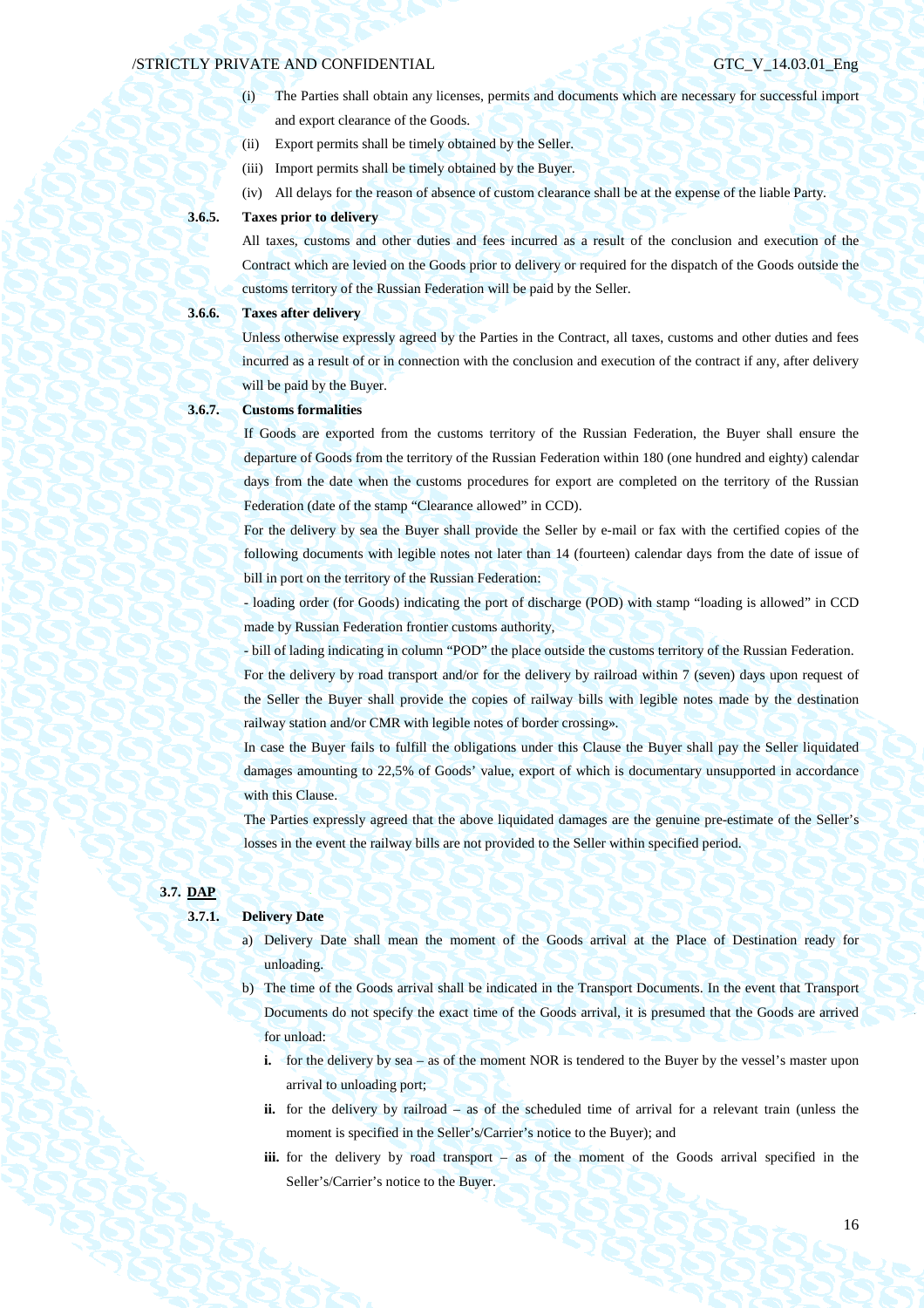- (i) The Parties shall obtain any licenses, permits and documents which are necessary for successful import and export clearance of the Goods.
- (ii) Export permits shall be timely obtained by the Seller.
- (iii) Import permits shall be timely obtained by the Buyer.
- (iv) All delays for the reason of absence of custom clearance shall be at the expense of the liable Party.

## **3.6.5. Taxes prior to delivery**

All taxes, customs and other duties and fees incurred as a result of the conclusion and execution of the Contract which are levied on the Goods prior to delivery or required for the dispatch of the Goods outside the customs territory of the Russian Federation will be paid by the Seller.

## **3.6.6. Taxes after delivery**

Unless otherwise expressly agreed by the Parties in the Contract, all taxes, customs and other duties and fees incurred as a result of or in connection with the conclusion and execution of the contract if any, after delivery will be paid by the Buyer.

### **3.6.7. Customs formalities**

If Goods are exported from the customs territory of the Russian Federation, the Buyer shall ensure the departure of Goods from the territory of the Russian Federation within 180 (one hundred and eighty) calendar days from the date when the customs procedures for export are completed on the territory of the Russian Federation (date of the stamp "Clearance allowed" in CCD).

For the delivery by sea the Buyer shall provide the Seller by e-mail or fax with the certified copies of the following documents with legible notes not later than 14 (fourteen) calendar days from the date of issue of bill in port on the territory of the Russian Federation:

- loading order (for Goods) indicating the port of discharge (POD) with stamp "loading is allowed" in CCD made by Russian Federation frontier customs authority,

- bill of lading indicating in column "POD" the place outside the customs territory of the Russian Federation. For the delivery by road transport and/or for the delivery by railroad within 7 (seven) days upon request of the Seller the Buyer shall provide the copies of railway bills with legible notes made by the destination railway station and/or CMR with legible notes of border crossing».

In case the Buyer fails to fulfill the obligations under this Clause the Buyer shall pay the Seller liquidated damages amounting to 22,5% of Goods' value, export of which is documentary unsupported in accordance with this Clause.

The Parties expressly agreed that the above liquidated damages are the genuine pre-estimate of the Seller's losses in the event the railway bills are not provided to the Seller within specified period.

## **3.7. DAP**

## **3.7.1. Delivery Date**

- a) Delivery Date shall mean the moment of the Goods arrival at the Place of Destination ready for unloading.
- b) The time of the Goods arrival shall be indicated in the Transport Documents. In the event that Transport Documents do not specify the exact time of the Goods arrival, it is presumed that the Goods are arrived for unload:
	- **i.** for the delivery by sea as of the moment NOR is tendered to the Buyer by the vessel's master upon arrival to unloading port;
	- **ii.** for the delivery by railroad as of the scheduled time of arrival for a relevant train (unless the moment is specified in the Seller's/Carrier's notice to the Buyer); and
	- **iii.** for the delivery by road transport as of the moment of the Goods arrival specified in the Seller's/Carrier's notice to the Buyer.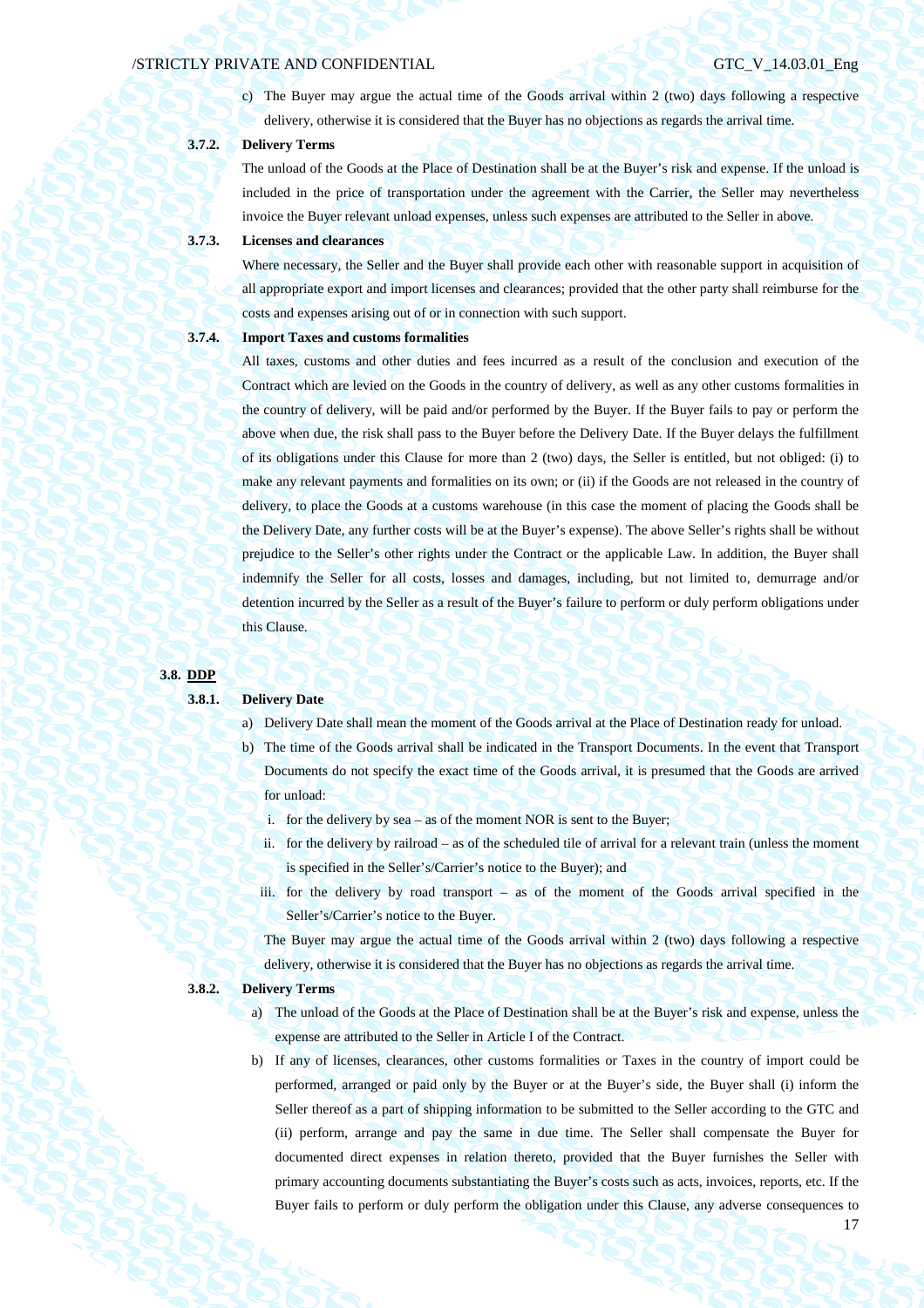c) The Buyer may argue the actual time of the Goods arrival within 2 (two) days following a respective delivery, otherwise it is considered that the Buyer has no objections as regards the arrival time.

## **3.7.2. Delivery Terms**

The unload of the Goods at the Place of Destination shall be at the Buyer's risk and expense. If the unload is included in the price of transportation under the agreement with the Carrier, the Seller may nevertheless invoice the Buyer relevant unload expenses, unless such expenses are attributed to the Seller in above.

## **3.7.3. Licenses and clearances**

Where necessary, the Seller and the Buyer shall provide each other with reasonable support in acquisition of all appropriate export and import licenses and clearances; provided that the other party shall reimburse for the costs and expenses arising out of or in connection with such support.

## **3.7.4. Import Taxes and customs formalities**

All taxes, customs and other duties and fees incurred as a result of the conclusion and execution of the Contract which are levied on the Goods in the country of delivery, as well as any other customs formalities in the country of delivery, will be paid and/or performed by the Buyer. If the Buyer fails to pay or perform the above when due, the risk shall pass to the Buyer before the Delivery Date. If the Buyer delays the fulfillment of its obligations under this Clause for more than 2 (two) days, the Seller is entitled, but not obliged: (i) to make any relevant payments and formalities on its own; or (ii) if the Goods are not released in the country of delivery, to place the Goods at a customs warehouse (in this case the moment of placing the Goods shall be the Delivery Date, any further costs will be at the Buyer's expense). The above Seller's rights shall be without prejudice to the Seller's other rights under the Contract or the applicable Law. In addition, the Buyer shall indemnify the Seller for all costs, losses and damages, including, but not limited to, demurrage and/or detention incurred by the Seller as a result of the Buyer's failure to perform or duly perform obligations under this Clause.

### **3.8. DDP**

### **3.8.1. Delivery Date**

- a) Delivery Date shall mean the moment of the Goods arrival at the Place of Destination ready for unload.
- b) The time of the Goods arrival shall be indicated in the Transport Documents. In the event that Transport Documents do not specify the exact time of the Goods arrival, it is presumed that the Goods are arrived for unload:
	- i. for the delivery by sea as of the moment NOR is sent to the Buyer;
	- ii. for the delivery by railroad as of the scheduled tile of arrival for a relevant train (unless the moment is specified in the Seller's/Carrier's notice to the Buyer); and
	- iii. for the delivery by road transport as of the moment of the Goods arrival specified in the Seller's/Carrier's notice to the Buyer.

The Buyer may argue the actual time of the Goods arrival within 2 (two) days following a respective delivery, otherwise it is considered that the Buyer has no objections as regards the arrival time.

### **3.8.2. Delivery Terms**

- a) The unload of the Goods at the Place of Destination shall be at the Buyer's risk and expense, unless the expense are attributed to the Seller in Article I of the Contract.
- b) If any of licenses, clearances, other customs formalities or Taxes in the country of import could be performed, arranged or paid only by the Buyer or at the Buyer's side, the Buyer shall (i) inform the Seller thereof as a part of shipping information to be submitted to the Seller according to the GTC and (ii) perform, arrange and pay the same in due time. The Seller shall compensate the Buyer for documented direct expenses in relation thereto, provided that the Buyer furnishes the Seller with primary accounting documents substantiating the Buyer's costs such as acts, invoices, reports, etc. If the Buyer fails to perform or duly perform the obligation under this Clause, any adverse consequences to

17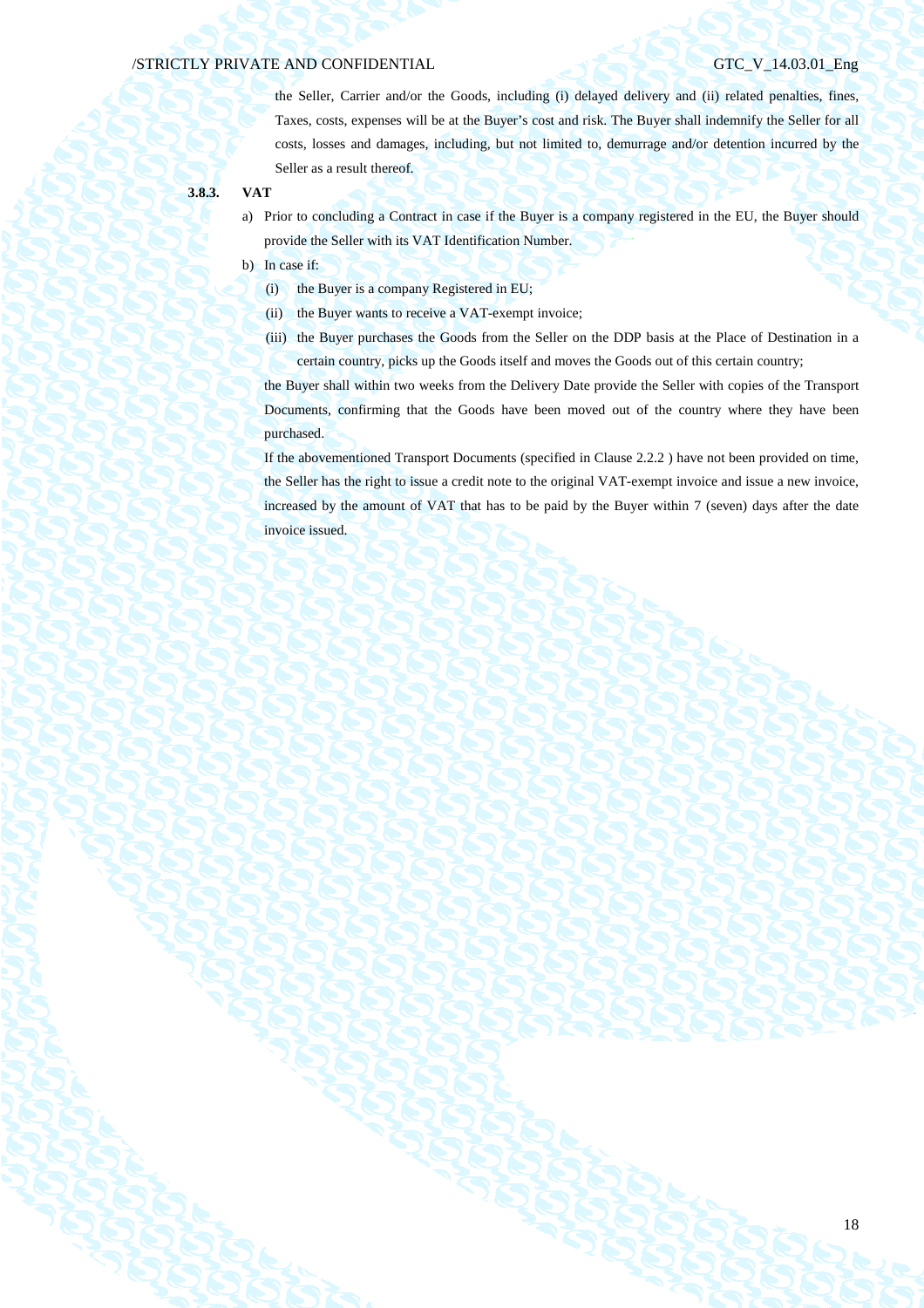the Seller, Carrier and/or the Goods, including (i) delayed delivery and (ii) related penalties, fines, Taxes, costs, expenses will be at the Buyer's cost and risk. The Buyer shall indemnify the Seller for all costs, losses and damages, including, but not limited to, demurrage and/or detention incurred by the Seller as a result thereof.

- **3.8.3. VAT** 
	- a) Prior to concluding a Contract in case if the Buyer is a company registered in the EU, the Buyer should provide the Seller with its VAT Identification Number.
	- b) In case if:
		- (i) the Buyer is a company Registered in EU;
		- (ii) the Buyer wants to receive a VAT-exempt invoice;
		- (iii) the Buyer purchases the Goods from the Seller on the DDP basis at the Place of Destination in a certain country, picks up the Goods itself and moves the Goods out of this certain country;

the Buyer shall within two weeks from the Delivery Date provide the Seller with copies of the Transport Documents, confirming that the Goods have been moved out of the country where they have been purchased.

If the abovementioned Transport Documents (specified in Clause 2.2.2 ) have not been provided on time, the Seller has the right to issue a credit note to the original VAT-exempt invoice and issue a new invoice, increased by the amount of VAT that has to be paid by the Buyer within 7 (seven) days after the date invoice issued.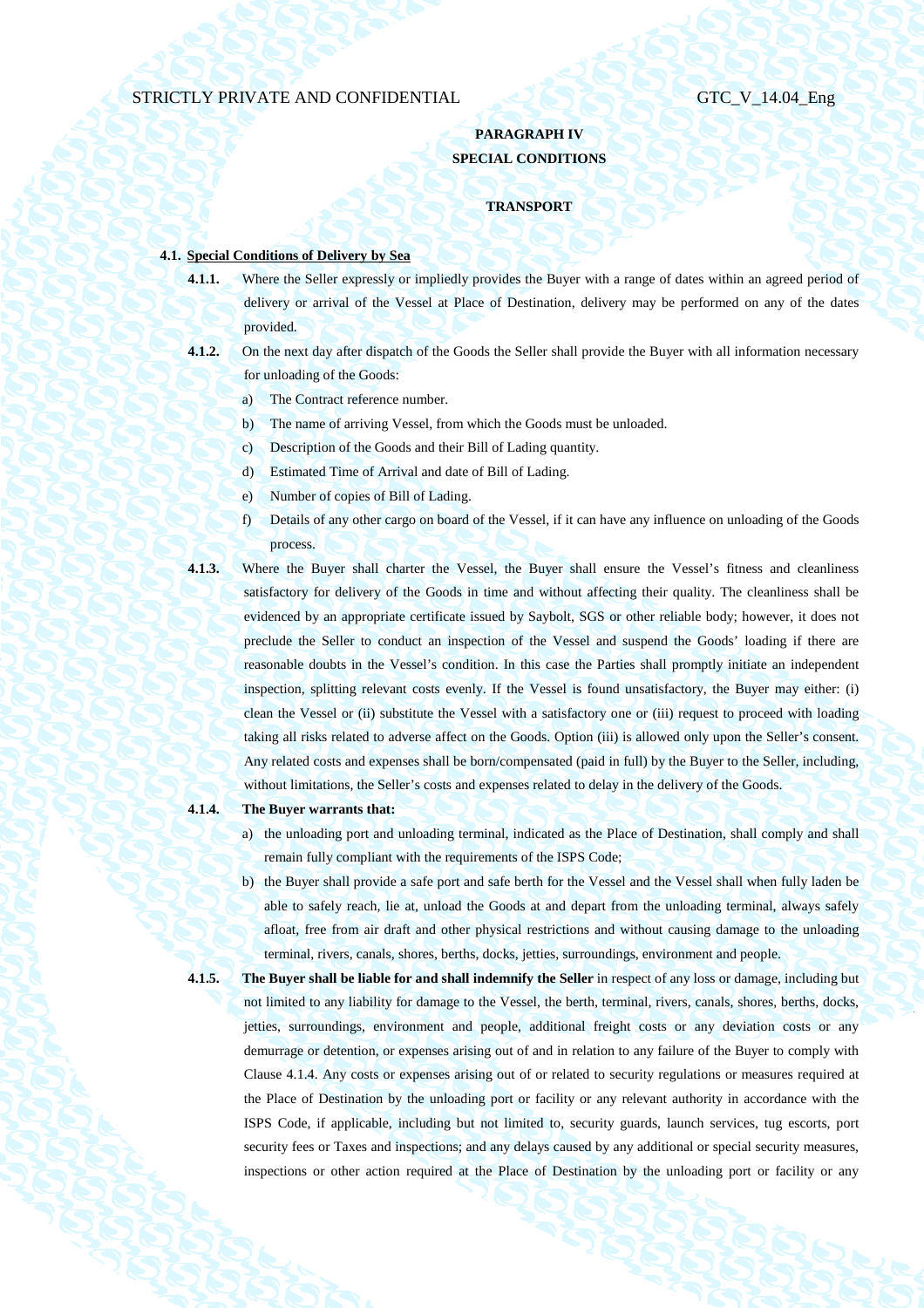## **PARAGRAPH IV SPECIAL CONDITIONS**

### **TRANSPORT**

## **4.1. Special Conditions of Delivery by Sea**

- **4.1.1.** Where the Seller expressly or impliedly provides the Buyer with a range of dates within an agreed period of delivery or arrival of the Vessel at Place of Destination, delivery may be performed on any of the dates provided.
- **4.1.2.** On the next day after dispatch of the Goods the Seller shall provide the Buyer with all information necessary for unloading of the Goods:
	- a) The Contract reference number.
	- b) The name of arriving Vessel, from which the Goods must be unloaded.
	- c) Description of the Goods and their Bill of Lading quantity.
	- d) Estimated Time of Arrival and date of Bill of Lading.
	- e) Number of copies of Bill of Lading.
	- f) Details of any other cargo on board of the Vessel, if it can have any influence on unloading of the Goods process.
- **4.1.3.** Where the Buyer shall charter the Vessel, the Buyer shall ensure the Vessel's fitness and cleanliness satisfactory for delivery of the Goods in time and without affecting their quality. The cleanliness shall be evidenced by an appropriate certificate issued by Saybolt, SGS or other reliable body; however, it does not preclude the Seller to conduct an inspection of the Vessel and suspend the Goods' loading if there are reasonable doubts in the Vessel's condition. In this case the Parties shall promptly initiate an independent inspection, splitting relevant costs evenly. If the Vessel is found unsatisfactory, the Buyer may either: (i) clean the Vessel or (ii) substitute the Vessel with a satisfactory one or (iii) request to proceed with loading taking all risks related to adverse affect on the Goods. Option (iii) is allowed only upon the Seller's consent. Any related costs and expenses shall be born/compensated (paid in full) by the Buyer to the Seller, including, without limitations, the Seller's costs and expenses related to delay in the delivery of the Goods.
- 

### **4.1.4. The Buyer warrants that:**

- a) the unloading port and unloading terminal, indicated as the Place of Destination, shall comply and shall remain fully compliant with the requirements of the ISPS Code;
- b) the Buyer shall provide a safe port and safe berth for the Vessel and the Vessel shall when fully laden be able to safely reach, lie at, unload the Goods at and depart from the unloading terminal, always safely afloat, free from air draft and other physical restrictions and without causing damage to the unloading terminal, rivers, canals, shores, berths, docks, jetties, surroundings, environment and people.
- 

**4.1.5. The Buyer shall be liable for and shall indemnify the Seller** in respect of any loss or damage, including but not limited to any liability for damage to the Vessel, the berth, terminal, rivers, canals, shores, berths, docks, jetties, surroundings, environment and people, additional freight costs or any deviation costs or any demurrage or detention, or expenses arising out of and in relation to any failure of the Buyer to comply with Clause 4.1.4. Any costs or expenses arising out of or related to security regulations or measures required at the Place of Destination by the unloading port or facility or any relevant authority in accordance with the ISPS Code, if applicable, including but not limited to, security guards, launch services, tug escorts, port security fees or Taxes and inspections; and any delays caused by any additional or special security measures, inspections or other action required at the Place of Destination by the unloading port or facility or any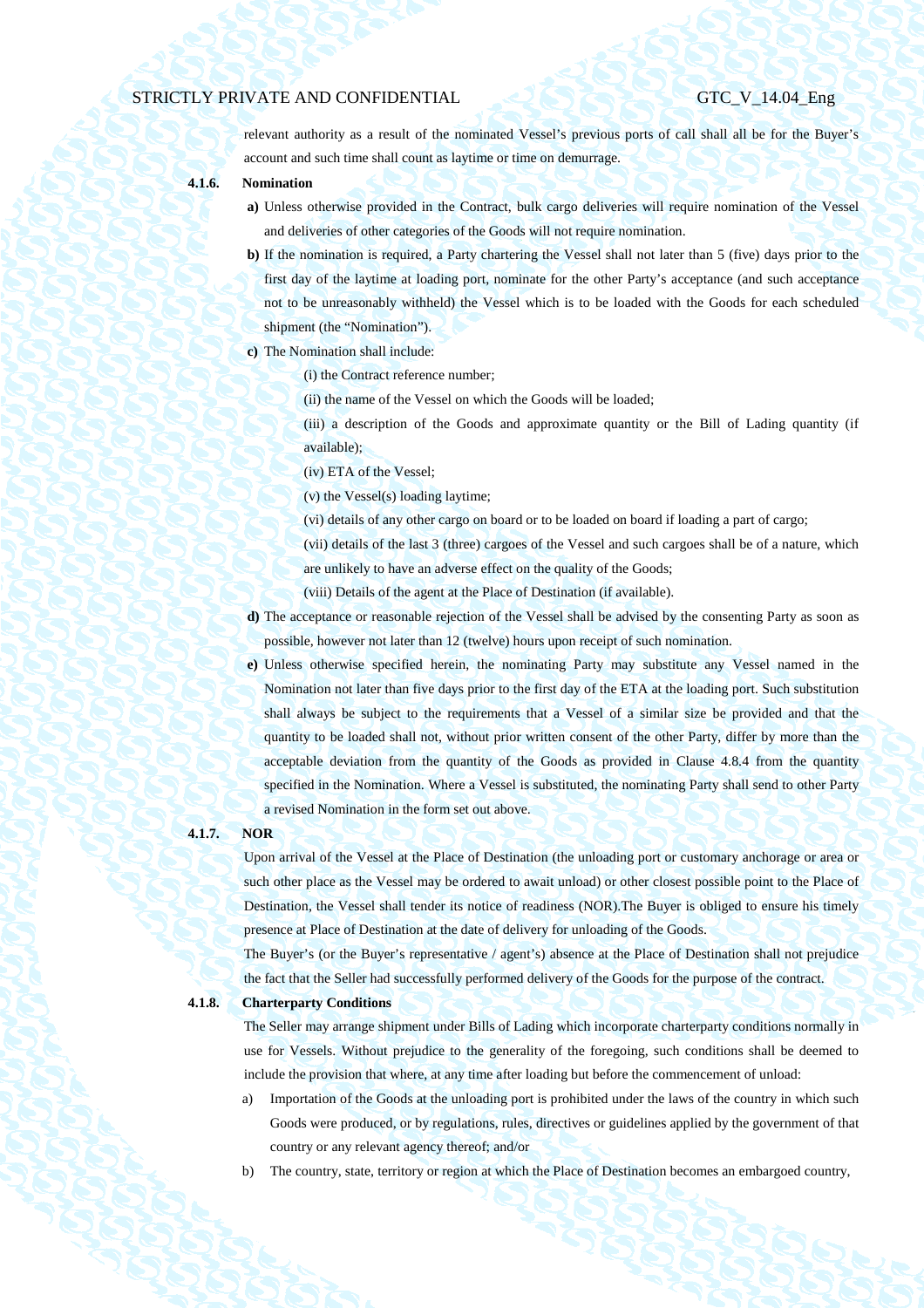relevant authority as a result of the nominated Vessel's previous ports of call shall all be for the Buyer's account and such time shall count as laytime or time on demurrage.

- **4.1.6. Nomination** 
	- **a)** Unless otherwise provided in the Contract, bulk cargo deliveries will require nomination of the Vessel and deliveries of other categories of the Goods will not require nomination.
	- **b)** If the nomination is required, a Party chartering the Vessel shall not later than 5 (five) days prior to the first day of the laytime at loading port, nominate for the other Party's acceptance (and such acceptance not to be unreasonably withheld) the Vessel which is to be loaded with the Goods for each scheduled shipment (the "Nomination").
	- **c)** The Nomination shall include:
		- (i) the Contract reference number;
			- (ii) the name of the Vessel on which the Goods will be loaded;
		- (iii) a description of the Goods and approximate quantity or the Bill of Lading quantity (if available);
			- (iv) ETA of the Vessel;
		- (v) the Vessel(s) loading laytime;
		- (vi) details of any other cargo on board or to be loaded on board if loading a part of cargo;
		- (vii) details of the last 3 (three) cargoes of the Vessel and such cargoes shall be of a nature, which are unlikely to have an adverse effect on the quality of the Goods;
		- (viii) Details of the agent at the Place of Destination (if available).
	- **d)** The acceptance or reasonable rejection of the Vessel shall be advised by the consenting Party as soon as
		- possible, however not later than 12 (twelve) hours upon receipt of such nomination.
	- **e)** Unless otherwise specified herein, the nominating Party may substitute any Vessel named in the Nomination not later than five days prior to the first day of the ETA at the loading port. Such substitution shall always be subject to the requirements that a Vessel of a similar size be provided and that the quantity to be loaded shall not, without prior written consent of the other Party, differ by more than the acceptable deviation from the quantity of the Goods as provided in Clause 4.8.4 from the quantity specified in the Nomination. Where a Vessel is substituted, the nominating Party shall send to other Party a revised Nomination in the form set out above.

### **4.1.7. NOR**

Upon arrival of the Vessel at the Place of Destination (the unloading port or customary anchorage or area or such other place as the Vessel may be ordered to await unload) or other closest possible point to the Place of Destination, the Vessel shall tender its notice of readiness (NOR).The Buyer is obliged to ensure his timely presence at Place of Destination at the date of delivery for unloading of the Goods.

The Buyer's (or the Buyer's representative / agent's) absence at the Place of Destination shall not prejudice the fact that the Seller had successfully performed delivery of the Goods for the purpose of the contract.

**4.1.8. Charterparty Conditions** 

The Seller may arrange shipment under Bills of Lading which incorporate charterparty conditions normally in use for Vessels. Without prejudice to the generality of the foregoing, such conditions shall be deemed to include the provision that where, at any time after loading but before the commencement of unload:

- a) Importation of the Goods at the unloading port is prohibited under the laws of the country in which such Goods were produced, or by regulations, rules, directives or guidelines applied by the government of that country or any relevant agency thereof; and/or
- b) The country, state, territory or region at which the Place of Destination becomes an embargoed country,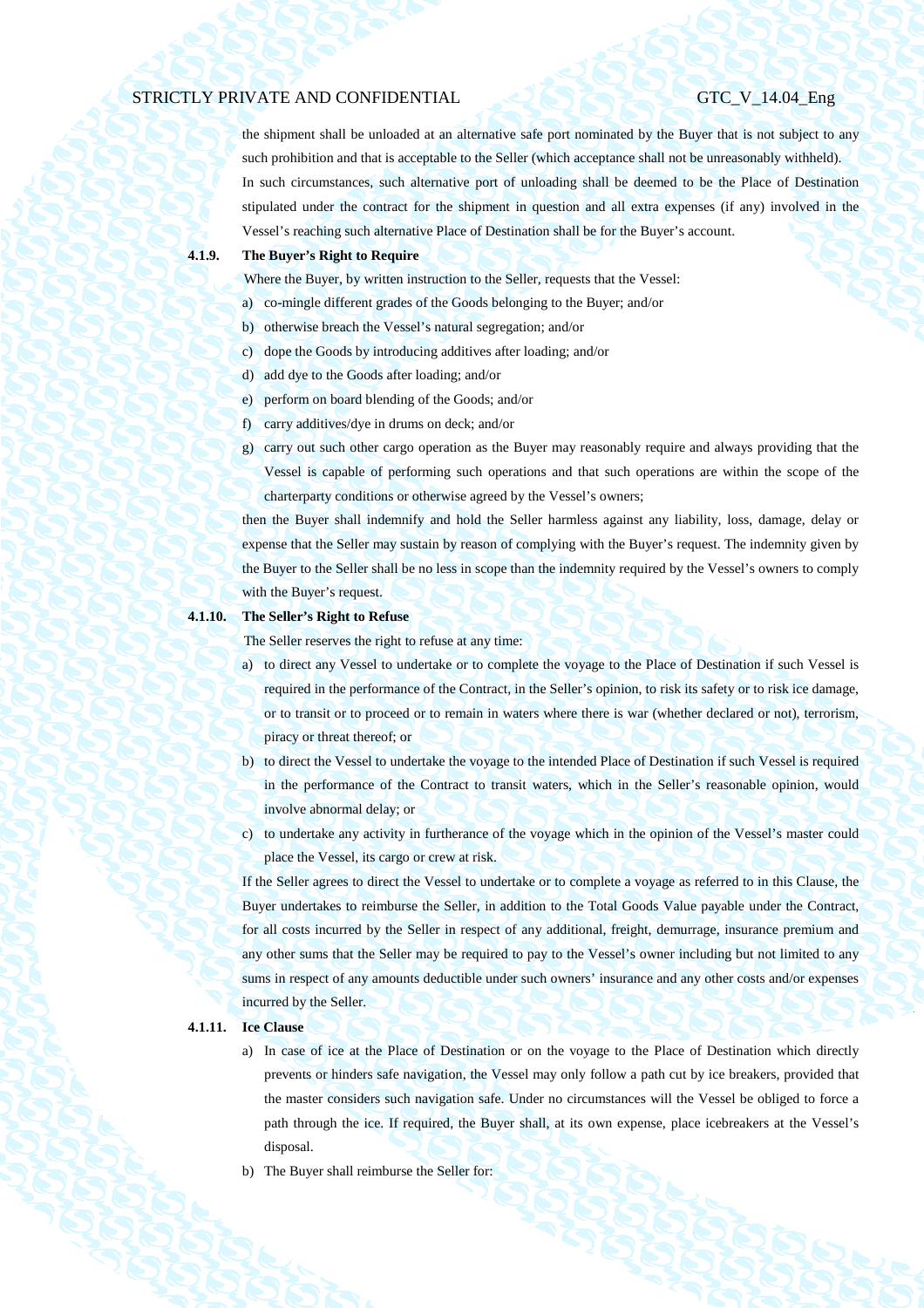the shipment shall be unloaded at an alternative safe port nominated by the Buyer that is not subject to any such prohibition and that is acceptable to the Seller (which acceptance shall not be unreasonably withheld). In such circumstances, such alternative port of unloading shall be deemed to be the Place of Destination stipulated under the contract for the shipment in question and all extra expenses (if any) involved in the Vessel's reaching such alternative Place of Destination shall be for the Buyer's account.

## **4.1.9. The Buyer's Right to Require**

Where the Buyer, by written instruction to the Seller, requests that the Vessel:

- a) co-mingle different grades of the Goods belonging to the Buyer; and/or
- b) otherwise breach the Vessel's natural segregation; and/or
- c) dope the Goods by introducing additives after loading; and/or
- d) add dye to the Goods after loading; and/or
- e) perform on board blending of the Goods; and/or
- f) carry additives/dye in drums on deck; and/or
- g) carry out such other cargo operation as the Buyer may reasonably require and always providing that the Vessel is capable of performing such operations and that such operations are within the scope of the charterparty conditions or otherwise agreed by the Vessel's owners;

then the Buyer shall indemnify and hold the Seller harmless against any liability, loss, damage, delay or expense that the Seller may sustain by reason of complying with the Buyer's request. The indemnity given by the Buyer to the Seller shall be no less in scope than the indemnity required by the Vessel's owners to comply with the Buyer's request.

## **4.1.10. The Seller's Right to Refuse**

The Seller reserves the right to refuse at any time:

- a) to direct any Vessel to undertake or to complete the voyage to the Place of Destination if such Vessel is required in the performance of the Contract, in the Seller's opinion, to risk its safety or to risk ice damage, or to transit or to proceed or to remain in waters where there is war (whether declared or not), terrorism, piracy or threat thereof; or
- b) to direct the Vessel to undertake the voyage to the intended Place of Destination if such Vessel is required in the performance of the Contract to transit waters, which in the Seller's reasonable opinion, would involve abnormal delay; or
- c) to undertake any activity in furtherance of the voyage which in the opinion of the Vessel's master could place the Vessel, its cargo or crew at risk.

If the Seller agrees to direct the Vessel to undertake or to complete a voyage as referred to in this Clause, the Buyer undertakes to reimburse the Seller, in addition to the Total Goods Value payable under the Contract, for all costs incurred by the Seller in respect of any additional, freight, demurrage, insurance premium and any other sums that the Seller may be required to pay to the Vessel's owner including but not limited to any sums in respect of any amounts deductible under such owners' insurance and any other costs and/or expenses incurred by the Seller.

## **4.1.11. Ice Clause**

- a) In case of ice at the Place of Destination or on the voyage to the Place of Destination which directly prevents or hinders safe navigation, the Vessel may only follow a path cut by ice breakers, provided that the master considers such navigation safe. Under no circumstances will the Vessel be obliged to force a path through the ice. If required, the Buyer shall, at its own expense, place icebreakers at the Vessel's disposal.
- b) The Buyer shall reimburse the Seller for: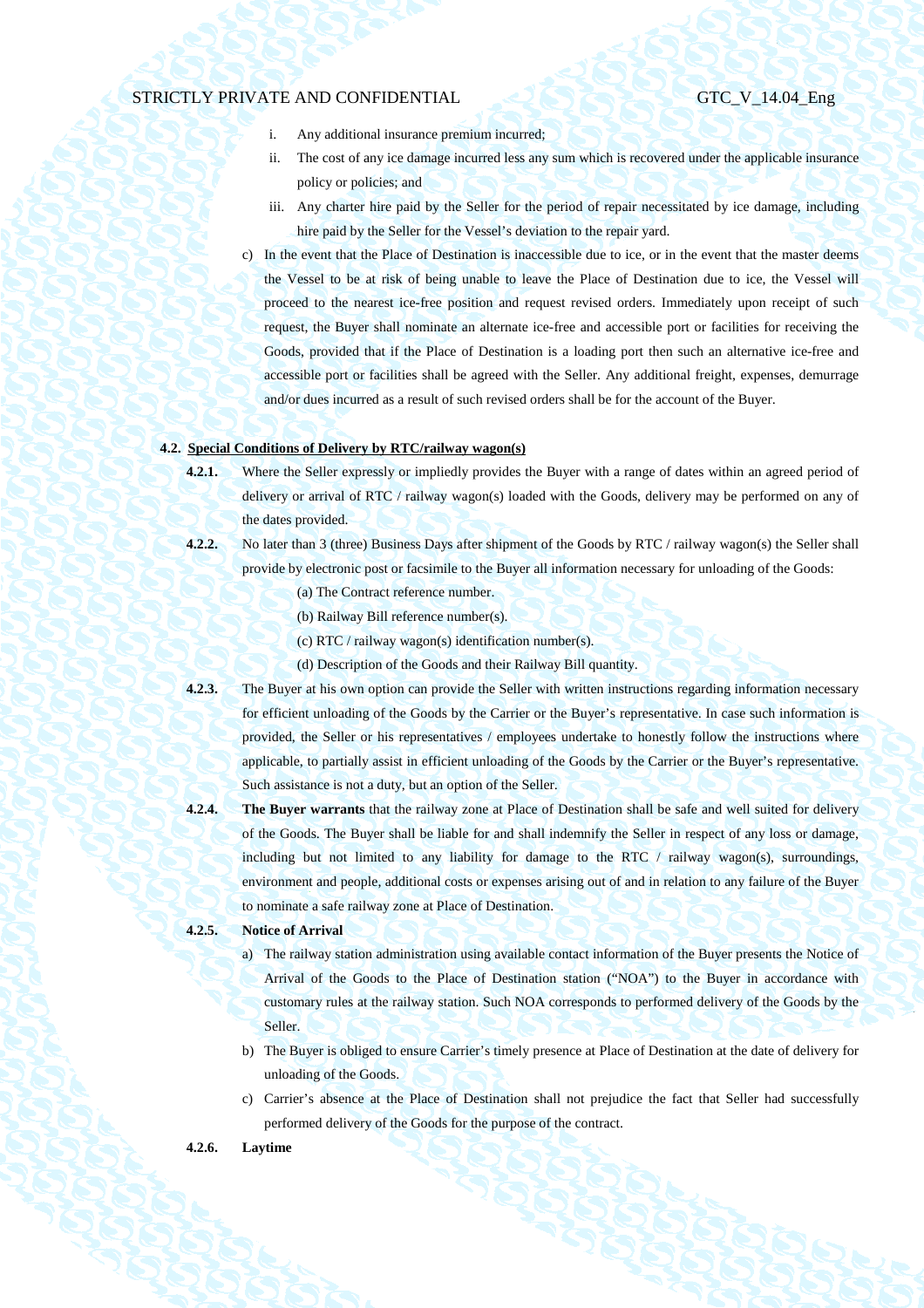- i. Any additional insurance premium incurred;
- ii. The cost of any ice damage incurred less any sum which is recovered under the applicable insurance policy or policies; and
- iii. Any charter hire paid by the Seller for the period of repair necessitated by ice damage, including hire paid by the Seller for the Vessel's deviation to the repair yard.
- c) In the event that the Place of Destination is inaccessible due to ice, or in the event that the master deems the Vessel to be at risk of being unable to leave the Place of Destination due to ice, the Vessel will proceed to the nearest ice-free position and request revised orders. Immediately upon receipt of such request, the Buyer shall nominate an alternate ice-free and accessible port or facilities for receiving the Goods, provided that if the Place of Destination is a loading port then such an alternative ice-free and accessible port or facilities shall be agreed with the Seller. Any additional freight, expenses, demurrage and/or dues incurred as a result of such revised orders shall be for the account of the Buyer.

## **4.2. Special Conditions of Delivery by RTC/railway wagon(s)**

- **4.2.1.** Where the Seller expressly or impliedly provides the Buyer with a range of dates within an agreed period of delivery or arrival of RTC / railway wagon(s) loaded with the Goods, delivery may be performed on any of the dates provided.
- **4.2.2.** No later than 3 (three) Business Days after shipment of the Goods by RTC / railway wagon(s) the Seller shall provide by electronic post or facsimile to the Buyer all information necessary for unloading of the Goods:
	- (a) The Contract reference number.
	- (b) Railway Bill reference number(s).
	- (c) RTC / railway wagon(s) identification number(s).
	- (d) Description of the Goods and their Railway Bill quantity.
- **4.2.3.** The Buyer at his own option can provide the Seller with written instructions regarding information necessary for efficient unloading of the Goods by the Carrier or the Buyer's representative. In case such information is provided, the Seller or his representatives / employees undertake to honestly follow the instructions where applicable, to partially assist in efficient unloading of the Goods by the Carrier or the Buyer's representative. Such assistance is not a duty, but an option of the Seller.
- **4.2.4. The Buyer warrants** that the railway zone at Place of Destination shall be safe and well suited for delivery of the Goods. The Buyer shall be liable for and shall indemnify the Seller in respect of any loss or damage, including but not limited to any liability for damage to the RTC  $/$  railway wagon(s), surroundings, environment and people, additional costs or expenses arising out of and in relation to any failure of the Buyer to nominate a safe railway zone at Place of Destination.

## **4.2.5. Notice of Arrival**

- a) The railway station administration using available contact information of the Buyer presents the Notice of Arrival of the Goods to the Place of Destination station ("NOA") to the Buyer in accordance with customary rules at the railway station. Such NOA corresponds to performed delivery of the Goods by the Seller.
- b) The Buyer is obliged to ensure Carrier's timely presence at Place of Destination at the date of delivery for unloading of the Goods.
- c) Carrier's absence at the Place of Destination shall not prejudice the fact that Seller had successfully performed delivery of the Goods for the purpose of the contract.

## **4.2.6. Laytime**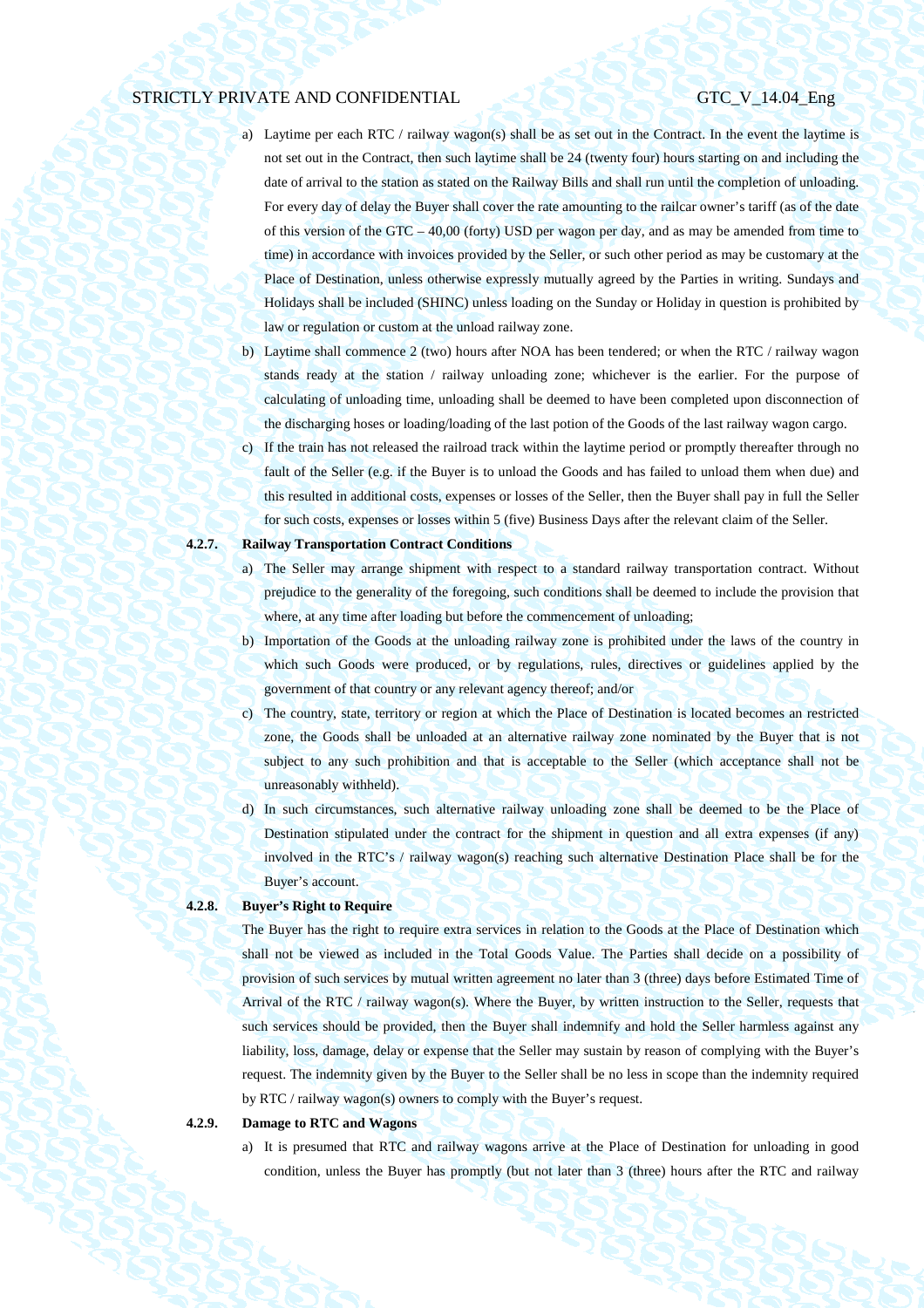- a) Laytime per each RTC / railway wagon(s) shall be as set out in the Contract. In the event the laytime is not set out in the Contract, then such laytime shall be 24 (twenty four) hours starting on and including the date of arrival to the station as stated on the Railway Bills and shall run until the completion of unloading. For every day of delay the Buyer shall cover the rate amounting to the railcar owner's tariff (as of the date of this version of the GTC – 40,00 (forty) USD per wagon per day, and as may be amended from time to time) in accordance with invoices provided by the Seller, or such other period as may be customary at the Place of Destination, unless otherwise expressly mutually agreed by the Parties in writing. Sundays and Holidays shall be included (SHINC) unless loading on the Sunday or Holiday in question is prohibited by law or regulation or custom at the unload railway zone.
- b) Laytime shall commence 2 (two) hours after NOA has been tendered; or when the RTC / railway wagon stands ready at the station / railway unloading zone; whichever is the earlier. For the purpose of calculating of unloading time, unloading shall be deemed to have been completed upon disconnection of the discharging hoses or loading/loading of the last potion of the Goods of the last railway wagon cargo.
- c) If the train has not released the railroad track within the laytime period or promptly thereafter through no fault of the Seller (e.g. if the Buyer is to unload the Goods and has failed to unload them when due) and this resulted in additional costs, expenses or losses of the Seller, then the Buyer shall pay in full the Seller for such costs, expenses or losses within 5 (five) Business Days after the relevant claim of the Seller.

## **4.2.7. Railway Transportation Contract Conditions**

- a) The Seller may arrange shipment with respect to a standard railway transportation contract. Without prejudice to the generality of the foregoing, such conditions shall be deemed to include the provision that where, at any time after loading but before the commencement of unloading;
- b) Importation of the Goods at the unloading railway zone is prohibited under the laws of the country in which such Goods were produced, or by regulations, rules, directives or guidelines applied by the government of that country or any relevant agency thereof; and/or
- c) The country, state, territory or region at which the Place of Destination is located becomes an restricted zone, the Goods shall be unloaded at an alternative railway zone nominated by the Buyer that is not subject to any such prohibition and that is acceptable to the Seller (which acceptance shall not be unreasonably withheld).
- d) In such circumstances, such alternative railway unloading zone shall be deemed to be the Place of Destination stipulated under the contract for the shipment in question and all extra expenses (if any) involved in the RTC's / railway wagon(s) reaching such alternative Destination Place shall be for the Buyer's account.

### **4.2.8. Buyer's Right to Require**

The Buyer has the right to require extra services in relation to the Goods at the Place of Destination which shall not be viewed as included in the Total Goods Value. The Parties shall decide on a possibility of provision of such services by mutual written agreement no later than 3 (three) days before Estimated Time of Arrival of the RTC / railway wagon(s). Where the Buyer, by written instruction to the Seller, requests that such services should be provided, then the Buyer shall indemnify and hold the Seller harmless against any liability, loss, damage, delay or expense that the Seller may sustain by reason of complying with the Buyer's request. The indemnity given by the Buyer to the Seller shall be no less in scope than the indemnity required by RTC / railway wagon(s) owners to comply with the Buyer's request.

### **4.2.9. Damage to RTC and Wagons**

a) It is presumed that RTC and railway wagons arrive at the Place of Destination for unloading in good condition, unless the Buyer has promptly (but not later than 3 (three) hours after the RTC and railway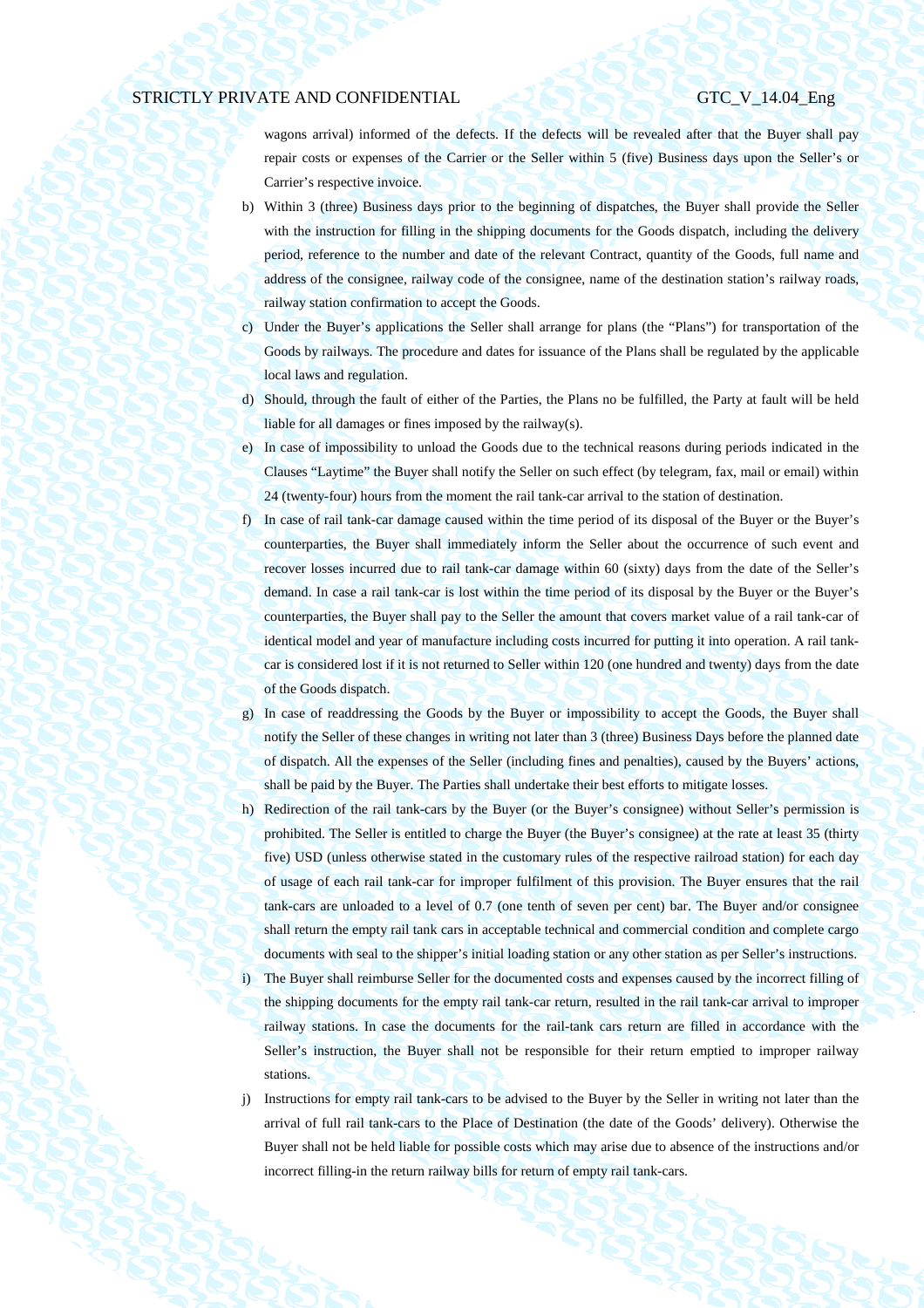wagons arrival) informed of the defects. If the defects will be revealed after that the Buyer shall pay repair costs or expenses of the Carrier or the Seller within 5 (five) Business days upon the Seller's or Carrier's respective invoice.

- b) Within 3 (three) Business days prior to the beginning of dispatches, the Buyer shall provide the Seller with the instruction for filling in the shipping documents for the Goods dispatch, including the delivery period, reference to the number and date of the relevant Contract, quantity of the Goods, full name and address of the consignee, railway code of the consignee, name of the destination station's railway roads, railway station confirmation to accept the Goods.
- c) Under the Buyer's applications the Seller shall arrange for plans (the "Plans") for transportation of the Goods by railways. The procedure and dates for issuance of the Plans shall be regulated by the applicable local laws and regulation.
- d) Should, through the fault of either of the Parties, the Plans no be fulfilled, the Party at fault will be held liable for all damages or fines imposed by the railway(s).
- e) In case of impossibility to unload the Goods due to the technical reasons during periods indicated in the Clauses "Laytime" the Buyer shall notify the Seller on such effect (by telegram, fax, mail or email) within 24 (twenty-four) hours from the moment the rail tank-car arrival to the station of destination.
- f) In case of rail tank-car damage caused within the time period of its disposal of the Buyer or the Buyer's counterparties, the Buyer shall immediately inform the Seller about the occurrence of such event and recover losses incurred due to rail tank-car damage within 60 (sixty) days from the date of the Seller's demand. In case a rail tank-car is lost within the time period of its disposal by the Buyer or the Buyer's counterparties, the Buyer shall pay to the Seller the amount that covers market value of a rail tank-car of identical model and year of manufacture including costs incurred for putting it into operation. A rail tankcar is considered lost if it is not returned to Seller within 120 (one hundred and twenty) days from the date of the Goods dispatch.
- g) In case of readdressing the Goods by the Buyer or impossibility to accept the Goods, the Buyer shall notify the Seller of these changes in writing not later than 3 (three) Business Days before the planned date of dispatch. All the expenses of the Seller (including fines and penalties), caused by the Buyers' actions, shall be paid by the Buyer. The Parties shall undertake their best efforts to mitigate losses.
- h) Redirection of the rail tank-cars by the Buyer (or the Buyer's consignee) without Seller's permission is prohibited. The Seller is entitled to charge the Buyer (the Buyer's consignee) at the rate at least 35 (thirty five) USD (unless otherwise stated in the customary rules of the respective railroad station) for each day of usage of each rail tank-car for improper fulfilment of this provision. The Buyer ensures that the rail tank-cars are unloaded to a level of 0.7 (one tenth of seven per cent) bar. The Buyer and/or consignee shall return the empty rail tank cars in acceptable technical and commercial condition and complete cargo documents with seal to the shipper's initial loading station or any other station as per Seller's instructions. i) The Buyer shall reimburse Seller for the documented costs and expenses caused by the incorrect filling of the shipping documents for the empty rail tank-car return, resulted in the rail tank-car arrival to improper railway stations. In case the documents for the rail-tank cars return are filled in accordance with the Seller's instruction, the Buyer shall not be responsible for their return emptied to improper railway stations.
- j) Instructions for empty rail tank-cars to be advised to the Buyer by the Seller in writing not later than the arrival of full rail tank-cars to the Place of Destination (the date of the Goods' delivery). Otherwise the Buyer shall not be held liable for possible costs which may arise due to absence of the instructions and/or incorrect filling-in the return railway bills for return of empty rail tank-cars.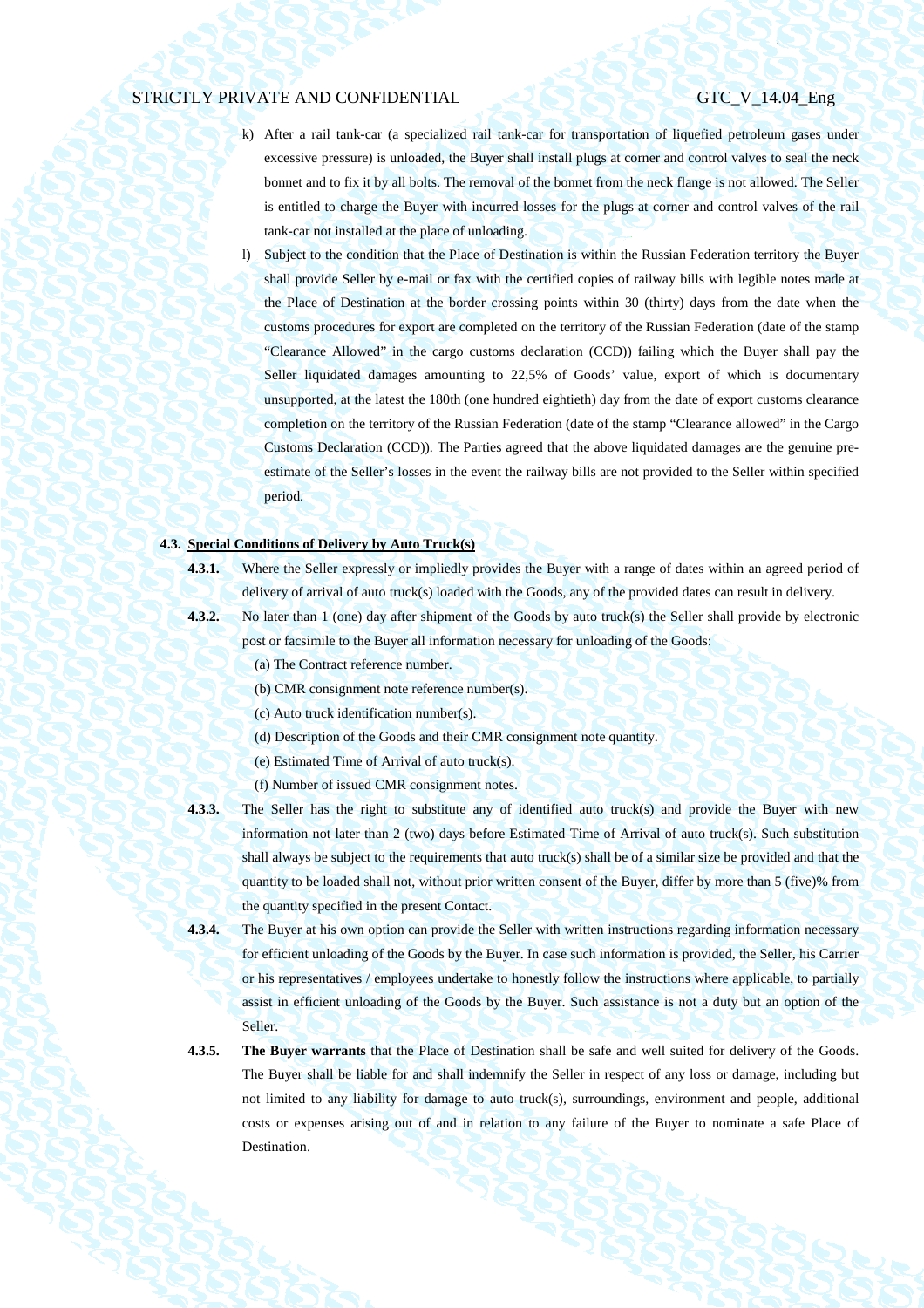- k) After a rail tank-car (a specialized rail tank-car for transportation of liquefied petroleum gases under excessive pressure) is unloaded, the Buyer shall install plugs at corner and control valves to seal the neck bonnet and to fix it by all bolts. The removal of the bonnet from the neck flange is not allowed. The Seller is entitled to charge the Buyer with incurred losses for the plugs at corner and control valves of the rail tank-car not installed at the place of unloading.
- l) Subject to the condition that the Place of Destination is within the Russian Federation territory the Buyer shall provide Seller by e-mail or fax with the certified copies of railway bills with legible notes made at the Place of Destination at the border crossing points within 30 (thirty) days from the date when the customs procedures for export are completed on the territory of the Russian Federation (date of the stamp "Clearance Allowed" in the cargo customs declaration (CCD)) failing which the Buyer shall pay the Seller liquidated damages amounting to 22,5% of Goods' value, export of which is documentary unsupported, at the latest the 180th (one hundred eightieth) day from the date of export customs clearance completion on the territory of the Russian Federation (date of the stamp "Clearance allowed" in the Cargo Customs Declaration (CCD)). The Parties agreed that the above liquidated damages are the genuine preestimate of the Seller's losses in the event the railway bills are not provided to the Seller within specified period.

## **4.3. Special Conditions of Delivery by Auto Truck(s)**

- 
- **4.3.1.** Where the Seller expressly or impliedly provides the Buyer with a range of dates within an agreed period of delivery of arrival of auto truck(s) loaded with the Goods, any of the provided dates can result in delivery.
- 
- **4.3.2.** No later than 1 (one) day after shipment of the Goods by auto truck(s) the Seller shall provide by electronic post or facsimile to the Buyer all information necessary for unloading of the Goods:
	- (a) The Contract reference number.
	- (b) CMR consignment note reference number(s).
	- (c) Auto truck identification number(s).
	- (d) Description of the Goods and their CMR consignment note quantity.
	- (e) Estimated Time of Arrival of auto truck(s).
	- (f) Number of issued CMR consignment notes.
- **4.3.3.** The Seller has the right to substitute any of identified auto truck(s) and provide the Buyer with new information not later than 2 (two) days before Estimated Time of Arrival of auto truck(s). Such substitution shall always be subject to the requirements that auto truck(s) shall be of a similar size be provided and that the quantity to be loaded shall not, without prior written consent of the Buyer, differ by more than 5 (five)% from the quantity specified in the present Contact.
- **4.3.4.** The Buyer at his own option can provide the Seller with written instructions regarding information necessary for efficient unloading of the Goods by the Buyer. In case such information is provided, the Seller, his Carrier or his representatives / employees undertake to honestly follow the instructions where applicable, to partially assist in efficient unloading of the Goods by the Buyer. Such assistance is not a duty but an option of the Seller.
- **4.3.5. The Buyer warrants** that the Place of Destination shall be safe and well suited for delivery of the Goods. The Buyer shall be liable for and shall indemnify the Seller in respect of any loss or damage, including but not limited to any liability for damage to auto truck(s), surroundings, environment and people, additional costs or expenses arising out of and in relation to any failure of the Buyer to nominate a safe Place of Destination.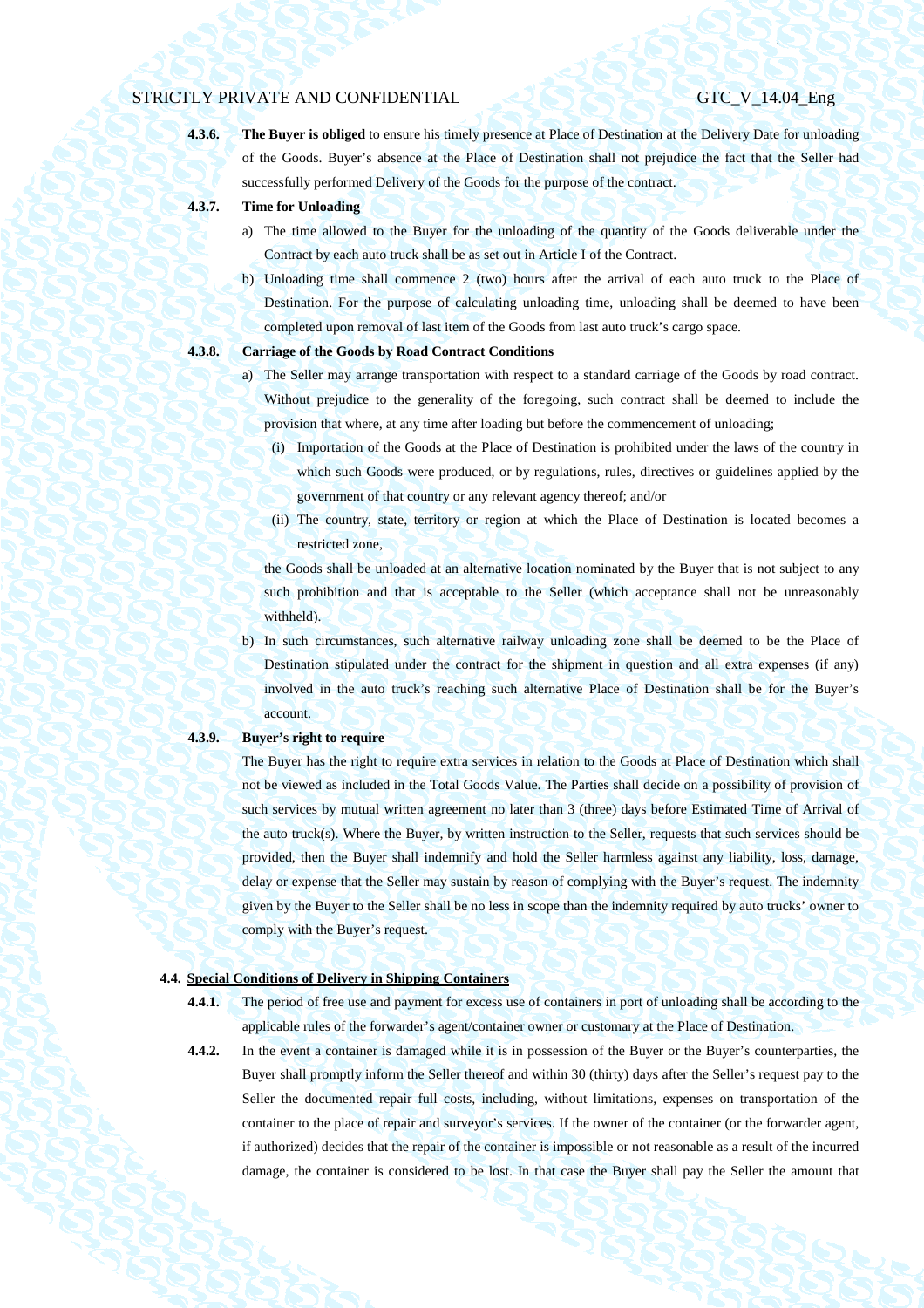**4.3.6. The Buyer is obliged** to ensure his timely presence at Place of Destination at the Delivery Date for unloading of the Goods. Buyer's absence at the Place of Destination shall not prejudice the fact that the Seller had successfully performed Delivery of the Goods for the purpose of the contract.

- **4.3.7. Time for Unloading** 
	- a) The time allowed to the Buyer for the unloading of the quantity of the Goods deliverable under the Contract by each auto truck shall be as set out in Article I of the Contract.
	- b) Unloading time shall commence 2 (two) hours after the arrival of each auto truck to the Place of Destination. For the purpose of calculating unloading time, unloading shall be deemed to have been completed upon removal of last item of the Goods from last auto truck's cargo space.

## **4.3.8. Carriage of the Goods by Road Contract Conditions**

- a) The Seller may arrange transportation with respect to a standard carriage of the Goods by road contract. Without prejudice to the generality of the foregoing, such contract shall be deemed to include the provision that where, at any time after loading but before the commencement of unloading;
	- (i) Importation of the Goods at the Place of Destination is prohibited under the laws of the country in which such Goods were produced, or by regulations, rules, directives or guidelines applied by the government of that country or any relevant agency thereof; and/or
	- (ii) The country, state, territory or region at which the Place of Destination is located becomes a restricted zone,

the Goods shall be unloaded at an alternative location nominated by the Buyer that is not subject to any such prohibition and that is acceptable to the Seller (which acceptance shall not be unreasonably withheld).

b) In such circumstances, such alternative railway unloading zone shall be deemed to be the Place of Destination stipulated under the contract for the shipment in question and all extra expenses (if any) involved in the auto truck's reaching such alternative Place of Destination shall be for the Buyer's account.

### **4.3.9. Buyer's right to require**

The Buyer has the right to require extra services in relation to the Goods at Place of Destination which shall not be viewed as included in the Total Goods Value. The Parties shall decide on a possibility of provision of such services by mutual written agreement no later than 3 (three) days before Estimated Time of Arrival of the auto truck(s). Where the Buyer, by written instruction to the Seller, requests that such services should be provided, then the Buyer shall indemnify and hold the Seller harmless against any liability, loss, damage, delay or expense that the Seller may sustain by reason of complying with the Buyer's request. The indemnity given by the Buyer to the Seller shall be no less in scope than the indemnity required by auto trucks' owner to comply with the Buyer's request.

## **4.4. Special Conditions of Delivery in Shipping Containers**

- **4.4.1.** The period of free use and payment for excess use of containers in port of unloading shall be according to the applicable rules of the forwarder's agent/container owner or customary at the Place of Destination.
- **4.4.2.** In the event a container is damaged while it is in possession of the Buyer or the Buyer's counterparties, the Buyer shall promptly inform the Seller thereof and within 30 (thirty) days after the Seller's request pay to the Seller the documented repair full costs, including, without limitations, expenses on transportation of the container to the place of repair and surveyor's services. If the owner of the container (or the forwarder agent, if authorized) decides that the repair of the container is impossible or not reasonable as a result of the incurred damage, the container is considered to be lost. In that case the Buyer shall pay the Seller the amount that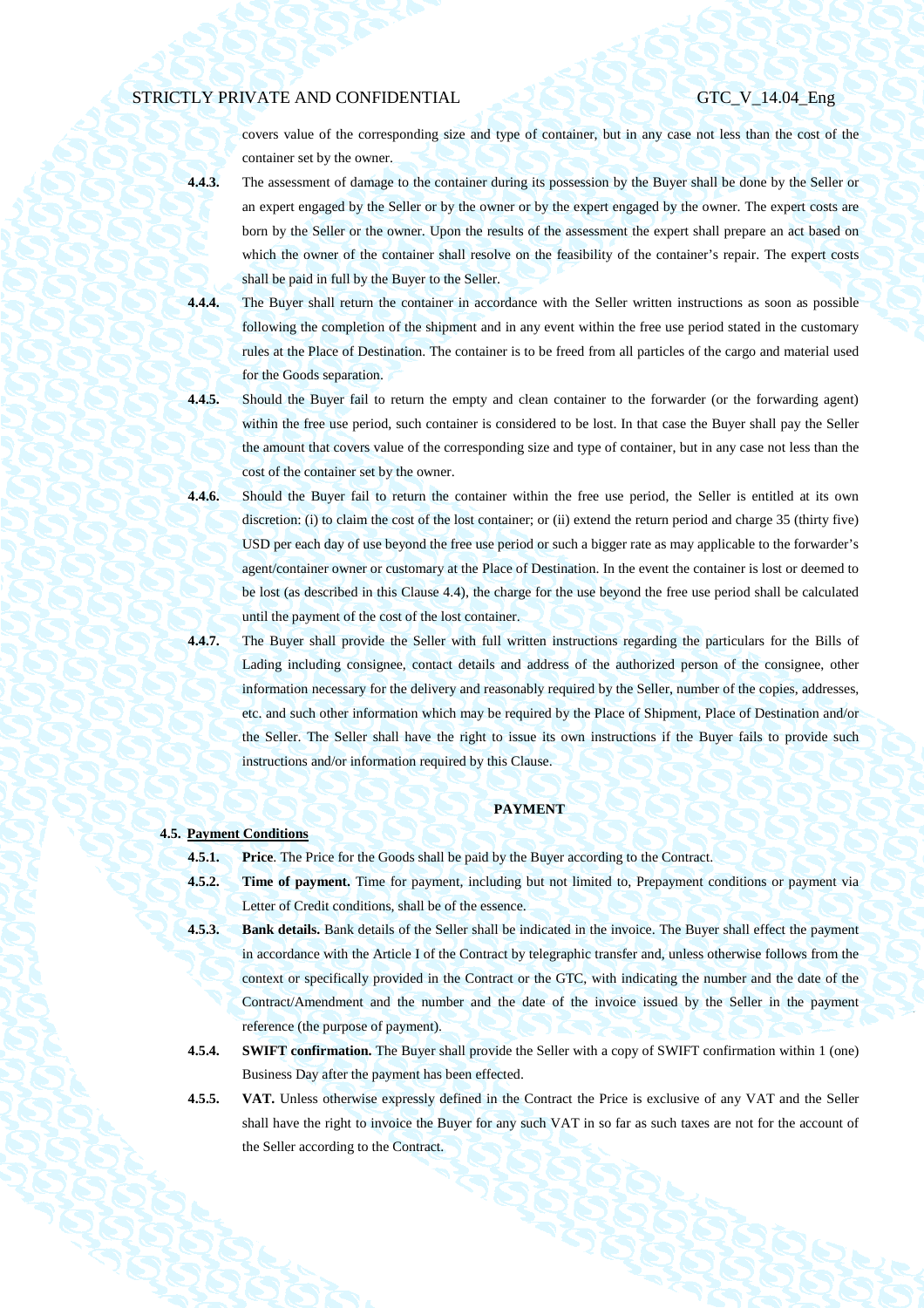covers value of the corresponding size and type of container, but in any case not less than the cost of the container set by the owner.

- **4.4.3.** The assessment of damage to the container during its possession by the Buyer shall be done by the Seller or an expert engaged by the Seller or by the owner or by the expert engaged by the owner. The expert costs are born by the Seller or the owner. Upon the results of the assessment the expert shall prepare an act based on which the owner of the container shall resolve on the feasibility of the container's repair. The expert costs shall be paid in full by the Buyer to the Seller.
- **4.4.4.** The Buyer shall return the container in accordance with the Seller written instructions as soon as possible following the completion of the shipment and in any event within the free use period stated in the customary rules at the Place of Destination. The container is to be freed from all particles of the cargo and material used for the Goods separation.
- **4.4.5.** Should the Buyer fail to return the empty and clean container to the forwarder (or the forwarding agent) within the free use period, such container is considered to be lost. In that case the Buyer shall pay the Seller the amount that covers value of the corresponding size and type of container, but in any case not less than the cost of the container set by the owner.
- **4.4.6.** Should the Buyer fail to return the container within the free use period, the Seller is entitled at its own discretion: (i) to claim the cost of the lost container; or (ii) extend the return period and charge 35 (thirty five) USD per each day of use beyond the free use period or such a bigger rate as may applicable to the forwarder's agent/container owner or customary at the Place of Destination. In the event the container is lost or deemed to be lost (as described in this Clause 4.4), the charge for the use beyond the free use period shall be calculated until the payment of the cost of the lost container.
- **4.4.7.** The Buyer shall provide the Seller with full written instructions regarding the particulars for the Bills of Lading including consignee, contact details and address of the authorized person of the consignee, other information necessary for the delivery and reasonably required by the Seller, number of the copies, addresses, etc. and such other information which may be required by the Place of Shipment, Place of Destination and/or the Seller. The Seller shall have the right to issue its own instructions if the Buyer fails to provide such instructions and/or information required by this Clause.

## **PAYMENT**

## **4.5. Payment Conditions**

**4.5.1. Price**. The Price for the Goods shall be paid by the Buyer according to the Contract.

- **4.5.2. Time of payment.** Time for payment, including but not limited to, Prepayment conditions or payment via Letter of Credit conditions, shall be of the essence.
- **4.5.3. Bank details.** Bank details of the Seller shall be indicated in the invoice. The Buyer shall effect the payment in accordance with the Article I of the Contract by telegraphic transfer and, unless otherwise follows from the context or specifically provided in the Contract or the GTC, with indicating the number and the date of the Contract/Amendment and the number and the date of the invoice issued by the Seller in the payment reference (the purpose of payment).
- **4.5.4. SWIFT confirmation.** The Buyer shall provide the Seller with a copy of SWIFT confirmation within 1 (one) Business Day after the payment has been effected.
- **4.5.5. VAT.** Unless otherwise expressly defined in the Contract the Price is exclusive of any VAT and the Seller shall have the right to invoice the Buyer for any such VAT in so far as such taxes are not for the account of the Seller according to the Contract.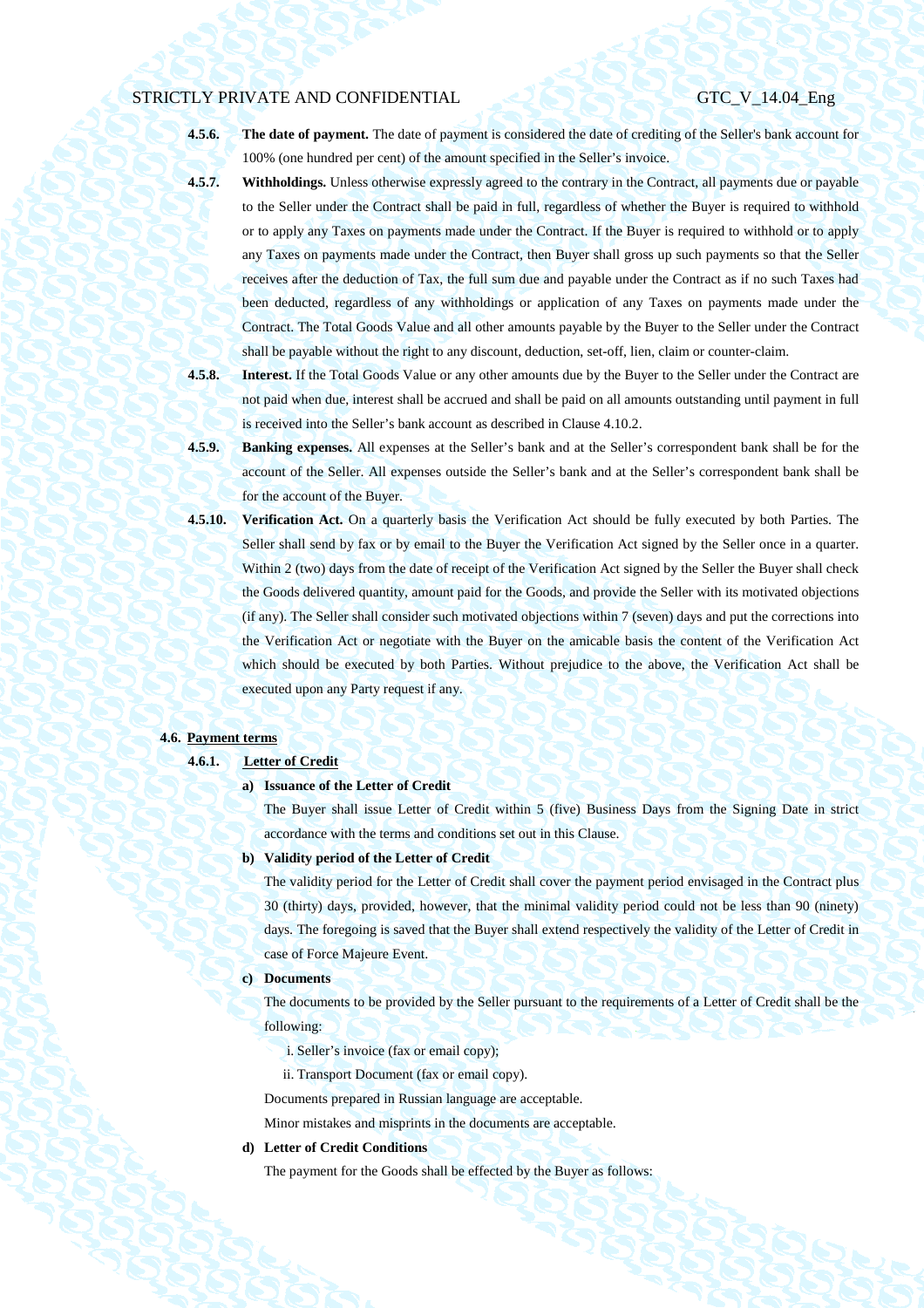**4.5.6. The date of payment.** The date of payment is considered the date of crediting of the Seller's bank account for 100% (one hundred per cent) of the amount specified in the Seller's invoice.

**4.5.7. Withholdings.** Unless otherwise expressly agreed to the contrary in the Contract, all payments due or payable to the Seller under the Contract shall be paid in full, regardless of whether the Buyer is required to withhold or to apply any Taxes on payments made under the Contract. If the Buyer is required to withhold or to apply any Taxes on payments made under the Contract, then Buyer shall gross up such payments so that the Seller receives after the deduction of Tax, the full sum due and payable under the Contract as if no such Taxes had been deducted, regardless of any withholdings or application of any Taxes on payments made under the Contract. The Total Goods Value and all other amounts payable by the Buyer to the Seller under the Contract shall be payable without the right to any discount, deduction, set-off, lien, claim or counter-claim.

- **4.5.8. Interest.** If the Total Goods Value or any other amounts due by the Buyer to the Seller under the Contract are not paid when due, interest shall be accrued and shall be paid on all amounts outstanding until payment in full is received into the Seller's bank account as described in Clause 4.10.2.
- **4.5.9. Banking expenses.** All expenses at the Seller's bank and at the Seller's correspondent bank shall be for the account of the Seller. All expenses outside the Seller's bank and at the Seller's correspondent bank shall be for the account of the Buyer.
- **4.5.10. Verification Act.** On a quarterly basis the Verification Act should be fully executed by both Parties. The Seller shall send by fax or by email to the Buyer the Verification Act signed by the Seller once in a quarter. Within 2 (two) days from the date of receipt of the Verification Act signed by the Seller the Buyer shall check the Goods delivered quantity, amount paid for the Goods, and provide the Seller with its motivated objections (if any). The Seller shall consider such motivated objections within 7 (seven) days and put the corrections into the Verification Act or negotiate with the Buyer on the amicable basis the content of the Verification Act which should be executed by both Parties. Without prejudice to the above, the Verification Act shall be executed upon any Party request if any.

## **4.6. Payment terms**

### **4.6.1. Letter of Credit**

### **a) Issuance of the Letter of Credit**

The Buyer shall issue Letter of Credit within 5 (five) Business Days from the Signing Date in strict accordance with the terms and conditions set out in this Clause.

## **b) Validity period of the Letter of Credit**

The validity period for the Letter of Credit shall cover the payment period envisaged in the Contract plus 30 (thirty) days, provided, however, that the minimal validity period could not be less than 90 (ninety) days. The foregoing is saved that the Buyer shall extend respectively the validity of the Letter of Credit in case of Force Majeure Event.

## **c) Documents**

The documents to be provided by the Seller pursuant to the requirements of a Letter of Credit shall be the following:

- i. Seller's invoice (fax or email copy);
- ii. Transport Document (fax or email copy).

Documents prepared in Russian language are acceptable.

Minor mistakes and misprints in the documents are acceptable.

## **d) Letter of Credit Conditions**

The payment for the Goods shall be effected by the Buyer as follows: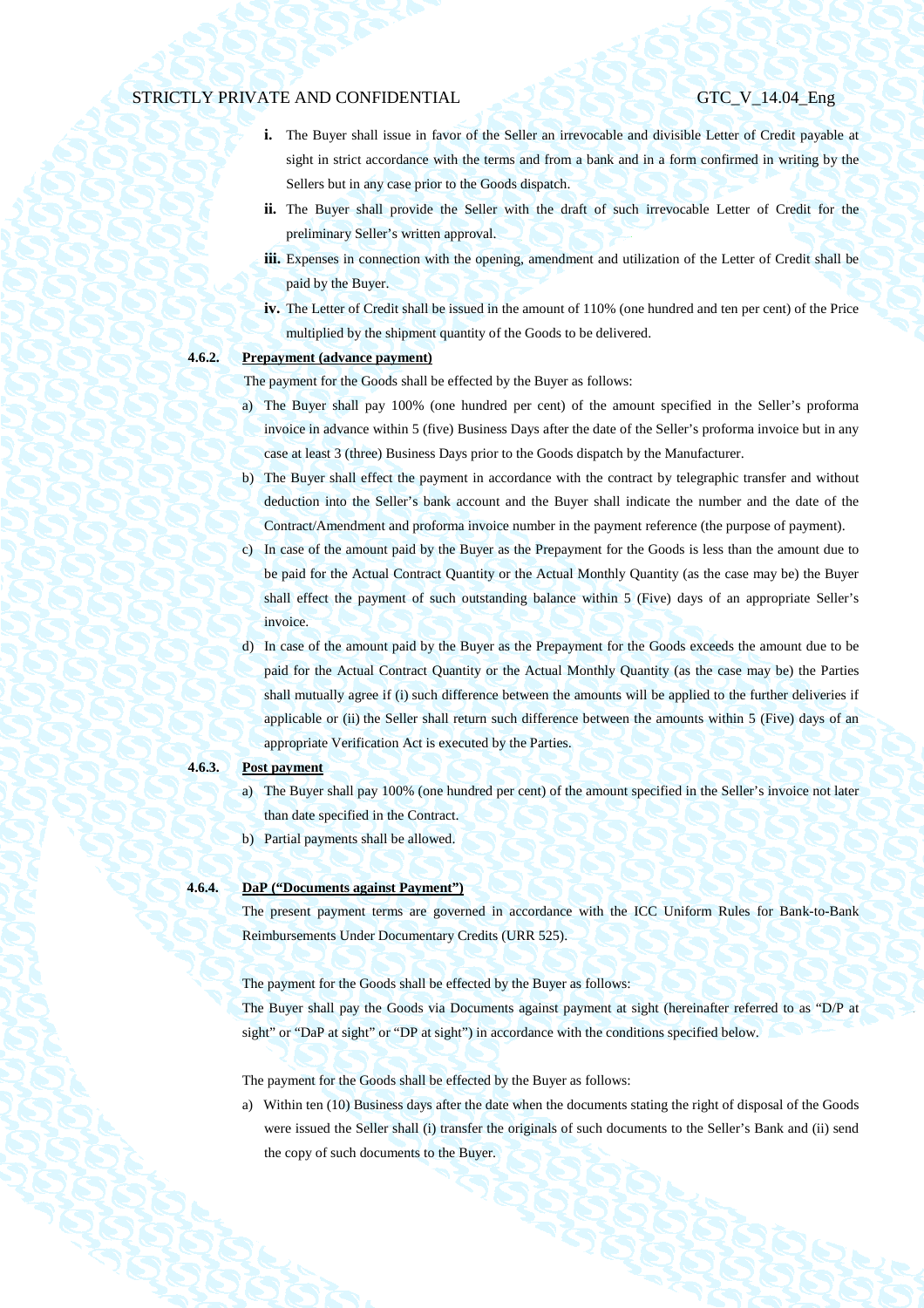- **i.** The Buyer shall issue in favor of the Seller an irrevocable and divisible Letter of Credit payable at sight in strict accordance with the terms and from a bank and in a form confirmed in writing by the Sellers but in any case prior to the Goods dispatch.
- ii. The Buyer shall provide the Seller with the draft of such irrevocable Letter of Credit for the preliminary Seller's written approval.
- **iii.** Expenses in connection with the opening, amendment and utilization of the Letter of Credit shall be paid by the Buyer.
- **iv.** The Letter of Credit shall be issued in the amount of 110% (one hundred and ten per cent) of the Price multiplied by the shipment quantity of the Goods to be delivered.

## **4.6.2. Prepayment (advance payment)**

The payment for the Goods shall be effected by the Buyer as follows:

- a) The Buyer shall pay 100% (one hundred per cent) of the amount specified in the Seller's proforma invoice in advance within 5 (five) Business Days after the date of the Seller's proforma invoice but in any case at least 3 (three) Business Days prior to the Goods dispatch by the Manufacturer.
- b) The Buyer shall effect the payment in accordance with the contract by telegraphic transfer and without deduction into the Seller's bank account and the Buyer shall indicate the number and the date of the Contract/Amendment and proforma invoice number in the payment reference (the purpose of payment).
- c) In case of the amount paid by the Buyer as the Prepayment for the Goods is less than the amount due to be paid for the Actual Contract Quantity or the Actual Monthly Quantity (as the case may be) the Buyer shall effect the payment of such outstanding balance within 5 (Five) days of an appropriate Seller's invoice.
- d) In case of the amount paid by the Buyer as the Prepayment for the Goods exceeds the amount due to be paid for the Actual Contract Quantity or the Actual Monthly Quantity (as the case may be) the Parties shall mutually agree if (i) such difference between the amounts will be applied to the further deliveries if applicable or (ii) the Seller shall return such difference between the amounts within 5 (Five) days of an appropriate Verification Act is executed by the Parties.

## **4.6.3. Post payment**

- a) The Buyer shall pay 100% (one hundred per cent) of the amount specified in the Seller's invoice not later than date specified in the Contract.
- b) Partial payments shall be allowed.

## **4.6.4. DaP ("Documents against Payment")**

The present payment terms are governed in accordance with the ICC Uniform Rules for Bank-to-Bank Reimbursements Under Documentary Credits (URR 525).

The payment for the Goods shall be effected by the Buyer as follows:

The Buyer shall pay the Goods via Documents against payment at sight (hereinafter referred to as "D/P at sight" or "DaP at sight" or "DP at sight") in accordance with the conditions specified below.

The payment for the Goods shall be effected by the Buyer as follows:

a) Within ten (10) Business days after the date when the documents stating the right of disposal of the Goods were issued the Seller shall (i) transfer the originals of such documents to the Seller's Bank and (ii) send the copy of such documents to the Buyer.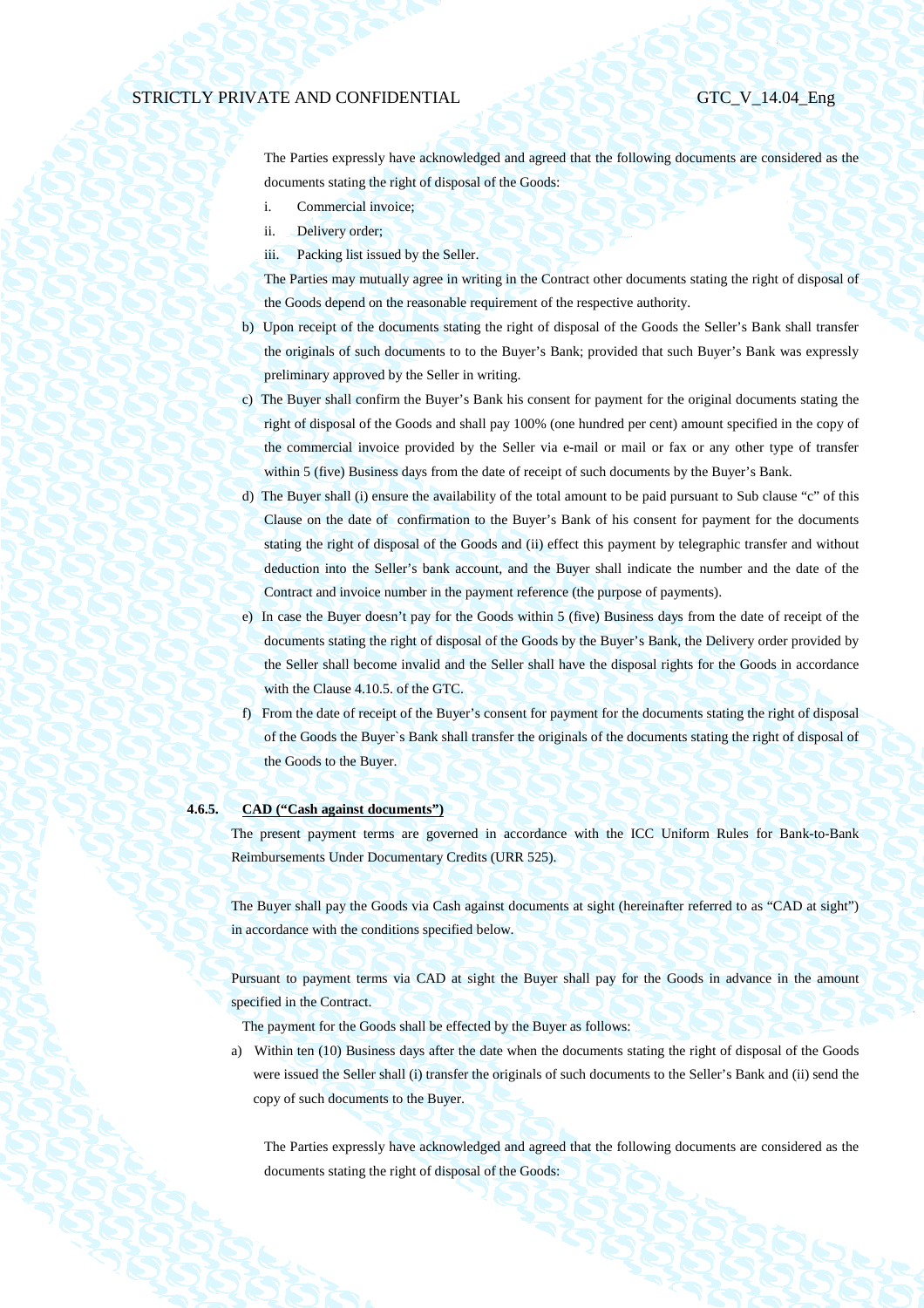The Parties expressly have acknowledged and agreed that the following documents are considered as the documents stating the right of disposal of the Goods:

- i. Commercial invoice;
- ii. Delivery order;
- iii. Packing list issued by the Seller.

The Parties may mutually agree in writing in the Contract other documents stating the right of disposal of the Goods depend on the reasonable requirement of the respective authority.

- b) Upon receipt of the documents stating the right of disposal of the Goods the Seller's Bank shall transfer the originals of such documents to to the Buyer's Bank; provided that such Buyer's Bank was expressly preliminary approved by the Seller in writing.
- c) The Buyer shall confirm the Buyer's Bank his consent for payment for the original documents stating the right of disposal of the Goods and shall pay 100% (one hundred per cent) amount specified in the copy of the commercial invoice provided by the Seller via e-mail or mail or fax or any other type of transfer within 5 (five) Business days from the date of receipt of such documents by the Buyer's Bank.
- d) The Buyer shall (i) ensure the availability of the total amount to be paid pursuant to Sub clause "c" of this Clause on the date of confirmation to the Buyer's Bank of his consent for payment for the documents stating the right of disposal of the Goods and (ii) effect this payment by telegraphic transfer and without deduction into the Seller's bank account, and the Buyer shall indicate the number and the date of the Contract and invoice number in the payment reference (the purpose of payments).
- e) In case the Buyer doesn't pay for the Goods within 5 (five) Business days from the date of receipt of the documents stating the right of disposal of the Goods by the Buyer's Bank, the Delivery order provided by the Seller shall become invalid and the Seller shall have the disposal rights for the Goods in accordance with the Clause 4.10.5. of the GTC.
- f) From the date of receipt of the Buyer's consent for payment for the documents stating the right of disposal of the Goods the Buyer`s Bank shall transfer the originals of the documents stating the right of disposal of the Goods to the Buyer.

## **4.6.5. CAD ("Cash against documents")**

The present payment terms are governed in accordance with the ICC Uniform Rules for Bank-to-Bank Reimbursements Under Documentary Credits (URR 525).

The Buyer shall pay the Goods via Cash against documents at sight (hereinafter referred to as "CAD at sight") in accordance with the conditions specified below.

Pursuant to payment terms via CAD at sight the Buyer shall pay for the Goods in advance in the amount specified in the Contract.

The payment for the Goods shall be effected by the Buyer as follows:

a) Within ten (10) Business days after the date when the documents stating the right of disposal of the Goods were issued the Seller shall (i) transfer the originals of such documents to the Seller's Bank and (ii) send the copy of such documents to the Buyer.

The Parties expressly have acknowledged and agreed that the following documents are considered as the documents stating the right of disposal of the Goods: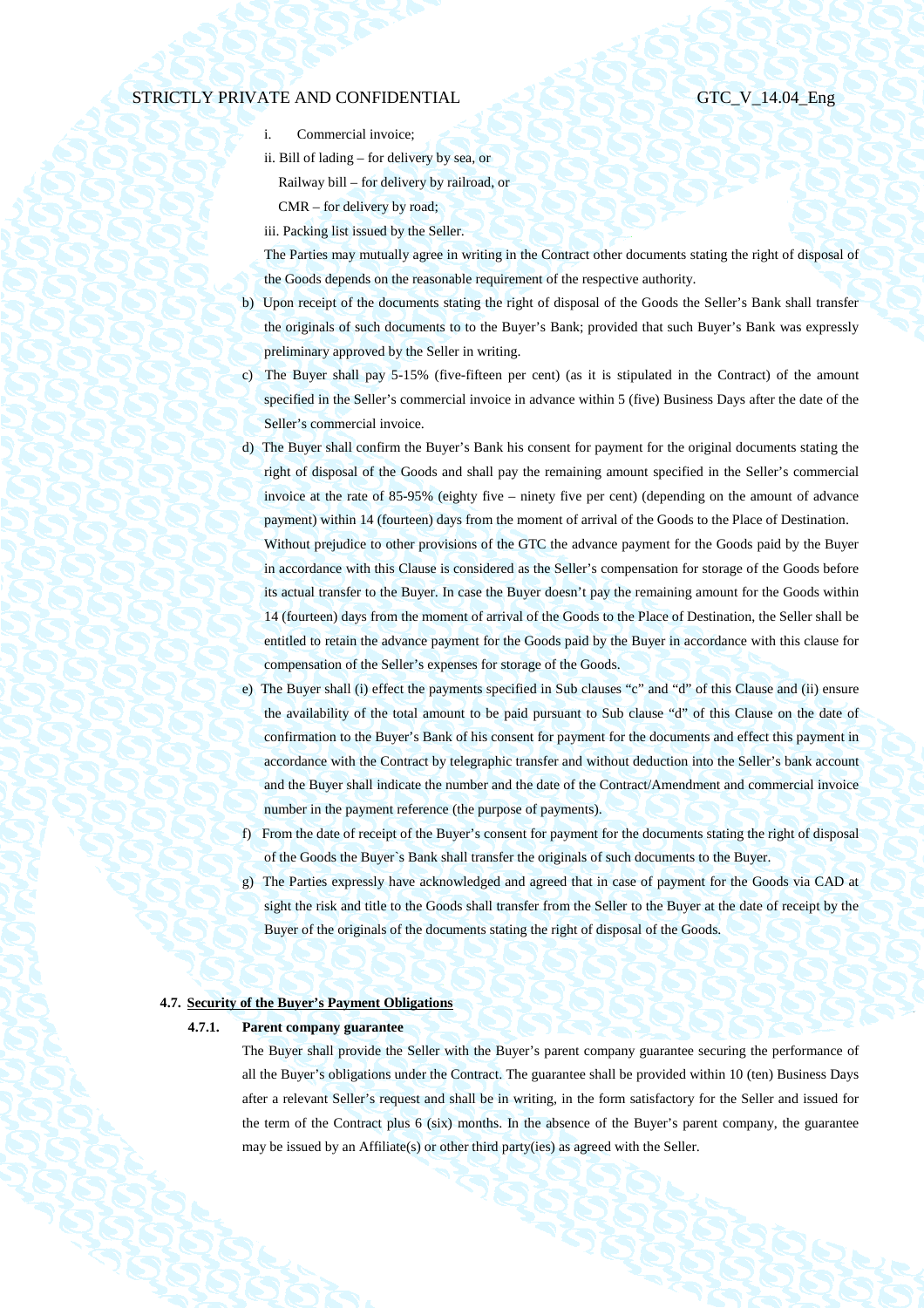- i. Commercial invoice;
- ii. Bill of lading for delivery by sea, or Railway bill – for delivery by railroad, or CMR – for delivery by road;
- iii. Packing list issued by the Seller.

The Parties may mutually agree in writing in the Contract other documents stating the right of disposal of the Goods depends on the reasonable requirement of the respective authority.

- b) Upon receipt of the documents stating the right of disposal of the Goods the Seller's Bank shall transfer the originals of such documents to to the Buyer's Bank; provided that such Buyer's Bank was expressly preliminary approved by the Seller in writing.
- c) The Buyer shall pay 5-15% (five-fifteen per cent) (as it is stipulated in the Contract) of the amount specified in the Seller's commercial invoice in advance within 5 (five) Business Days after the date of the Seller's commercial invoice.
- d) The Buyer shall confirm the Buyer's Bank his consent for payment for the original documents stating the right of disposal of the Goods and shall pay the remaining amount specified in the Seller's commercial invoice at the rate of 85-95% (eighty five – ninety five per cent) (depending on the amount of advance payment) within 14 (fourteen) days from the moment of arrival of the Goods to the Place of Destination. Without prejudice to other provisions of the GTC the advance payment for the Goods paid by the Buyer in accordance with this Clause is considered as the Seller's compensation for storage of the Goods before its actual transfer to the Buyer. In case the Buyer doesn't pay the remaining amount for the Goods within 14 (fourteen) days from the moment of arrival of the Goods to the Place of Destination, the Seller shall be entitled to retain the advance payment for the Goods paid by the Buyer in accordance with this clause for compensation of the Seller's expenses for storage of the Goods.
- e) The Buyer shall (i) effect the payments specified in Sub clauses "c" and "d" of this Clause and (ii) ensure the availability of the total amount to be paid pursuant to Sub clause "d" of this Clause on the date of confirmation to the Buyer's Bank of his consent for payment for the documents and effect this payment in accordance with the Contract by telegraphic transfer and without deduction into the Seller's bank account and the Buyer shall indicate the number and the date of the Contract/Amendment and commercial invoice number in the payment reference (the purpose of payments).
- f) From the date of receipt of the Buyer's consent for payment for the documents stating the right of disposal of the Goods the Buyer`s Bank shall transfer the originals of such documents to the Buyer.
- g) The Parties expressly have acknowledged and agreed that in case of payment for the Goods via CAD at sight the risk and title to the Goods shall transfer from the Seller to the Buyer at the date of receipt by the Buyer of the originals of the documents stating the right of disposal of the Goods.

## **4.7. Security of the Buyer's Payment Obligations**

## **4.7.1. Parent company guarantee**

The Buyer shall provide the Seller with the Buyer's parent company guarantee securing the performance of all the Buyer's obligations under the Contract. The guarantee shall be provided within 10 (ten) Business Days after a relevant Seller's request and shall be in writing, in the form satisfactory for the Seller and issued for the term of the Contract plus 6 (six) months. In the absence of the Buyer's parent company, the guarantee may be issued by an Affiliate(s) or other third party(ies) as agreed with the Seller.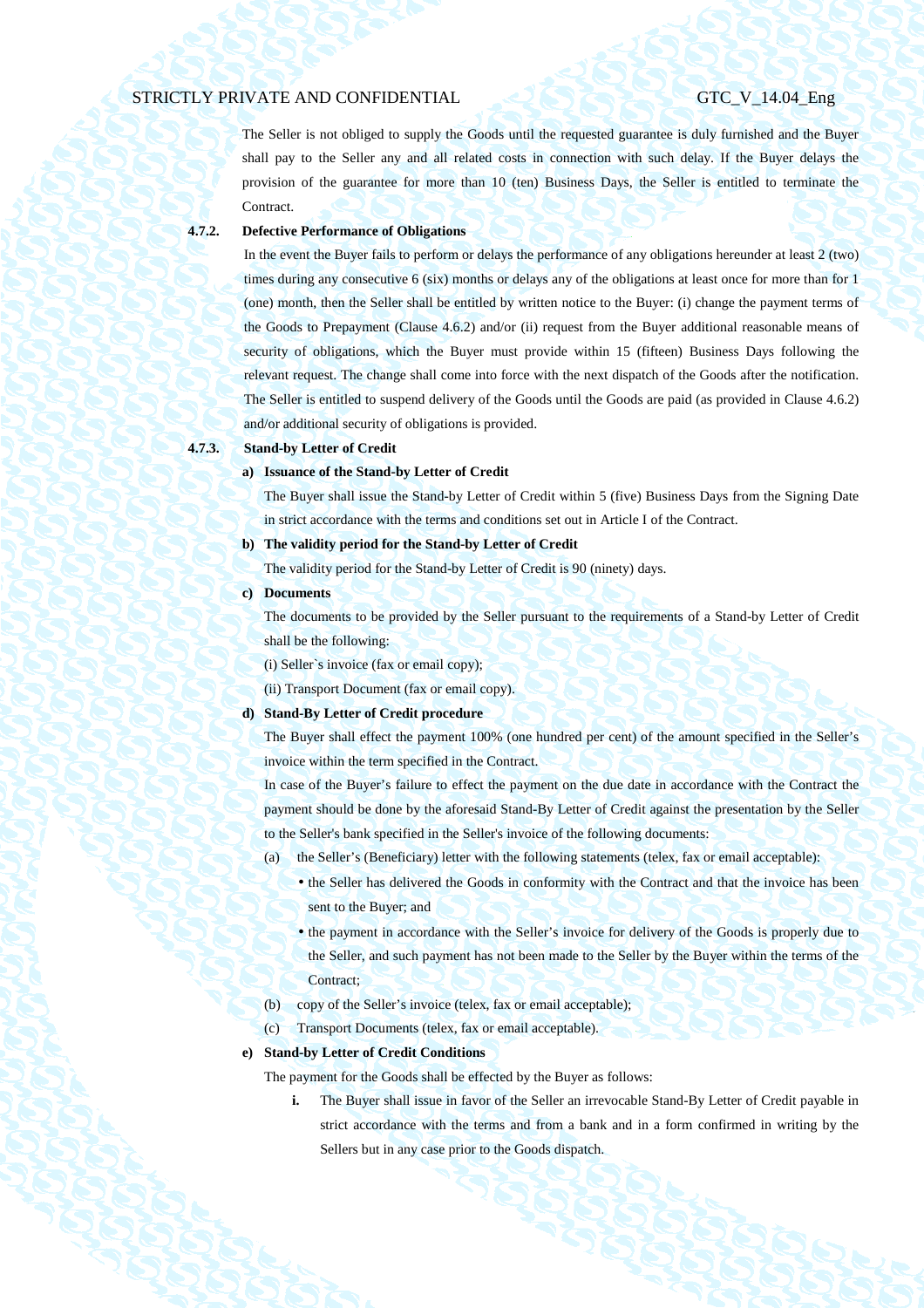The Seller is not obliged to supply the Goods until the requested guarantee is duly furnished and the Buyer shall pay to the Seller any and all related costs in connection with such delay. If the Buyer delays the provision of the guarantee for more than 10 (ten) Business Days, the Seller is entitled to terminate the Contract.

## **4.7.2. Defective Performance of Obligations**

In the event the Buyer fails to perform or delays the performance of any obligations hereunder at least 2 (two) times during any consecutive 6 (six) months or delays any of the obligations at least once for more than for 1 (one) month, then the Seller shall be entitled by written notice to the Buyer: (i) change the payment terms of the Goods to Prepayment (Clause 4.6.2) and/or (ii) request from the Buyer additional reasonable means of security of obligations, which the Buyer must provide within 15 (fifteen) Business Days following the relevant request. The change shall come into force with the next dispatch of the Goods after the notification. The Seller is entitled to suspend delivery of the Goods until the Goods are paid (as provided in Clause 4.6.2) and/or additional security of obligations is provided.

## **4.7.3. Stand-by Letter of Credit**

## **a) Issuance of the Stand-by Letter of Credit**

The Buyer shall issue the Stand-by Letter of Credit within 5 (five) Business Days from the Signing Date in strict accordance with the terms and conditions set out in Article I of the Contract.

## **b) The validity period for the Stand-by Letter of Credit**

The validity period for the Stand-by Letter of Credit is 90 (ninety) days.

### **c) Documents**

The documents to be provided by the Seller pursuant to the requirements of a Stand-by Letter of Credit shall be the following:

(i) Seller`s invoice (fax or email copy);

(ii) Transport Document (fax or email copy).

### **d) Stand-By Letter of Credit procedure**

The Buyer shall effect the payment 100% (one hundred per cent) of the amount specified in the Seller's invoice within the term specified in the Contract.

In case of the Buyer's failure to effect the payment on the due date in accordance with the Contract the payment should be done by the aforesaid Stand-By Letter of Credit against the presentation by the Seller to the Seller's bank specified in the Seller's invoice of the following documents:

- (a) the Seller's (Beneficiary) letter with the following statements (telex, fax or email acceptable):
	- the Seller has delivered the Goods in conformity with the Contract and that the invoice has been sent to the Buyer; and
	- the payment in accordance with the Seller's invoice for delivery of the Goods is properly due to the Seller, and such payment has not been made to the Seller by the Buyer within the terms of the Contract;
- (b) copy of the Seller's invoice (telex, fax or email acceptable);
- (c) Transport Documents (telex, fax or email acceptable).

### **e) Stand-by Letter of Credit Conditions**

The payment for the Goods shall be effected by the Buyer as follows:

**i.** The Buyer shall issue in favor of the Seller an irrevocable Stand-By Letter of Credit payable in strict accordance with the terms and from a bank and in a form confirmed in writing by the Sellers but in any case prior to the Goods dispatch.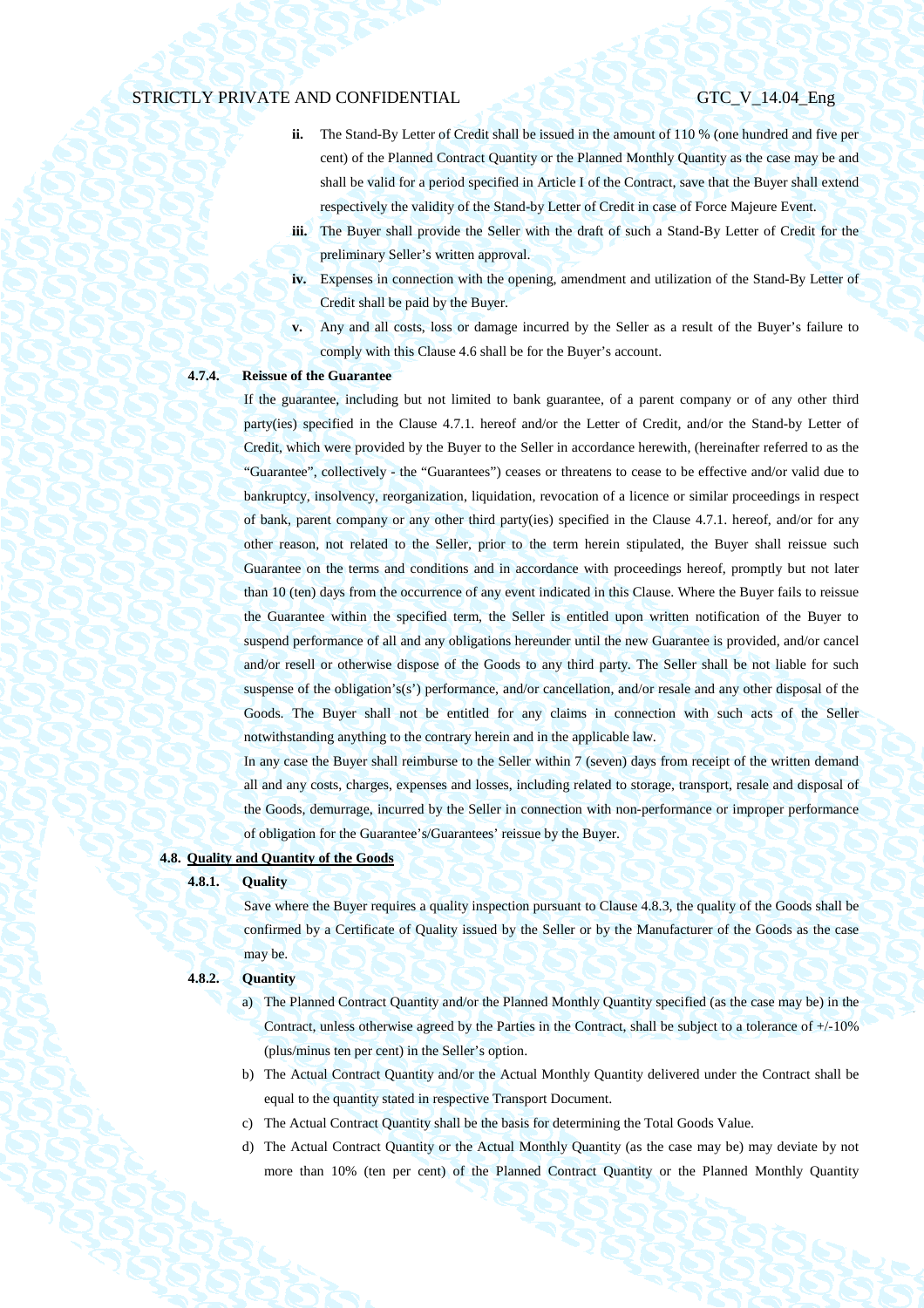- **ii.** The Stand-By Letter of Credit shall be issued in the amount of 110 % (one hundred and five per cent) of the Planned Contract Quantity or the Planned Monthly Quantity as the case may be and shall be valid for a period specified in Article I of the Contract, save that the Buyer shall extend respectively the validity of the Stand-by Letter of Credit in case of Force Majeure Event.
- **iii.** The Buyer shall provide the Seller with the draft of such a Stand-By Letter of Credit for the preliminary Seller's written approval.
- **iv.** Expenses in connection with the opening, amendment and utilization of the Stand-By Letter of Credit shall be paid by the Buyer.
- **v.** Any and all costs, loss or damage incurred by the Seller as a result of the Buyer's failure to comply with this Clause 4.6 shall be for the Buyer's account.

## **4.7.4. Reissue of the Guarantee**

If the guarantee, including but not limited to bank guarantee, of a parent company or of any other third party(ies) specified in the Clause 4.7.1. hereof and/or the Letter of Credit, and/or the Stand-by Letter of Credit, which were provided by the Buyer to the Seller in accordance herewith, (hereinafter referred to as the "Guarantee", collectively - the "Guarantees") ceases or threatens to cease to be effective and/or valid due to bankruptcy, insolvency, reorganization, liquidation, revocation of a licence or similar proceedings in respect of bank, parent company or any other third party(ies) specified in the Clause 4.7.1. hereof, and/or for any other reason, not related to the Seller, prior to the term herein stipulated, the Buyer shall reissue such Guarantee on the terms and conditions and in accordance with proceedings hereof, promptly but not later than 10 (ten) days from the occurrence of any event indicated in this Clause. Where the Buyer fails to reissue the Guarantee within the specified term, the Seller is entitled upon written notification of the Buyer to suspend performance of all and any obligations hereunder until the new Guarantee is provided, and/or cancel and/or resell or otherwise dispose of the Goods to any third party. The Seller shall be not liable for such suspense of the obligation's(s') performance, and/or cancellation, and/or resale and any other disposal of the Goods. The Buyer shall not be entitled for any claims in connection with such acts of the Seller notwithstanding anything to the contrary herein and in the applicable law.

In any case the Buyer shall reimburse to the Seller within 7 (seven) days from receipt of the written demand all and any costs, charges, expenses and losses, including related to storage, transport, resale and disposal of the Goods, demurrage, incurred by the Seller in connection with non-performance or improper performance of obligation for the Guarantee's/Guarantees' reissue by the Buyer.

## **4.8. Quality and Quantity of the Goods**

## **4.8.1. Quality**

Save where the Buyer requires a quality inspection pursuant to Clause 4.8.3, the quality of the Goods shall be confirmed by a Certificate of Quality issued by the Seller or by the Manufacturer of the Goods as the case may be.

### **4.8.2. Quantity**

- a) The Planned Contract Quantity and/or the Planned Monthly Quantity specified (as the case may be) in the Contract, unless otherwise agreed by the Parties in the Contract, shall be subject to a tolerance of +/-10% (plus/minus ten per cent) in the Seller's option.
- b) The Actual Contract Quantity and/or the Actual Monthly Quantity delivered under the Contract shall be equal to the quantity stated in respective Transport Document.
- c) The Actual Contract Quantity shall be the basis for determining the Total Goods Value.
- d) The Actual Contract Quantity or the Actual Monthly Quantity (as the case may be) may deviate by not more than 10% (ten per cent) of the Planned Contract Quantity or the Planned Monthly Quantity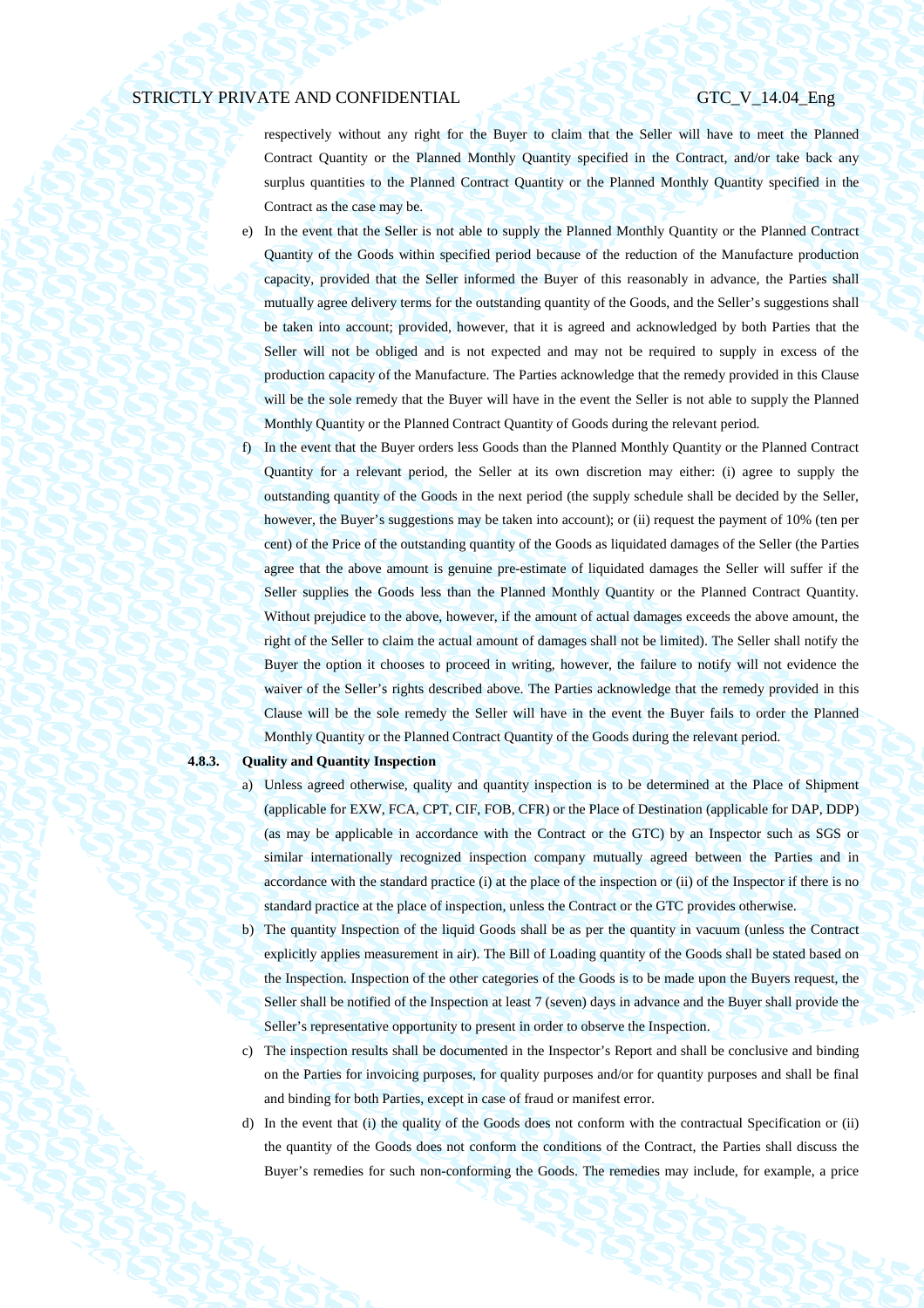respectively without any right for the Buyer to claim that the Seller will have to meet the Planned Contract Quantity or the Planned Monthly Quantity specified in the Contract, and/or take back any surplus quantities to the Planned Contract Quantity or the Planned Monthly Quantity specified in the Contract as the case may be.

- e) In the event that the Seller is not able to supply the Planned Monthly Quantity or the Planned Contract Quantity of the Goods within specified period because of the reduction of the Manufacture production capacity, provided that the Seller informed the Buyer of this reasonably in advance, the Parties shall mutually agree delivery terms for the outstanding quantity of the Goods, and the Seller's suggestions shall be taken into account; provided, however, that it is agreed and acknowledged by both Parties that the Seller will not be obliged and is not expected and may not be required to supply in excess of the production capacity of the Manufacture. The Parties acknowledge that the remedy provided in this Clause will be the sole remedy that the Buyer will have in the event the Seller is not able to supply the Planned Monthly Quantity or the Planned Contract Quantity of Goods during the relevant period.
- f) In the event that the Buyer orders less Goods than the Planned Monthly Quantity or the Planned Contract Quantity for a relevant period, the Seller at its own discretion may either: (i) agree to supply the outstanding quantity of the Goods in the next period (the supply schedule shall be decided by the Seller, however, the Buyer's suggestions may be taken into account); or (ii) request the payment of 10% (ten per cent) of the Price of the outstanding quantity of the Goods as liquidated damages of the Seller (the Parties agree that the above amount is genuine pre-estimate of liquidated damages the Seller will suffer if the Seller supplies the Goods less than the Planned Monthly Quantity or the Planned Contract Quantity. Without prejudice to the above, however, if the amount of actual damages exceeds the above amount, the right of the Seller to claim the actual amount of damages shall not be limited). The Seller shall notify the Buyer the option it chooses to proceed in writing, however, the failure to notify will not evidence the waiver of the Seller's rights described above. The Parties acknowledge that the remedy provided in this Clause will be the sole remedy the Seller will have in the event the Buyer fails to order the Planned Monthly Quantity or the Planned Contract Quantity of the Goods during the relevant period.

### **4.8.3. Quality and Quantity Inspection**

- a) Unless agreed otherwise, quality and quantity inspection is to be determined at the Place of Shipment (applicable for EXW, FCA, CPT, CIF, FOB, CFR) or the Place of Destination (applicable for DAP, DDP) (as may be applicable in accordance with the Contract or the GTC) by an Inspector such as SGS or similar internationally recognized inspection company mutually agreed between the Parties and in accordance with the standard practice (i) at the place of the inspection or (ii) of the Inspector if there is no standard practice at the place of inspection, unless the Contract or the GTC provides otherwise.
- b) The quantity Inspection of the liquid Goods shall be as per the quantity in vacuum (unless the Contract explicitly applies measurement in air). The Bill of Loading quantity of the Goods shall be stated based on the Inspection. Inspection of the other categories of the Goods is to be made upon the Buyers request, the Seller shall be notified of the Inspection at least 7 (seven) days in advance and the Buyer shall provide the Seller's representative opportunity to present in order to observe the Inspection.
- c) The inspection results shall be documented in the Inspector's Report and shall be conclusive and binding on the Parties for invoicing purposes, for quality purposes and/or for quantity purposes and shall be final and binding for both Parties, except in case of fraud or manifest error.
- d) In the event that (i) the quality of the Goods does not conform with the contractual Specification or (ii) the quantity of the Goods does not conform the conditions of the Contract, the Parties shall discuss the Buyer's remedies for such non-conforming the Goods. The remedies may include, for example, a price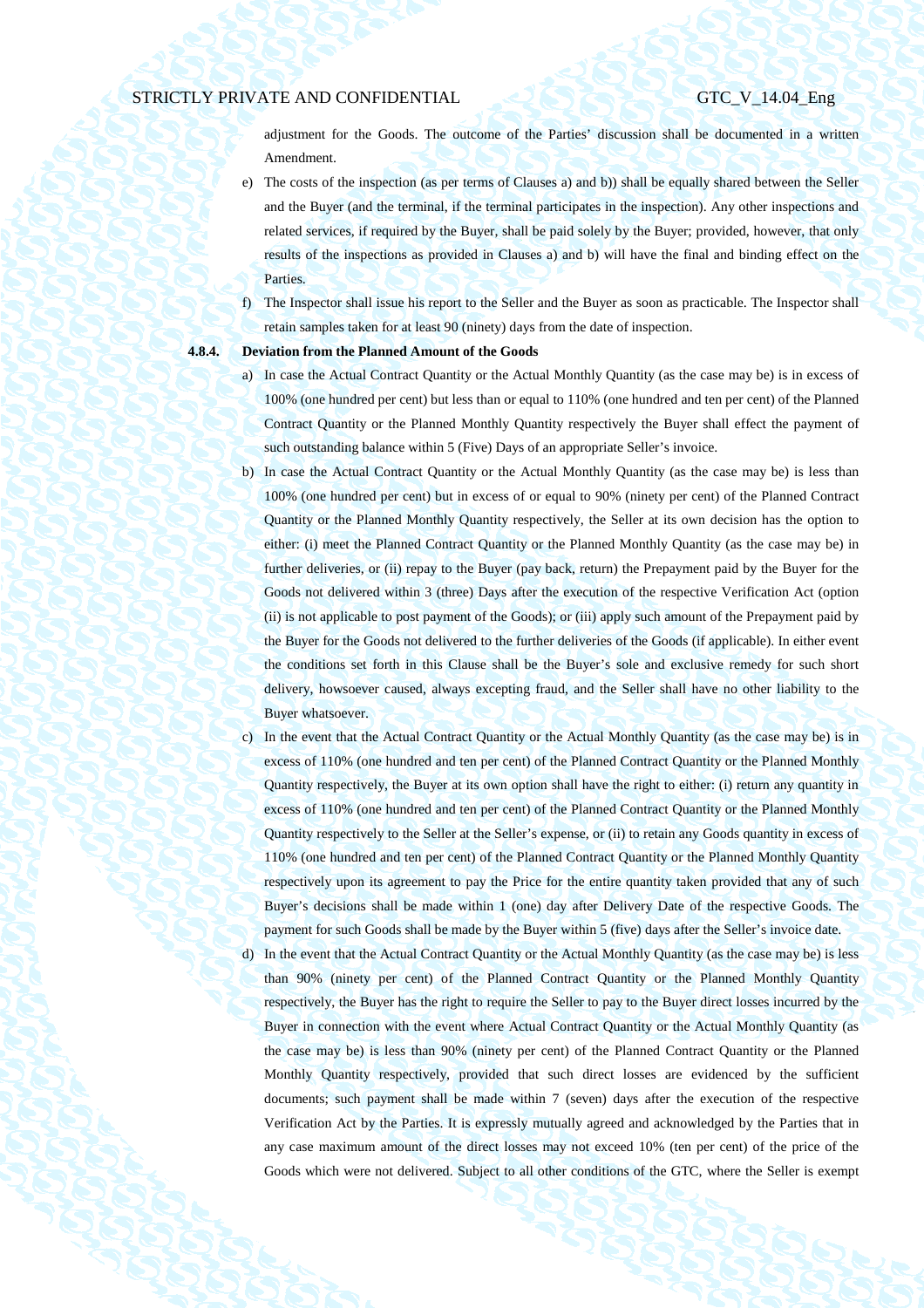adjustment for the Goods. The outcome of the Parties' discussion shall be documented in a written Amendment.

- e) The costs of the inspection (as per terms of Clauses a) and b)) shall be equally shared between the Seller and the Buyer (and the terminal, if the terminal participates in the inspection). Any other inspections and related services, if required by the Buyer, shall be paid solely by the Buyer; provided, however, that only results of the inspections as provided in Clauses a) and b) will have the final and binding effect on the Parties.
- f) The Inspector shall issue his report to the Seller and the Buyer as soon as practicable. The Inspector shall retain samples taken for at least 90 (ninety) days from the date of inspection.

## **4.8.4. Deviation from the Planned Amount of the Goods**

- a) In case the Actual Contract Quantity or the Actual Monthly Quantity (as the case may be) is in excess of 100% (one hundred per cent) but less than or equal to 110% (one hundred and ten per cent) of the Planned Contract Quantity or the Planned Monthly Quantity respectively the Buyer shall effect the payment of such outstanding balance within 5 (Five) Days of an appropriate Seller's invoice.
- b) In case the Actual Contract Quantity or the Actual Monthly Quantity (as the case may be) is less than 100% (one hundred per cent) but in excess of or equal to 90% (ninety per cent) of the Planned Contract Quantity or the Planned Monthly Quantity respectively, the Seller at its own decision has the option to either: (i) meet the Planned Contract Quantity or the Planned Monthly Quantity (as the case may be) in further deliveries, or (ii) repay to the Buyer (pay back, return) the Prepayment paid by the Buyer for the Goods not delivered within 3 (three) Days after the execution of the respective Verification Act (option (ii) is not applicable to post payment of the Goods); or (iii) apply such amount of the Prepayment paid by the Buyer for the Goods not delivered to the further deliveries of the Goods (if applicable). In either event the conditions set forth in this Clause shall be the Buyer's sole and exclusive remedy for such short delivery, howsoever caused, always excepting fraud, and the Seller shall have no other liability to the Buyer whatsoever.
- c) In the event that the Actual Contract Quantity or the Actual Monthly Quantity (as the case may be) is in excess of 110% (one hundred and ten per cent) of the Planned Contract Quantity or the Planned Monthly Quantity respectively, the Buyer at its own option shall have the right to either: (i) return any quantity in excess of 110% (one hundred and ten per cent) of the Planned Contract Quantity or the Planned Monthly Quantity respectively to the Seller at the Seller's expense, or (ii) to retain any Goods quantity in excess of 110% (one hundred and ten per cent) of the Planned Contract Quantity or the Planned Monthly Quantity respectively upon its agreement to pay the Price for the entire quantity taken provided that any of such Buyer's decisions shall be made within 1 (one) day after Delivery Date of the respective Goods. The payment for such Goods shall be made by the Buyer within 5 (five) days after the Seller's invoice date.
- d) In the event that the Actual Contract Quantity or the Actual Monthly Quantity (as the case may be) is less than 90% (ninety per cent) of the Planned Contract Quantity or the Planned Monthly Quantity respectively, the Buyer has the right to require the Seller to pay to the Buyer direct losses incurred by the Buyer in connection with the event where Actual Contract Quantity or the Actual Monthly Quantity (as the case may be) is less than 90% (ninety per cent) of the Planned Contract Quantity or the Planned Monthly Quantity respectively, provided that such direct losses are evidenced by the sufficient documents; such payment shall be made within 7 (seven) days after the execution of the respective Verification Act by the Parties. It is expressly mutually agreed and acknowledged by the Parties that in any case maximum amount of the direct losses may not exceed 10% (ten per cent) of the price of the Goods which were not delivered. Subject to all other conditions of the GTC, where the Seller is exempt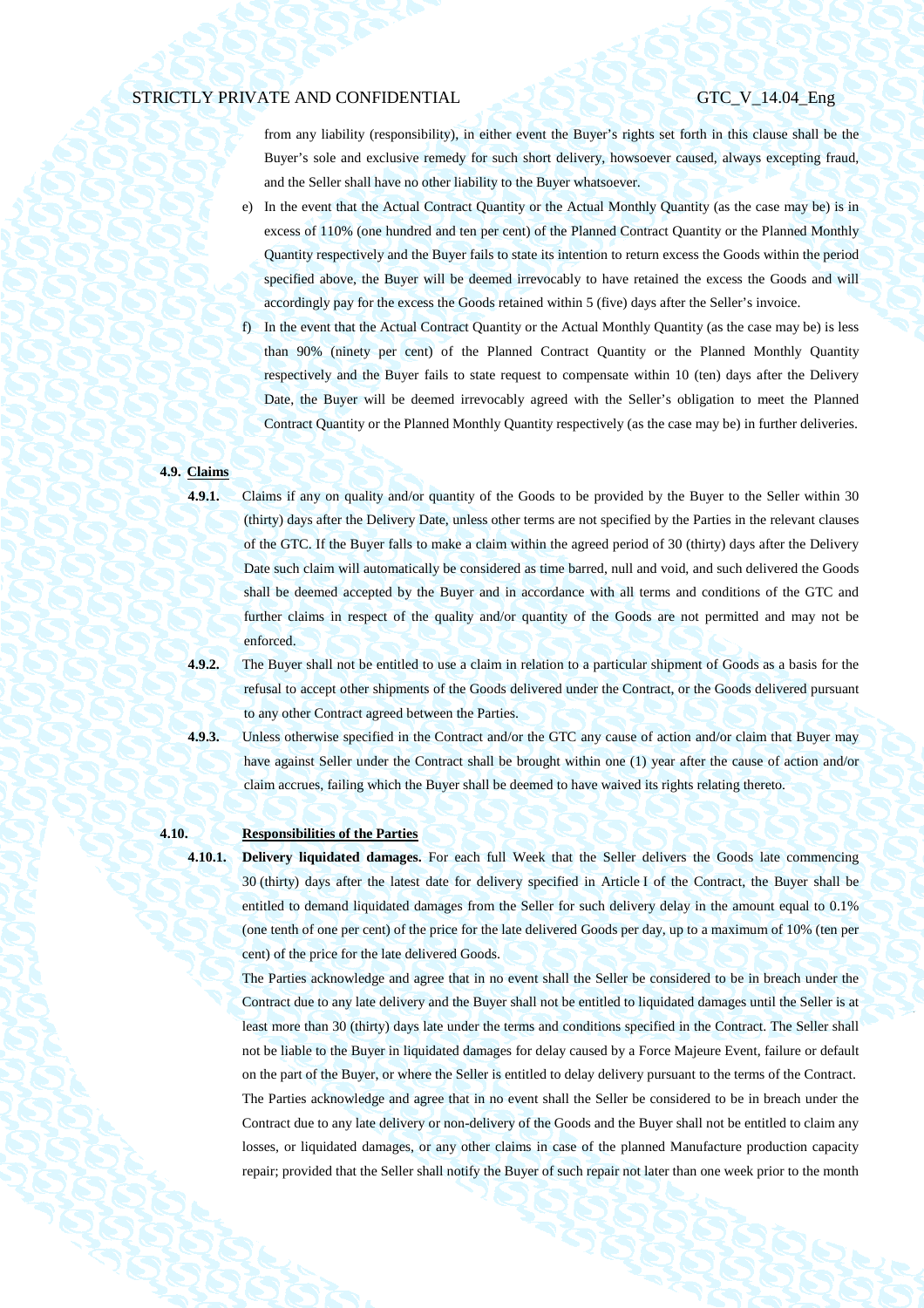from any liability (responsibility), in either event the Buyer's rights set forth in this clause shall be the Buyer's sole and exclusive remedy for such short delivery, howsoever caused, always excepting fraud, and the Seller shall have no other liability to the Buyer whatsoever.

- e) In the event that the Actual Contract Quantity or the Actual Monthly Quantity (as the case may be) is in excess of 110% (one hundred and ten per cent) of the Planned Contract Quantity or the Planned Monthly Quantity respectively and the Buyer fails to state its intention to return excess the Goods within the period specified above, the Buyer will be deemed irrevocably to have retained the excess the Goods and will accordingly pay for the excess the Goods retained within 5 (five) days after the Seller's invoice.
- f) In the event that the Actual Contract Quantity or the Actual Monthly Quantity (as the case may be) is less than 90% (ninety per cent) of the Planned Contract Quantity or the Planned Monthly Quantity respectively and the Buyer fails to state request to compensate within 10 (ten) days after the Delivery Date, the Buyer will be deemed irrevocably agreed with the Seller's obligation to meet the Planned Contract Quantity or the Planned Monthly Quantity respectively (as the case may be) in further deliveries.

## **4.9. Claims**

**4.9.1.** Claims if any on quality and/or quantity of the Goods to be provided by the Buyer to the Seller within 30 (thirty) days after the Delivery Date, unless other terms are not specified by the Parties in the relevant clauses of the GTC. If the Buyer falls to make a claim within the agreed period of 30 (thirty) days after the Delivery Date such claim will automatically be considered as time barred, null and void, and such delivered the Goods shall be deemed accepted by the Buyer and in accordance with all terms and conditions of the GTC and further claims in respect of the quality and/or quantity of the Goods are not permitted and may not be enforced.

- **4.9.2.** The Buyer shall not be entitled to use a claim in relation to a particular shipment of Goods as a basis for the refusal to accept other shipments of the Goods delivered under the Contract, or the Goods delivered pursuant to any other Contract agreed between the Parties.
- **4.9.3.** Unless otherwise specified in the Contract and/or the GTC any cause of action and/or claim that Buyer may have against Seller under the Contract shall be brought within one (1) year after the cause of action and/or claim accrues, failing which the Buyer shall be deemed to have waived its rights relating thereto.

## **4.10. Responsibilities of the Parties**

**4.10.1. Delivery liquidated damages.** For each full Week that the Seller delivers the Goods late commencing 30 (thirty) days after the latest date for delivery specified in Article I of the Contract, the Buyer shall be entitled to demand liquidated damages from the Seller for such delivery delay in the amount equal to 0.1% (one tenth of one per cent) of the price for the late delivered Goods per day, up to a maximum of 10% (ten per cent) of the price for the late delivered Goods.

The Parties acknowledge and agree that in no event shall the Seller be considered to be in breach under the Contract due to any late delivery and the Buyer shall not be entitled to liquidated damages until the Seller is at least more than 30 (thirty) days late under the terms and conditions specified in the Contract. The Seller shall not be liable to the Buyer in liquidated damages for delay caused by a Force Majeure Event, failure or default on the part of the Buyer, or where the Seller is entitled to delay delivery pursuant to the terms of the Contract. The Parties acknowledge and agree that in no event shall the Seller be considered to be in breach under the Contract due to any late delivery or non-delivery of the Goods and the Buyer shall not be entitled to claim any losses, or liquidated damages, or any other claims in case of the planned Manufacture production capacity repair; provided that the Seller shall notify the Buyer of such repair not later than one week prior to the month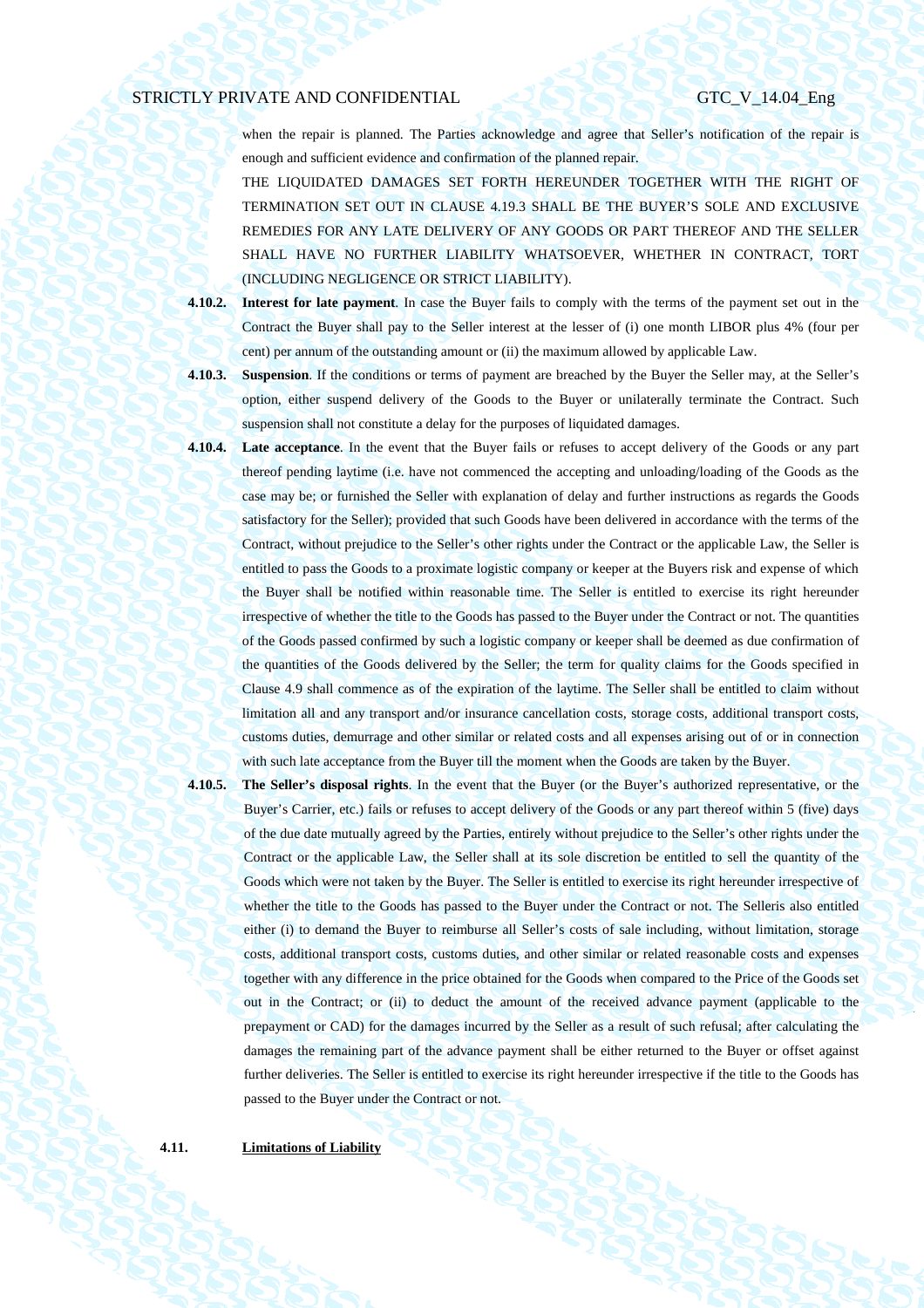when the repair is planned. The Parties acknowledge and agree that Seller's notification of the repair is enough and sufficient evidence and confirmation of the planned repair.

THE LIQUIDATED DAMAGES SET FORTH HEREUNDER TOGETHER WITH THE RIGHT OF TERMINATION SET OUT IN CLAUSE 4.19.3 SHALL BE THE BUYER'S SOLE AND EXCLUSIVE REMEDIES FOR ANY LATE DELIVERY OF ANY GOODS OR PART THEREOF AND THE SELLER SHALL HAVE NO FURTHER LIABILITY WHATSOEVER, WHETHER IN CONTRACT, TORT (INCLUDING NEGLIGENCE OR STRICT LIABILITY).

**4.10.2. Interest for late payment**. In case the Buyer fails to comply with the terms of the payment set out in the Contract the Buyer shall pay to the Seller interest at the lesser of (i) one month LIBOR plus 4% (four per cent) per annum of the outstanding amount or (ii) the maximum allowed by applicable Law.

**4.10.3. Suspension**. If the conditions or terms of payment are breached by the Buyer the Seller may, at the Seller's option, either suspend delivery of the Goods to the Buyer or unilaterally terminate the Contract. Such suspension shall not constitute a delay for the purposes of liquidated damages.

**4.10.4. Late acceptance**. In the event that the Buyer fails or refuses to accept delivery of the Goods or any part thereof pending laytime (i.e. have not commenced the accepting and unloading/loading of the Goods as the case may be; or furnished the Seller with explanation of delay and further instructions as regards the Goods satisfactory for the Seller); provided that such Goods have been delivered in accordance with the terms of the Contract, without prejudice to the Seller's other rights under the Contract or the applicable Law, the Seller is entitled to pass the Goods to a proximate logistic company or keeper at the Buyers risk and expense of which the Buyer shall be notified within reasonable time. The Seller is entitled to exercise its right hereunder irrespective of whether the title to the Goods has passed to the Buyer under the Contract or not. The quantities of the Goods passed confirmed by such a logistic company or keeper shall be deemed as due confirmation of the quantities of the Goods delivered by the Seller; the term for quality claims for the Goods specified in Clause 4.9 shall commence as of the expiration of the laytime. The Seller shall be entitled to claim without limitation all and any transport and/or insurance cancellation costs, storage costs, additional transport costs, customs duties, demurrage and other similar or related costs and all expenses arising out of or in connection with such late acceptance from the Buyer till the moment when the Goods are taken by the Buyer.

**4.10.5. The Seller's disposal rights**. In the event that the Buyer (or the Buyer's authorized representative, or the Buyer's Carrier, etc.) fails or refuses to accept delivery of the Goods or any part thereof within 5 (five) days of the due date mutually agreed by the Parties, entirely without prejudice to the Seller's other rights under the Contract or the applicable Law, the Seller shall at its sole discretion be entitled to sell the quantity of the Goods which were not taken by the Buyer. The Seller is entitled to exercise its right hereunder irrespective of whether the title to the Goods has passed to the Buyer under the Contract or not. The Selleris also entitled either (i) to demand the Buyer to reimburse all Seller's costs of sale including, without limitation, storage costs, additional transport costs, customs duties, and other similar or related reasonable costs and expenses together with any difference in the price obtained for the Goods when compared to the Price of the Goods set out in the Contract; or (ii) to deduct the amount of the received advance payment (applicable to the prepayment or CAD) for the damages incurred by the Seller as a result of such refusal; after calculating the damages the remaining part of the advance payment shall be either returned to the Buyer or offset against further deliveries. The Seller is entitled to exercise its right hereunder irrespective if the title to the Goods has passed to the Buyer under the Contract or not.

**4.11. Limitations of Liability**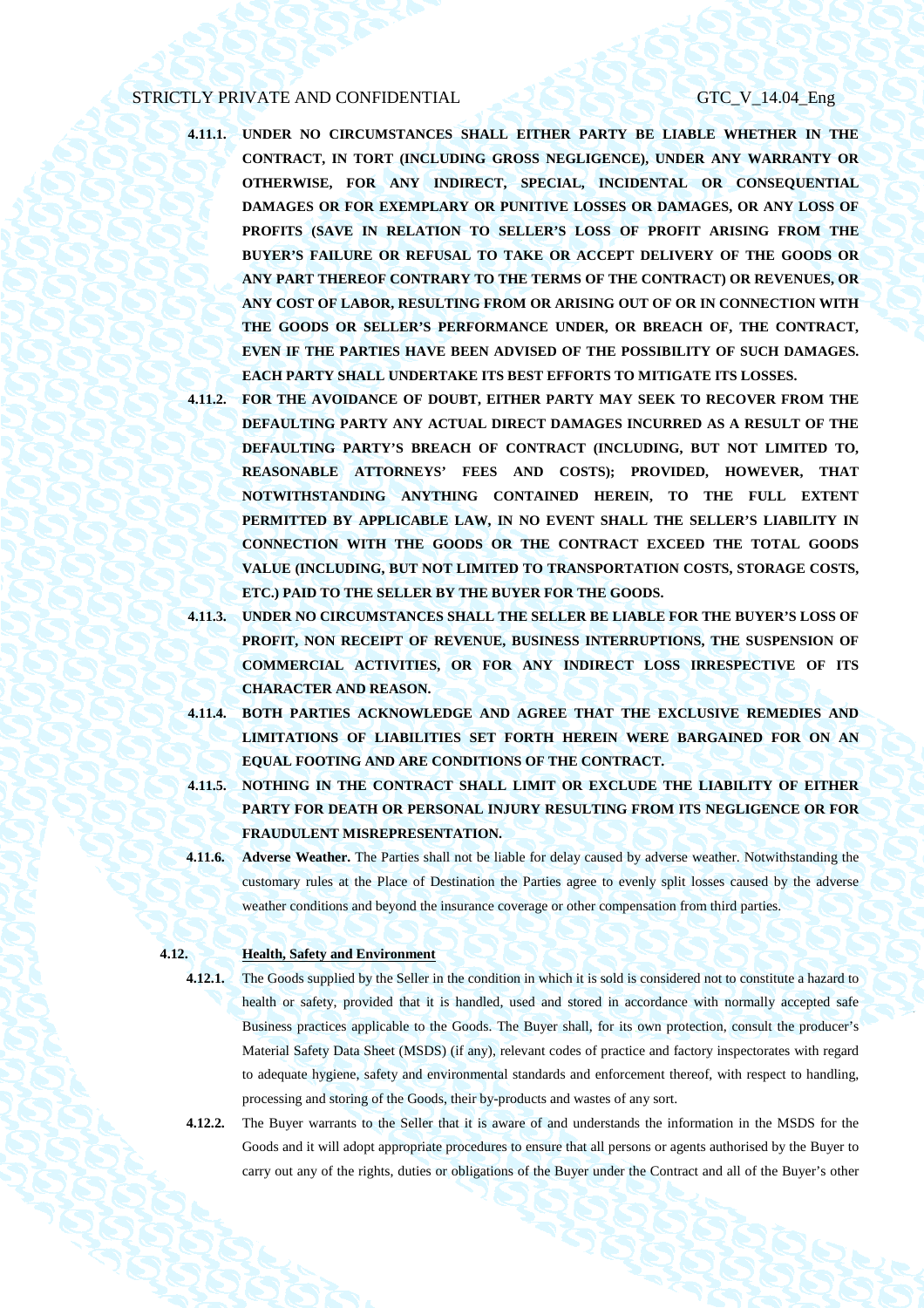- **4.11.1. UNDER NO CIRCUMSTANCES SHALL EITHER PARTY BE LIABLE WHETHER IN THE CONTRACT, IN TORT (INCLUDING GROSS NEGLIGENCE), UNDER ANY WARRANTY OR OTHERWISE, FOR ANY INDIRECT, SPECIAL, INCIDENTAL OR CONSEQUENTIAL DAMAGES OR FOR EXEMPLARY OR PUNITIVE LOSSES OR DAMAGES, OR ANY LOSS OF PROFITS (SAVE IN RELATION TO SELLER'S LOSS OF PROFIT ARISING FROM THE BUYER'S FAILURE OR REFUSAL TO TAKE OR ACCEPT DELIVERY OF THE GOODS OR ANY PART THEREOF CONTRARY TO THE TERMS OF THE CONTRACT) OR REVENUES, OR ANY COST OF LABOR, RESULTING FROM OR ARISING OUT OF OR IN CONNECTION WITH THE GOODS OR SELLER'S PERFORMANCE UNDER, OR BREACH OF, THE CONTRACT, EVEN IF THE PARTIES HAVE BEEN ADVISED OF THE POSSIBILITY OF SUCH DAMAGES. EACH PARTY SHALL UNDERTAKE ITS BEST EFFORTS TO MITIGATE ITS LOSSES.**
- **4.11.2. FOR THE AVOIDANCE OF DOUBT, EITHER PARTY MAY SEEK TO RECOVER FROM THE DEFAULTING PARTY ANY ACTUAL DIRECT DAMAGES INCURRED AS A RESULT OF THE DEFAULTING PARTY'S BREACH OF CONTRACT (INCLUDING, BUT NOT LIMITED TO, REASONABLE ATTORNEYS' FEES AND COSTS); PROVIDED, HOWEVER, THAT NOTWITHSTANDING ANYTHING CONTAINED HEREIN, TO THE FULL EXTENT PERMITTED BY APPLICABLE LAW, IN NO EVENT SHALL THE SELLER'S LIABILITY IN CONNECTION WITH THE GOODS OR THE CONTRACT EXCEED THE TOTAL GOODS VALUE (INCLUDING, BUT NOT LIMITED TO TRANSPORTATION COSTS, STORAGE COSTS, ETC.) PAID TO THE SELLER BY THE BUYER FOR THE GOODS.**
- **4.11.3. UNDER NO CIRCUMSTANCES SHALL THE SELLER BE LIABLE FOR THE BUYER'S LOSS OF PROFIT, NON RECEIPT OF REVENUE, BUSINESS INTERRUPTIONS, THE SUSPENSION OF COMMERCIAL ACTIVITIES, OR FOR ANY INDIRECT LOSS IRRESPECTIVE OF ITS CHARACTER AND REASON.**
- **4.11.4. BOTH PARTIES ACKNOWLEDGE AND AGREE THAT THE EXCLUSIVE REMEDIES AND LIMITATIONS OF LIABILITIES SET FORTH HEREIN WERE BARGAINED FOR ON AN EQUAL FOOTING AND ARE CONDITIONS OF THE CONTRACT.**
- **4.11.5. NOTHING IN THE CONTRACT SHALL LIMIT OR EXCLUDE THE LIABILITY OF EITHER PARTY FOR DEATH OR PERSONAL INJURY RESULTING FROM ITS NEGLIGENCE OR FOR FRAUDULENT MISREPRESENTATION.**
- **4.11.6. Adverse Weather.** The Parties shall not be liable for delay caused by adverse weather. Notwithstanding the customary rules at the Place of Destination the Parties agree to evenly split losses caused by the adverse weather conditions and beyond the insurance coverage or other compensation from third parties.

### **4.12. Health, Safety and Environment**

- **4.12.1.** The Goods supplied by the Seller in the condition in which it is sold is considered not to constitute a hazard to health or safety, provided that it is handled, used and stored in accordance with normally accepted safe Business practices applicable to the Goods. The Buyer shall, for its own protection, consult the producer's Material Safety Data Sheet (MSDS) (if any), relevant codes of practice and factory inspectorates with regard to adequate hygiene, safety and environmental standards and enforcement thereof, with respect to handling, processing and storing of the Goods, their by-products and wastes of any sort.
- **4.12.2.** The Buyer warrants to the Seller that it is aware of and understands the information in the MSDS for the Goods and it will adopt appropriate procedures to ensure that all persons or agents authorised by the Buyer to carry out any of the rights, duties or obligations of the Buyer under the Contract and all of the Buyer's other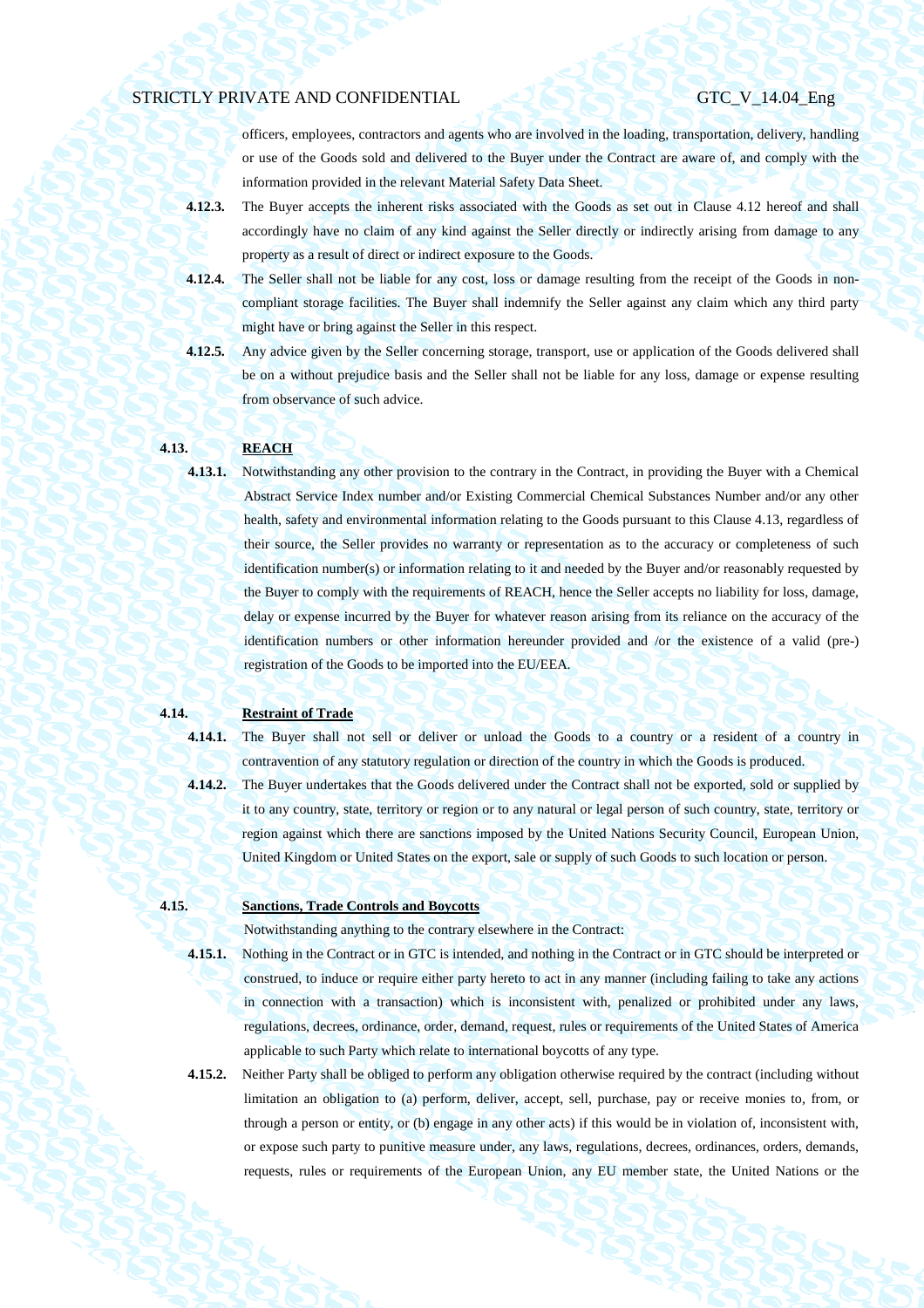officers, employees, contractors and agents who are involved in the loading, transportation, delivery, handling or use of the Goods sold and delivered to the Buyer under the Contract are aware of, and comply with the information provided in the relevant Material Safety Data Sheet.

- **4.12.3.** The Buyer accepts the inherent risks associated with the Goods as set out in Clause 4.12 hereof and shall accordingly have no claim of any kind against the Seller directly or indirectly arising from damage to any property as a result of direct or indirect exposure to the Goods.
- **4.12.4.** The Seller shall not be liable for any cost, loss or damage resulting from the receipt of the Goods in noncompliant storage facilities. The Buyer shall indemnify the Seller against any claim which any third party might have or bring against the Seller in this respect.
- **4.12.5.** Any advice given by the Seller concerning storage, transport, use or application of the Goods delivered shall be on a without prejudice basis and the Seller shall not be liable for any loss, damage or expense resulting from observance of such advice.

### **4.13. REACH**

**4.13.1.** Notwithstanding any other provision to the contrary in the Contract, in providing the Buyer with a Chemical Abstract Service Index number and/or Existing Commercial Chemical Substances Number and/or any other health, safety and environmental information relating to the Goods pursuant to this Clause 4.13, regardless of their source, the Seller provides no warranty or representation as to the accuracy or completeness of such identification number(s) or information relating to it and needed by the Buyer and/or reasonably requested by the Buyer to comply with the requirements of REACH, hence the Seller accepts no liability for loss, damage, delay or expense incurred by the Buyer for whatever reason arising from its reliance on the accuracy of the identification numbers or other information hereunder provided and /or the existence of a valid (pre-) registration of the Goods to be imported into the EU/EEA.

## **4.14. Restraint of Trade**

- **4.14.1.** The Buyer shall not sell or deliver or unload the Goods to a country or a resident of a country in
	-

contravention of any statutory regulation or direction of the country in which the Goods is produced. **4.14.2.** The Buyer undertakes that the Goods delivered under the Contract shall not be exported, sold or supplied by it to any country, state, territory or region or to any natural or legal person of such country, state, territory or region against which there are sanctions imposed by the United Nations Security Council, European Union, United Kingdom or United States on the export, sale or supply of such Goods to such location or person.

## **4.15. Sanctions, Trade Controls and Boycotts**

Notwithstanding anything to the contrary elsewhere in the Contract:

- **4.15.1.** Nothing in the Contract or in GTC is intended, and nothing in the Contract or in GTC should be interpreted or construed, to induce or require either party hereto to act in any manner (including failing to take any actions in connection with a transaction) which is inconsistent with, penalized or prohibited under any laws, regulations, decrees, ordinance, order, demand, request, rules or requirements of the United States of America applicable to such Party which relate to international boycotts of any type.
- **4.15.2.** Neither Party shall be obliged to perform any obligation otherwise required by the contract (including without limitation an obligation to (a) perform, deliver, accept, sell, purchase, pay or receive monies to, from, or through a person or entity, or (b) engage in any other acts) if this would be in violation of, inconsistent with, or expose such party to punitive measure under, any laws, regulations, decrees, ordinances, orders, demands, requests, rules or requirements of the European Union, any EU member state, the United Nations or the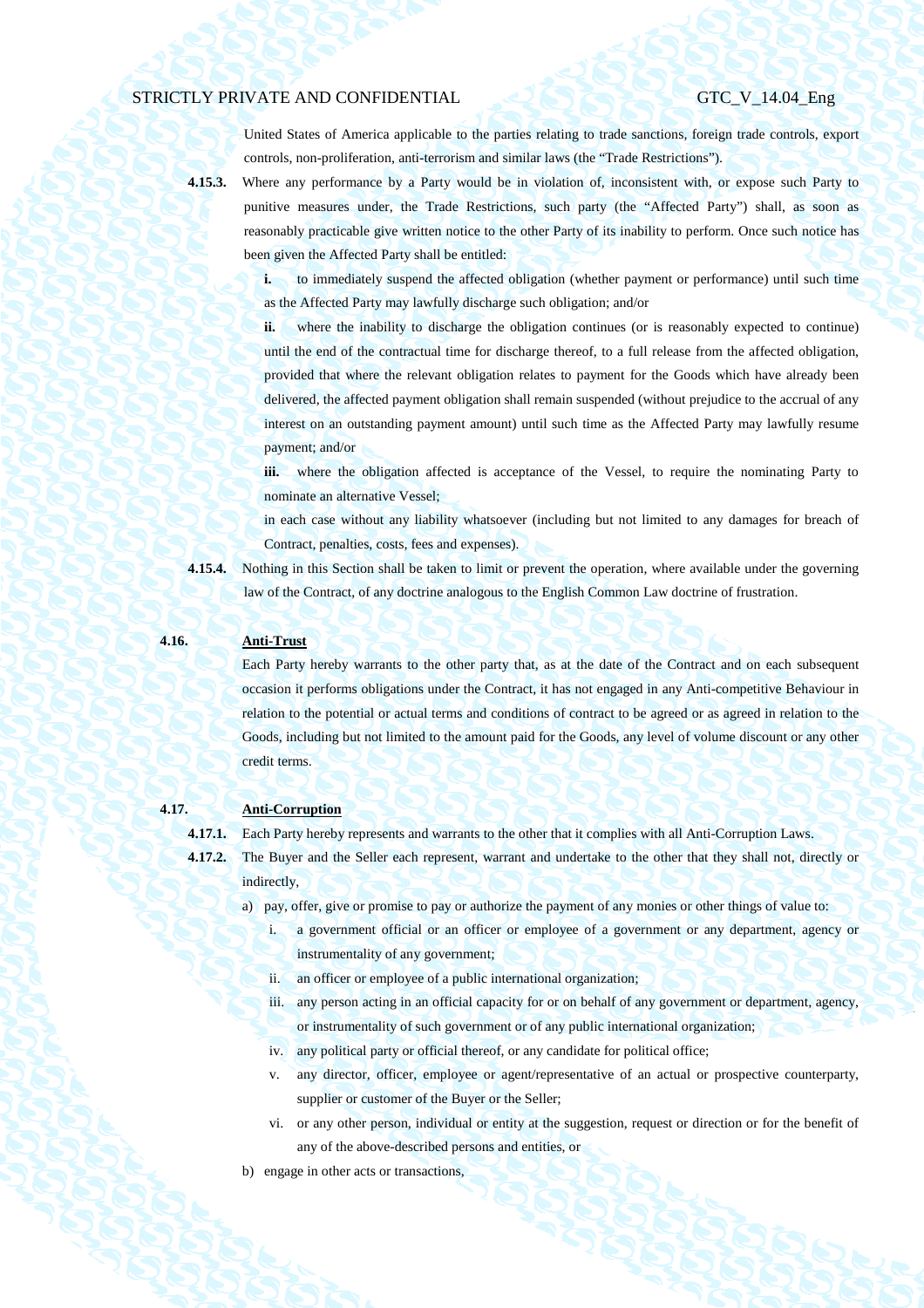United States of America applicable to the parties relating to trade sanctions, foreign trade controls, export controls, non-proliferation, anti-terrorism and similar laws (the "Trade Restrictions").

**4.15.3.** Where any performance by a Party would be in violation of, inconsistent with, or expose such Party to punitive measures under, the Trade Restrictions, such party (the "Affected Party") shall, as soon as reasonably practicable give written notice to the other Party of its inability to perform. Once such notice has been given the Affected Party shall be entitled:

> **i.** to immediately suspend the affected obligation (whether payment or performance) until such time as the Affected Party may lawfully discharge such obligation; and/or

> **ii.** where the inability to discharge the obligation continues (or is reasonably expected to continue) until the end of the contractual time for discharge thereof, to a full release from the affected obligation, provided that where the relevant obligation relates to payment for the Goods which have already been delivered, the affected payment obligation shall remain suspended (without prejudice to the accrual of any interest on an outstanding payment amount) until such time as the Affected Party may lawfully resume payment; and/or

> **iii.** where the obligation affected is acceptance of the Vessel, to require the nominating Party to nominate an alternative Vessel;

> in each case without any liability whatsoever (including but not limited to any damages for breach of Contract, penalties, costs, fees and expenses).

**4.15.4.** Nothing in this Section shall be taken to limit or prevent the operation, where available under the governing law of the Contract, of any doctrine analogous to the English Common Law doctrine of frustration.

## **4.16. Anti-Trust**

Each Party hereby warrants to the other party that, as at the date of the Contract and on each subsequent occasion it performs obligations under the Contract, it has not engaged in any Anti-competitive Behaviour in relation to the potential or actual terms and conditions of contract to be agreed or as agreed in relation to the Goods, including but not limited to the amount paid for the Goods, any level of volume discount or any other credit terms.

## **4.17. Anti-Corruption**

**4.17.1.** Each Party hereby represents and warrants to the other that it complies with all Anti-Corruption Laws.

- **4.17.2.** The Buyer and the Seller each represent, warrant and undertake to the other that they shall not, directly or indirectly,
	- a) pay, offer, give or promise to pay or authorize the payment of any monies or other things of value to:
		- i. a government official or an officer or employee of a government or any department, agency or instrumentality of any government;
		- ii. an officer or employee of a public international organization;
		- iii. any person acting in an official capacity for or on behalf of any government or department, agency, or instrumentality of such government or of any public international organization;
		- iv. any political party or official thereof, or any candidate for political office;
		- v. any director, officer, employee or agent/representative of an actual or prospective counterparty, supplier or customer of the Buyer or the Seller:
		- vi. or any other person, individual or entity at the suggestion, request or direction or for the benefit of any of the above-described persons and entities, or
	- b) engage in other acts or transactions,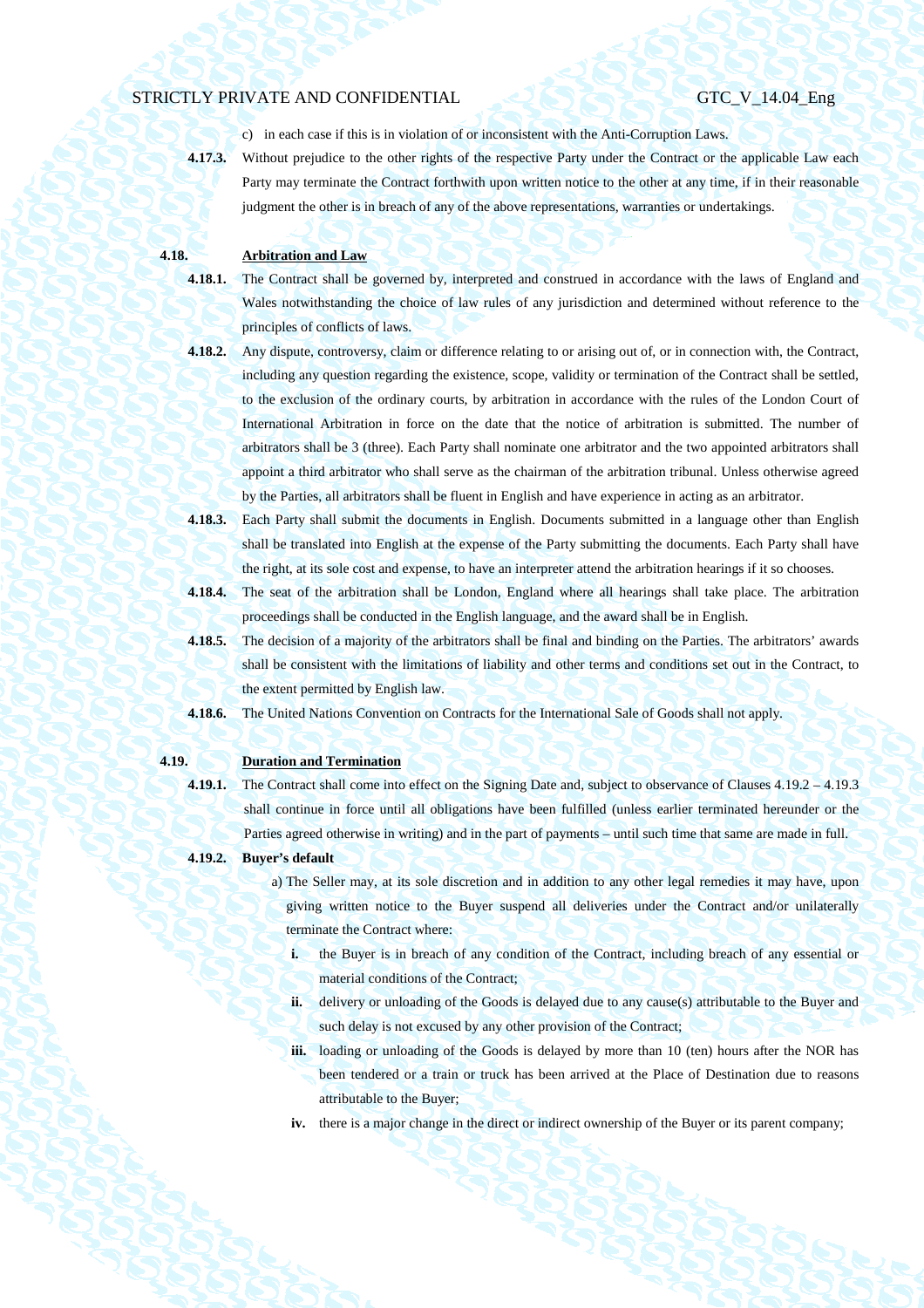c) in each case if this is in violation of or inconsistent with the Anti-Corruption Laws. **4.17.3.** Without prejudice to the other rights of the respective Party under the Contract or the applicable Law each Party may terminate the Contract forthwith upon written notice to the other at any time, if in their reasonable judgment the other is in breach of any of the above representations, warranties or undertakings.

## **4.18. Arbitration and Law**

- **4.18.1.** The Contract shall be governed by, interpreted and construed in accordance with the laws of England and Wales notwithstanding the choice of law rules of any jurisdiction and determined without reference to the principles of conflicts of laws.
- **4.18.2.** Any dispute, controversy, claim or difference relating to or arising out of, or in connection with, the Contract, including any question regarding the existence, scope, validity or termination of the Contract shall be settled, to the exclusion of the ordinary courts, by arbitration in accordance with the rules of the London Court of International Arbitration in force on the date that the notice of arbitration is submitted. The number of arbitrators shall be 3 (three). Each Party shall nominate one arbitrator and the two appointed arbitrators shall appoint a third arbitrator who shall serve as the chairman of the arbitration tribunal. Unless otherwise agreed by the Parties, all arbitrators shall be fluent in English and have experience in acting as an arbitrator.
- **4.18.3.** Each Party shall submit the documents in English. Documents submitted in a language other than English shall be translated into English at the expense of the Party submitting the documents. Each Party shall have the right, at its sole cost and expense, to have an interpreter attend the arbitration hearings if it so chooses.
- **4.18.4.** The seat of the arbitration shall be London, England where all hearings shall take place. The arbitration proceedings shall be conducted in the English language, and the award shall be in English.
- **4.18.5.** The decision of a majority of the arbitrators shall be final and binding on the Parties. The arbitrators' awards shall be consistent with the limitations of liability and other terms and conditions set out in the Contract, to the extent permitted by English law.
- **4.18.6.** The United Nations Convention on Contracts for the International Sale of Goods shall not apply.

## **4.19. Duration and Termination**

- **4.19.1.** The Contract shall come into effect on the Signing Date and, subject to observance of Clauses 4.19.2 4.19.3 shall continue in force until all obligations have been fulfilled (unless earlier terminated hereunder or the Parties agreed otherwise in writing) and in the part of payments – until such time that same are made in full.
- **4.19.2. Buyer's default** 
	- a) The Seller may, at its sole discretion and in addition to any other legal remedies it may have, upon giving written notice to the Buyer suspend all deliveries under the Contract and/or unilaterally terminate the Contract where:
		- **i.** the Buyer is in breach of any condition of the Contract, including breach of any essential or material conditions of the Contract;
		- **ii.** delivery or unloading of the Goods is delayed due to any cause(s) attributable to the Buyer and such delay is not excused by any other provision of the Contract;
		- **iii.** loading or unloading of the Goods is delayed by more than 10 (ten) hours after the NOR has been tendered or a train or truck has been arrived at the Place of Destination due to reasons attributable to the Buyer;
		- **iv.** there is a major change in the direct or indirect ownership of the Buyer or its parent company;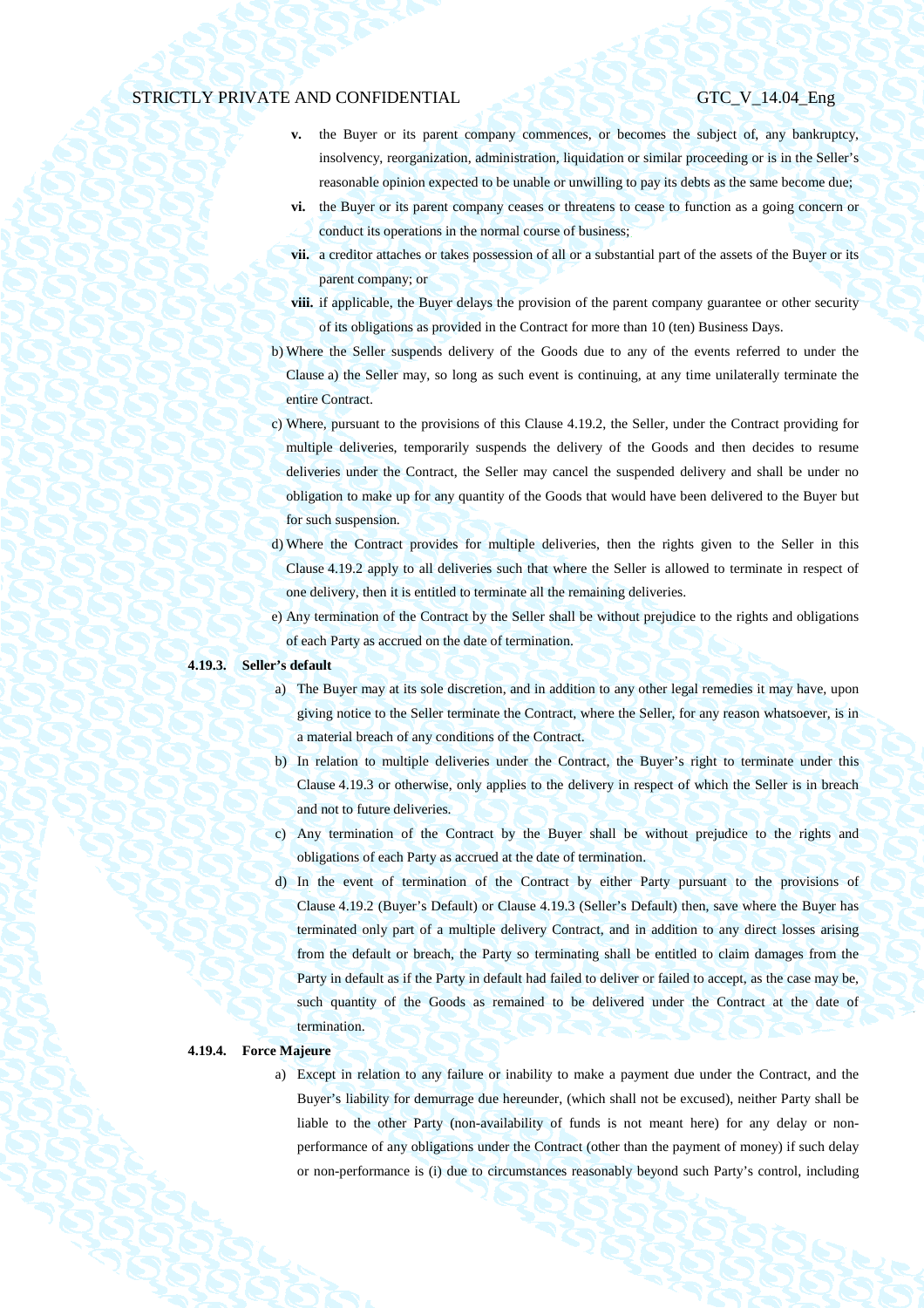- **v.** the Buyer or its parent company commences, or becomes the subject of, any bankruptcy, insolvency, reorganization, administration, liquidation or similar proceeding or is in the Seller's reasonable opinion expected to be unable or unwilling to pay its debts as the same become due;
- **vi.** the Buyer or its parent company ceases or threatens to cease to function as a going concern or conduct its operations in the normal course of business;
- **vii.** a creditor attaches or takes possession of all or a substantial part of the assets of the Buyer or its parent company; or
- **viii.** if applicable, the Buyer delays the provision of the parent company guarantee or other security of its obligations as provided in the Contract for more than 10 (ten) Business Days.
- b) Where the Seller suspends delivery of the Goods due to any of the events referred to under the Clause a) the Seller may, so long as such event is continuing, at any time unilaterally terminate the entire Contract.
- c) Where, pursuant to the provisions of this Clause 4.19.2, the Seller, under the Contract providing for multiple deliveries, temporarily suspends the delivery of the Goods and then decides to resume deliveries under the Contract, the Seller may cancel the suspended delivery and shall be under no obligation to make up for any quantity of the Goods that would have been delivered to the Buyer but for such suspension.
- d) Where the Contract provides for multiple deliveries, then the rights given to the Seller in this Clause 4.19.2 apply to all deliveries such that where the Seller is allowed to terminate in respect of one delivery, then it is entitled to terminate all the remaining deliveries.
- e) Any termination of the Contract by the Seller shall be without prejudice to the rights and obligations of each Party as accrued on the date of termination.

## **4.19.3. Seller's default**

- a) The Buyer may at its sole discretion, and in addition to any other legal remedies it may have, upon giving notice to the Seller terminate the Contract, where the Seller, for any reason whatsoever, is in a material breach of any conditions of the Contract.
- b) In relation to multiple deliveries under the Contract, the Buyer's right to terminate under this Clause 4.19.3 or otherwise, only applies to the delivery in respect of which the Seller is in breach and not to future deliveries.
- c) Any termination of the Contract by the Buyer shall be without prejudice to the rights and obligations of each Party as accrued at the date of termination.
- d) In the event of termination of the Contract by either Party pursuant to the provisions of Clause 4.19.2 (Buyer's Default) or Clause 4.19.3 (Seller's Default) then, save where the Buyer has terminated only part of a multiple delivery Contract, and in addition to any direct losses arising from the default or breach, the Party so terminating shall be entitled to claim damages from the Party in default as if the Party in default had failed to deliver or failed to accept, as the case may be, such quantity of the Goods as remained to be delivered under the Contract at the date of termination.

## **4.19.4. Force Majeure**

a) Except in relation to any failure or inability to make a payment due under the Contract, and the Buyer's liability for demurrage due hereunder, (which shall not be excused), neither Party shall be liable to the other Party (non-availability of funds is not meant here) for any delay or nonperformance of any obligations under the Contract (other than the payment of money) if such delay or non-performance is (i) due to circumstances reasonably beyond such Party's control, including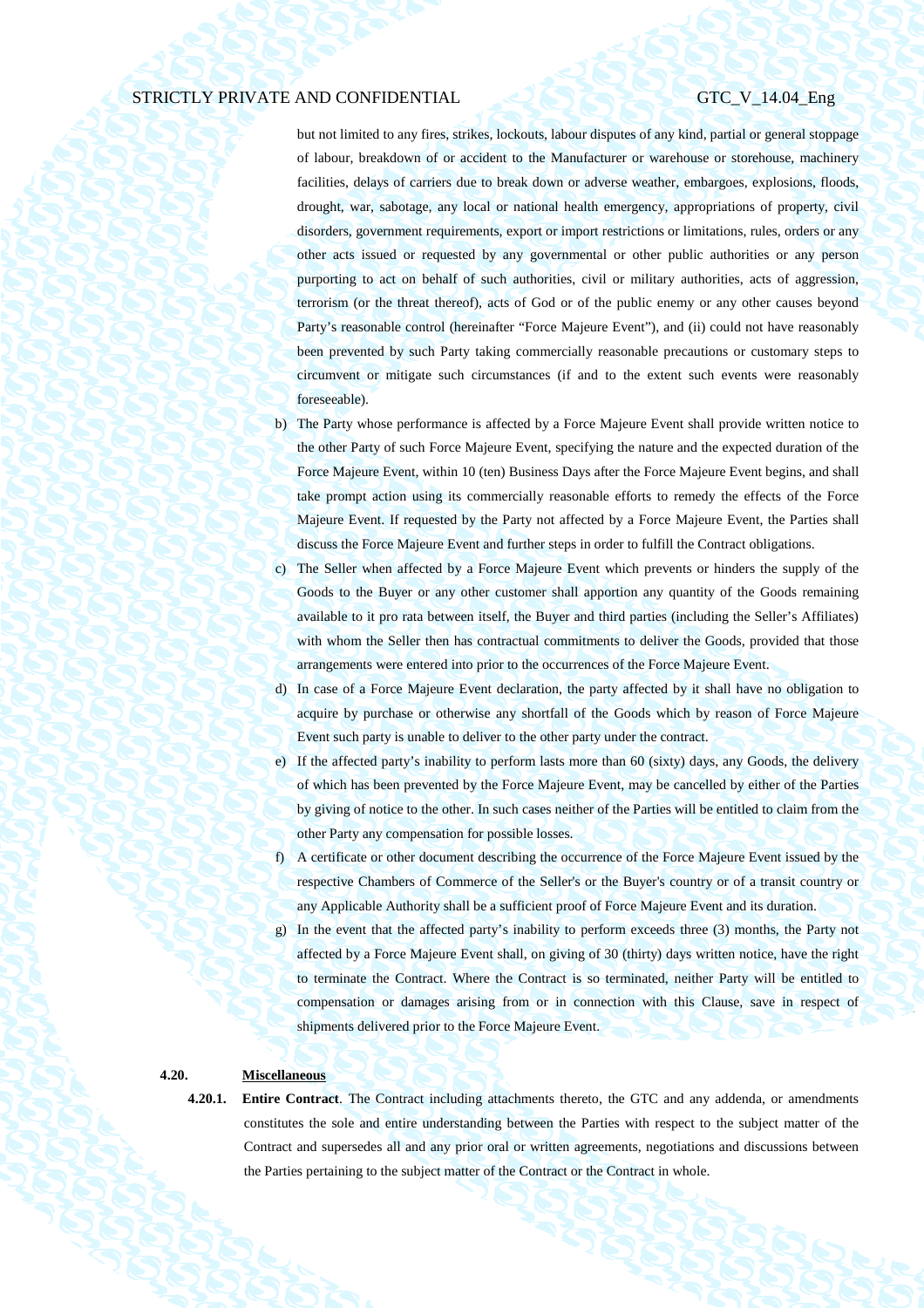but not limited to any fires, strikes, lockouts, labour disputes of any kind, partial or general stoppage of labour, breakdown of or accident to the Manufacturer or warehouse or storehouse, machinery facilities, delays of carriers due to break down or adverse weather, embargoes, explosions, floods, drought, war, sabotage, any local or national health emergency, appropriations of property, civil disorders, government requirements, export or import restrictions or limitations, rules, orders or any other acts issued or requested by any governmental or other public authorities or any person purporting to act on behalf of such authorities, civil or military authorities, acts of aggression, terrorism (or the threat thereof), acts of God or of the public enemy or any other causes beyond Party's reasonable control (hereinafter "Force Majeure Event"), and (ii) could not have reasonably been prevented by such Party taking commercially reasonable precautions or customary steps to circumvent or mitigate such circumstances (if and to the extent such events were reasonably foreseeable).

- b) The Party whose performance is affected by a Force Majeure Event shall provide written notice to the other Party of such Force Majeure Event, specifying the nature and the expected duration of the Force Majeure Event, within 10 (ten) Business Days after the Force Majeure Event begins, and shall take prompt action using its commercially reasonable efforts to remedy the effects of the Force Majeure Event. If requested by the Party not affected by a Force Majeure Event, the Parties shall discuss the Force Majeure Event and further steps in order to fulfill the Contract obligations.
- c) The Seller when affected by a Force Majeure Event which prevents or hinders the supply of the Goods to the Buyer or any other customer shall apportion any quantity of the Goods remaining available to it pro rata between itself, the Buyer and third parties (including the Seller's Affiliates) with whom the Seller then has contractual commitments to deliver the Goods, provided that those arrangements were entered into prior to the occurrences of the Force Majeure Event.
- d) In case of a Force Majeure Event declaration, the party affected by it shall have no obligation to acquire by purchase or otherwise any shortfall of the Goods which by reason of Force Majeure Event such party is unable to deliver to the other party under the contract.
- e) If the affected party's inability to perform lasts more than 60 (sixty) days, any Goods, the delivery of which has been prevented by the Force Majeure Event, may be cancelled by either of the Parties by giving of notice to the other. In such cases neither of the Parties will be entitled to claim from the other Party any compensation for possible losses.
- f) A certificate or other document describing the occurrence of the Force Majeure Event issued by the respective Chambers of Commerce of the Seller's or the Buyer's country or of a transit country or any Applicable Authority shall be a sufficient proof of Force Majeure Event and its duration.
- g) In the event that the affected party's inability to perform exceeds three (3) months, the Party not affected by a Force Majeure Event shall, on giving of 30 (thirty) days written notice, have the right to terminate the Contract. Where the Contract is so terminated, neither Party will be entitled to compensation or damages arising from or in connection with this Clause, save in respect of shipments delivered prior to the Force Majeure Event.

## **4.20. Miscellaneous**

**4.20.1. Entire Contract**. The Contract including attachments thereto, the GTC and any addenda, or amendments constitutes the sole and entire understanding between the Parties with respect to the subject matter of the Contract and supersedes all and any prior oral or written agreements, negotiations and discussions between the Parties pertaining to the subject matter of the Contract or the Contract in whole.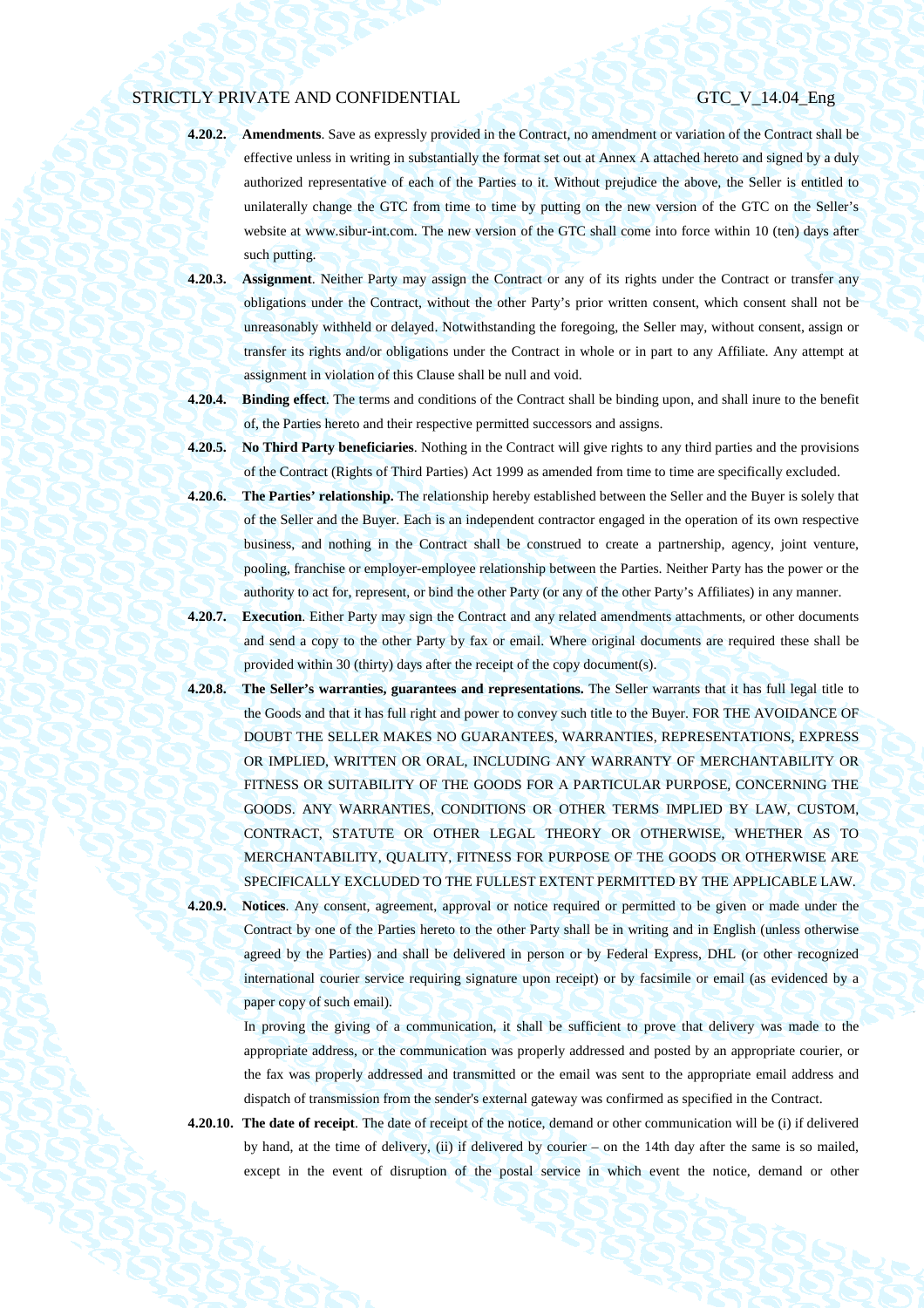- **4.20.2. Amendments**. Save as expressly provided in the Contract, no amendment or variation of the Contract shall be effective unless in writing in substantially the format set out at Annex A attached hereto and signed by a duly authorized representative of each of the Parties to it. Without prejudice the above, the Seller is entitled to unilaterally change the GTC from time to time by putting on the new version of the GTC on the Seller's website at www.sibur-int.com. The new version of the GTC shall come into force within 10 (ten) days after such putting.
- **4.20.3. Assignment**. Neither Party may assign the Contract or any of its rights under the Contract or transfer any obligations under the Contract, without the other Party's prior written consent, which consent shall not be unreasonably withheld or delayed. Notwithstanding the foregoing, the Seller may, without consent, assign or transfer its rights and/or obligations under the Contract in whole or in part to any Affiliate. Any attempt at assignment in violation of this Clause shall be null and void.
- **4.20.4. Binding effect**. The terms and conditions of the Contract shall be binding upon, and shall inure to the benefit of, the Parties hereto and their respective permitted successors and assigns.
- **4.20.5. No Third Party beneficiaries**. Nothing in the Contract will give rights to any third parties and the provisions of the Contract (Rights of Third Parties) Act 1999 as amended from time to time are specifically excluded.
- **4.20.6. The Parties' relationship.** The relationship hereby established between the Seller and the Buyer is solely that of the Seller and the Buyer. Each is an independent contractor engaged in the operation of its own respective business, and nothing in the Contract shall be construed to create a partnership, agency, joint venture, pooling, franchise or employer-employee relationship between the Parties. Neither Party has the power or the authority to act for, represent, or bind the other Party (or any of the other Party's Affiliates) in any manner.
- **4.20.7. Execution**. Either Party may sign the Contract and any related amendments attachments, or other documents and send a copy to the other Party by fax or email. Where original documents are required these shall be provided within 30 (thirty) days after the receipt of the copy document(s).
- **4.20.8. The Seller's warranties, guarantees and representations.** The Seller warrants that it has full legal title to the Goods and that it has full right and power to convey such title to the Buyer. FOR THE AVOIDANCE OF DOUBT THE SELLER MAKES NO GUARANTEES, WARRANTIES, REPRESENTATIONS, EXPRESS OR IMPLIED, WRITTEN OR ORAL, INCLUDING ANY WARRANTY OF MERCHANTABILITY OR FITNESS OR SUITABILITY OF THE GOODS FOR A PARTICULAR PURPOSE, CONCERNING THE GOODS. ANY WARRANTIES, CONDITIONS OR OTHER TERMS IMPLIED BY LAW, CUSTOM, CONTRACT, STATUTE OR OTHER LEGAL THEORY OR OTHERWISE, WHETHER AS TO MERCHANTABILITY, QUALITY, FITNESS FOR PURPOSE OF THE GOODS OR OTHERWISE ARE SPECIFICALLY EXCLUDED TO THE FULLEST EXTENT PERMITTED BY THE APPLICABLE LAW. **4.20.9. Notices**. Any consent, agreement, approval or notice required or permitted to be given or made under the
	- Contract by one of the Parties hereto to the other Party shall be in writing and in English (unless otherwise agreed by the Parties) and shall be delivered in person or by Federal Express, DHL (or other recognized international courier service requiring signature upon receipt) or by facsimile or email (as evidenced by a paper copy of such email).

In proving the giving of a communication, it shall be sufficient to prove that delivery was made to the appropriate address, or the communication was properly addressed and posted by an appropriate courier, or the fax was properly addressed and transmitted or the email was sent to the appropriate email address and dispatch of transmission from the sender's external gateway was confirmed as specified in the Contract.

**4.20.10. The date of receipt**. The date of receipt of the notice, demand or other communication will be (i) if delivered by hand, at the time of delivery, (ii) if delivered by courier – on the 14th day after the same is so mailed, except in the event of disruption of the postal service in which event the notice, demand or other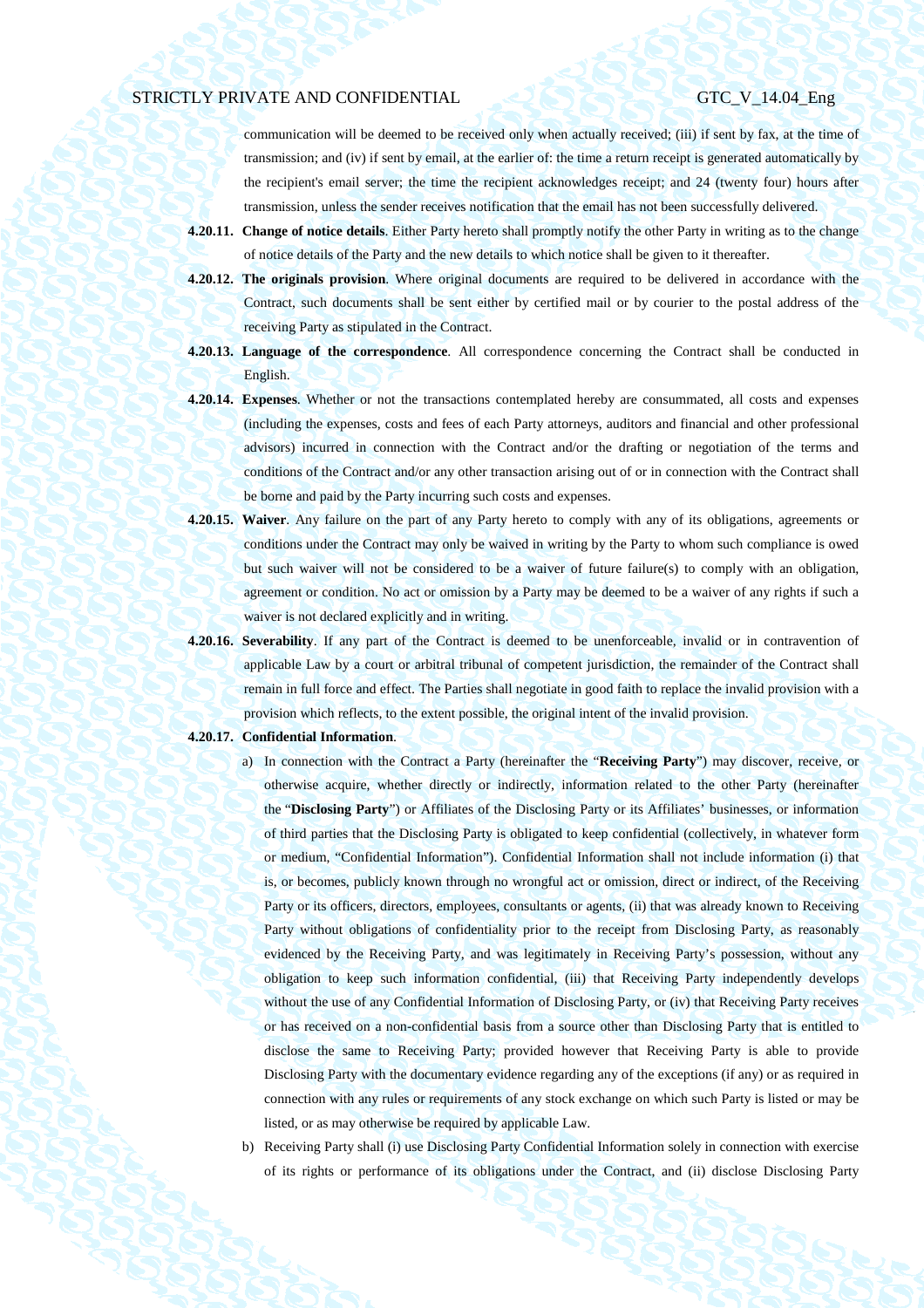communication will be deemed to be received only when actually received; (iii) if sent by fax, at the time of transmission; and (iv) if sent by email, at the earlier of: the time a return receipt is generated automatically by the recipient's email server; the time the recipient acknowledges receipt; and 24 (twenty four) hours after transmission, unless the sender receives notification that the email has not been successfully delivered.

- **4.20.11. Change of notice details**. Either Party hereto shall promptly notify the other Party in writing as to the change of notice details of the Party and the new details to which notice shall be given to it thereafter.
- **4.20.12. The originals provision**. Where original documents are required to be delivered in accordance with the Contract, such documents shall be sent either by certified mail or by courier to the postal address of the receiving Party as stipulated in the Contract.
- **4.20.13. Language of the correspondence**. All correspondence concerning the Contract shall be conducted in English.
- **4.20.14. Expenses**. Whether or not the transactions contemplated hereby are consummated, all costs and expenses (including the expenses, costs and fees of each Party attorneys, auditors and financial and other professional advisors) incurred in connection with the Contract and/or the drafting or negotiation of the terms and conditions of the Contract and/or any other transaction arising out of or in connection with the Contract shall be borne and paid by the Party incurring such costs and expenses.
- **4.20.15. Waiver**. Any failure on the part of any Party hereto to comply with any of its obligations, agreements or conditions under the Contract may only be waived in writing by the Party to whom such compliance is owed but such waiver will not be considered to be a waiver of future failure(s) to comply with an obligation, agreement or condition. No act or omission by a Party may be deemed to be a waiver of any rights if such a waiver is not declared explicitly and in writing.
- **4.20.16. Severability**. If any part of the Contract is deemed to be unenforceable, invalid or in contravention of applicable Law by a court or arbitral tribunal of competent jurisdiction, the remainder of the Contract shall remain in full force and effect. The Parties shall negotiate in good faith to replace the invalid provision with a provision which reflects, to the extent possible, the original intent of the invalid provision.

## **4.20.17. Confidential Information**.

- a) In connection with the Contract a Party (hereinafter the "**Receiving Party**") may discover, receive, or otherwise acquire, whether directly or indirectly, information related to the other Party (hereinafter the "**Disclosing Party**") or Affiliates of the Disclosing Party or its Affiliates' businesses, or information of third parties that the Disclosing Party is obligated to keep confidential (collectively, in whatever form or medium, "Confidential Information"). Confidential Information shall not include information (i) that is, or becomes, publicly known through no wrongful act or omission, direct or indirect, of the Receiving Party or its officers, directors, employees, consultants or agents, (ii) that was already known to Receiving Party without obligations of confidentiality prior to the receipt from Disclosing Party, as reasonably evidenced by the Receiving Party, and was legitimately in Receiving Party's possession, without any obligation to keep such information confidential, (iii) that Receiving Party independently develops without the use of any Confidential Information of Disclosing Party, or (iv) that Receiving Party receives or has received on a non-confidential basis from a source other than Disclosing Party that is entitled to disclose the same to Receiving Party; provided however that Receiving Party is able to provide Disclosing Party with the documentary evidence regarding any of the exceptions (if any) or as required in connection with any rules or requirements of any stock exchange on which such Party is listed or may be listed, or as may otherwise be required by applicable Law.
- b) Receiving Party shall (i) use Disclosing Party Confidential Information solely in connection with exercise of its rights or performance of its obligations under the Contract, and (ii) disclose Disclosing Party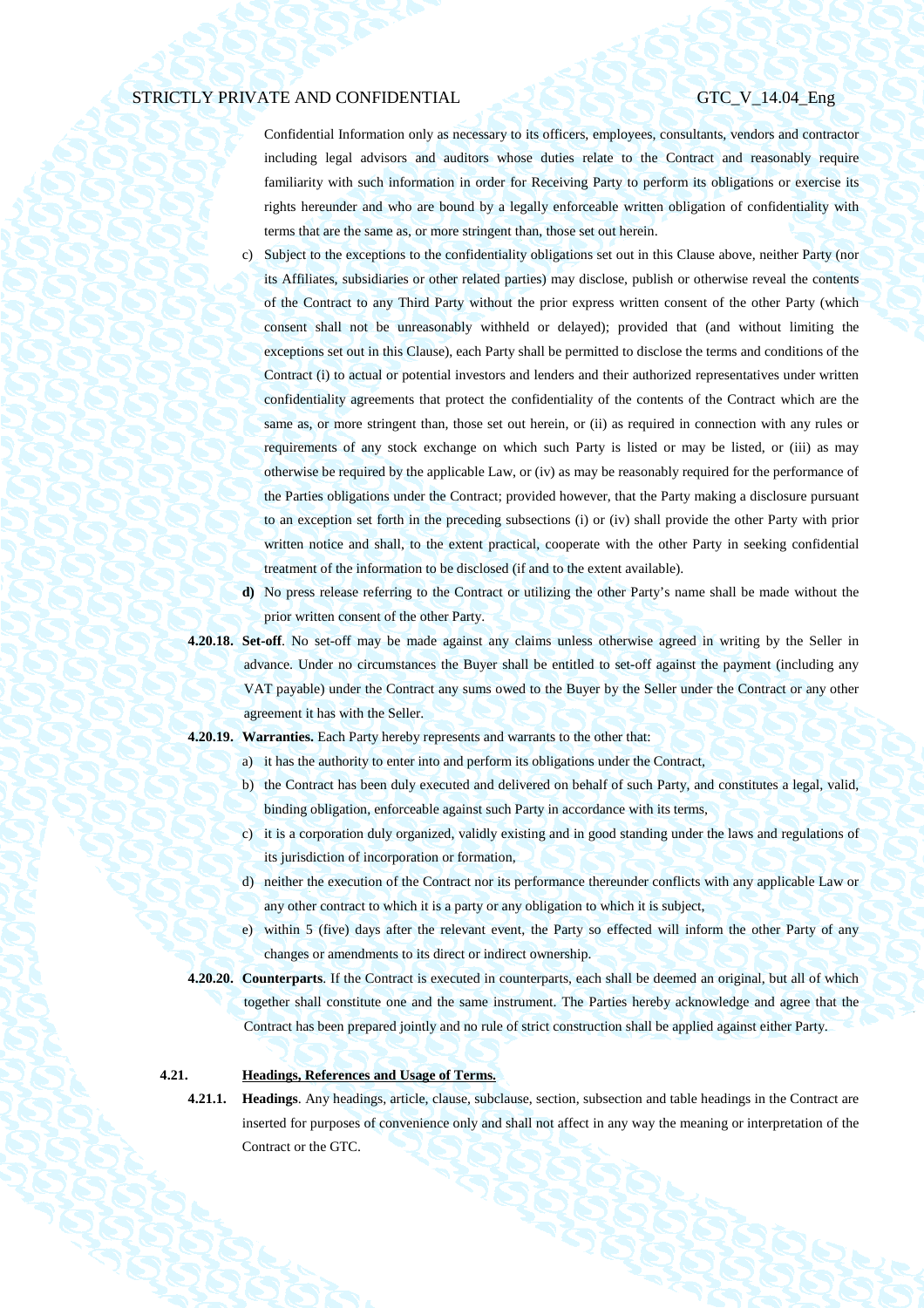Confidential Information only as necessary to its officers, employees, consultants, vendors and contractor including legal advisors and auditors whose duties relate to the Contract and reasonably require familiarity with such information in order for Receiving Party to perform its obligations or exercise its rights hereunder and who are bound by a legally enforceable written obligation of confidentiality with terms that are the same as, or more stringent than, those set out herein.

- c) Subject to the exceptions to the confidentiality obligations set out in this Clause above, neither Party (nor its Affiliates, subsidiaries or other related parties) may disclose, publish or otherwise reveal the contents of the Contract to any Third Party without the prior express written consent of the other Party (which consent shall not be unreasonably withheld or delayed); provided that (and without limiting the exceptions set out in this Clause), each Party shall be permitted to disclose the terms and conditions of the Contract (i) to actual or potential investors and lenders and their authorized representatives under written confidentiality agreements that protect the confidentiality of the contents of the Contract which are the same as, or more stringent than, those set out herein, or (ii) as required in connection with any rules or requirements of any stock exchange on which such Party is listed or may be listed, or (iii) as may otherwise be required by the applicable Law, or (iv) as may be reasonably required for the performance of the Parties obligations under the Contract; provided however, that the Party making a disclosure pursuant to an exception set forth in the preceding subsections (i) or (iv) shall provide the other Party with prior written notice and shall, to the extent practical, cooperate with the other Party in seeking confidential treatment of the information to be disclosed (if and to the extent available).
- **d)** No press release referring to the Contract or utilizing the other Party's name shall be made without the prior written consent of the other Party.
- **4.20.18. Set-off**. No set-off may be made against any claims unless otherwise agreed in writing by the Seller in advance. Under no circumstances the Buyer shall be entitled to set-off against the payment (including any VAT payable) under the Contract any sums owed to the Buyer by the Seller under the Contract or any other agreement it has with the Seller.
- **4.20.19. Warranties.** Each Party hereby represents and warrants to the other that:
	- a) it has the authority to enter into and perform its obligations under the Contract,
	- b) the Contract has been duly executed and delivered on behalf of such Party, and constitutes a legal, valid, binding obligation, enforceable against such Party in accordance with its terms,
	- c) it is a corporation duly organized, validly existing and in good standing under the laws and regulations of its jurisdiction of incorporation or formation,
	- d) neither the execution of the Contract nor its performance thereunder conflicts with any applicable Law or any other contract to which it is a party or any obligation to which it is subject,
	- e) within 5 (five) days after the relevant event, the Party so effected will inform the other Party of any changes or amendments to its direct or indirect ownership.
- **4.20.20. Counterparts**. If the Contract is executed in counterparts, each shall be deemed an original, but all of which together shall constitute one and the same instrument. The Parties hereby acknowledge and agree that the Contract has been prepared jointly and no rule of strict construction shall be applied against either Party.

## **4.21. Headings, References and Usage of Terms.**

**4.21.1. Headings**. Any headings, article, clause, subclause, section, subsection and table headings in the Contract are inserted for purposes of convenience only and shall not affect in any way the meaning or interpretation of the Contract or the GTC.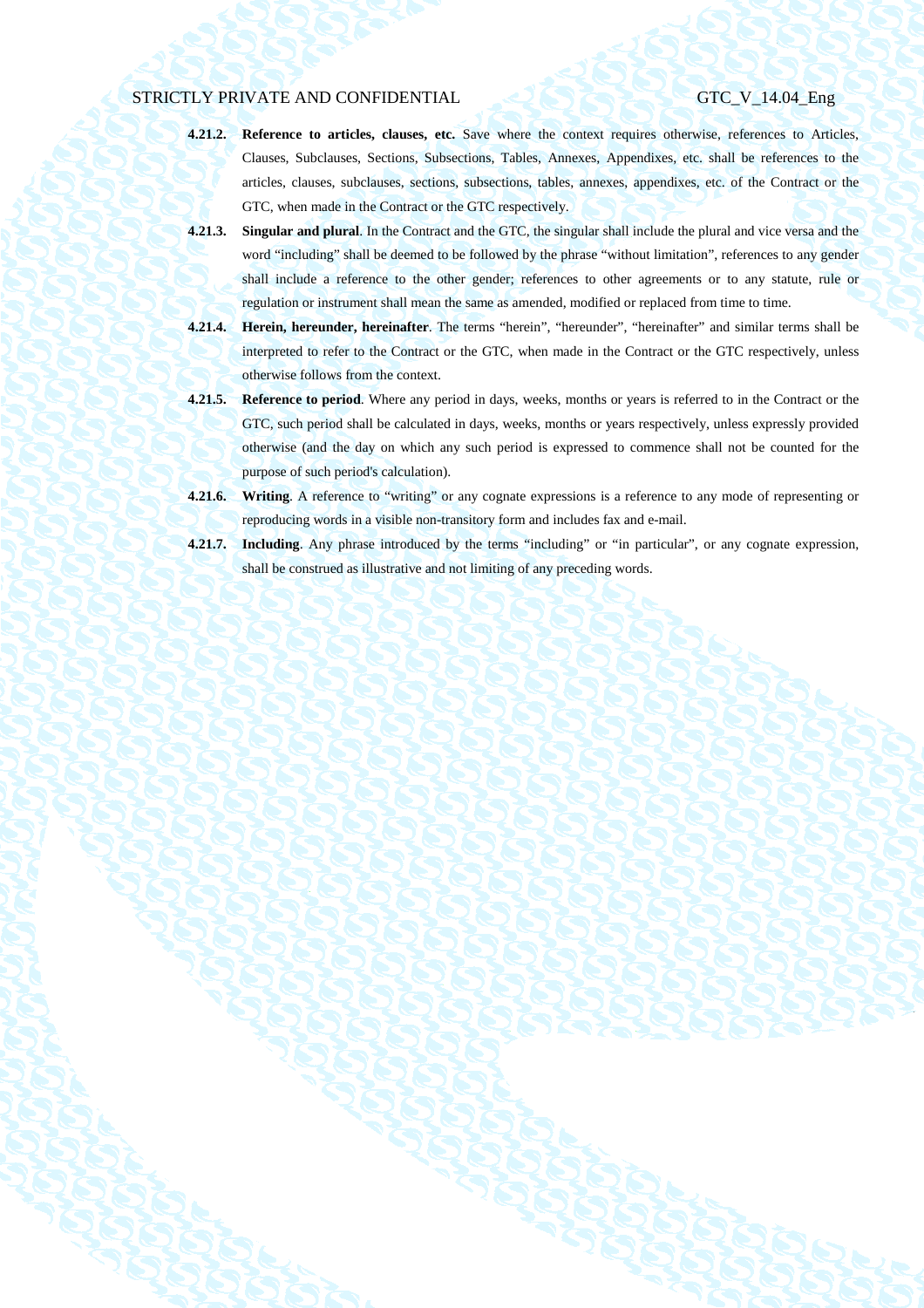- **4.21.2. Reference to articles, clauses, etc.** Save where the context requires otherwise, references to Articles, Clauses, Subclauses, Sections, Subsections, Tables, Annexes, Appendixes, etc. shall be references to the articles, clauses, subclauses, sections, subsections, tables, annexes, appendixes, etc. of the Contract or the GTC, when made in the Contract or the GTC respectively.
- **4.21.3. Singular and plural**. In the Contract and the GTC, the singular shall include the plural and vice versa and the word "including" shall be deemed to be followed by the phrase "without limitation", references to any gender shall include a reference to the other gender; references to other agreements or to any statute, rule or regulation or instrument shall mean the same as amended, modified or replaced from time to time.
- **4.21.4. Herein, hereunder, hereinafter**. The terms "herein", "hereunder", "hereinafter" and similar terms shall be interpreted to refer to the Contract or the GTC, when made in the Contract or the GTC respectively, unless otherwise follows from the context.
- **4.21.5. Reference to period**. Where any period in days, weeks, months or years is referred to in the Contract or the GTC, such period shall be calculated in days, weeks, months or years respectively, unless expressly provided otherwise (and the day on which any such period is expressed to commence shall not be counted for the purpose of such period's calculation).
- **4.21.6. Writing**. A reference to "writing" or any cognate expressions is a reference to any mode of representing or reproducing words in a visible non-transitory form and includes fax and e-mail.
- **4.21.7. Including**. Any phrase introduced by the terms "including" or "in particular", or any cognate expression, shall be construed as illustrative and not limiting of any preceding words.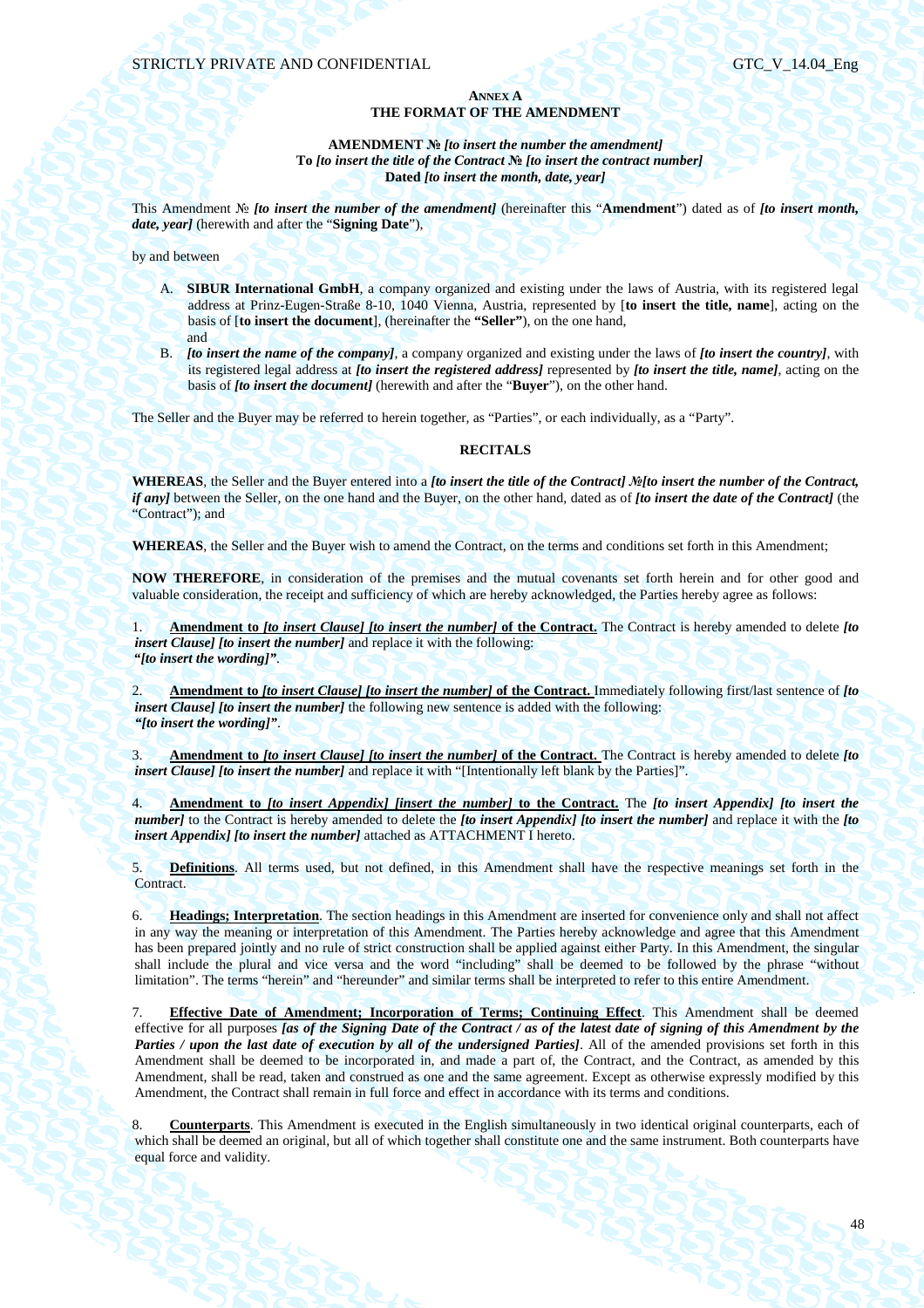## **ANNEX A THE FORMAT OF THE AMENDMENT**

## **AMENDMENT №** *[to insert the number the amendment]*  **To** *[to insert the title of the Contract* **№** *[to insert the contract number]*  **Dated** *[to insert the month, date, year]*

This Amendment № *[to insert the number of the amendment]* (hereinafter this "**Amendment**") dated as of *[to insert month, date, year]* (herewith and after the "**Signing Date**"),

by and between

- A. **SIBUR International GmbH**, a company organized and existing under the laws of Austria, with its registered legal address at Prinz-Eugen-Straße 8-10, 1040 Vienna, Austria, represented by [**to insert the title, name**], acting on the basis of [**to insert the document**], (hereinafter the **"Seller"**), on the one hand, and
- B. *[to insert the name of the company]*, a company organized and existing under the laws of *[to insert the country]*, with its registered legal address at *[to insert the registered address]* represented by *[to insert the title, name]*, acting on the basis of *[to insert the document]* (herewith and after the "**Buyer**"), on the other hand.

The Seller and the Buyer may be referred to herein together, as "Parties", or each individually, as a "Party".

## **RECITALS**

**WHEREAS**, the Seller and the Buyer entered into a *[to insert the title of the Contract] №[to insert the number of the Contract, if any]* between the Seller, on the one hand and the Buyer, on the other hand, dated as of *[to insert the date of the Contract]* (the "Contract"); and

**WHEREAS**, the Seller and the Buyer wish to amend the Contract, on the terms and conditions set forth in this Amendment;

**NOW THEREFORE**, in consideration of the premises and the mutual covenants set forth herein and for other good and valuable consideration, the receipt and sufficiency of which are hereby acknowledged, the Parties hereby agree as follows:

1. **Amendment to** *[to insert Clause] [to insert the number]* **of the Contract.** The Contract is hereby amended to delete *[to insert Clause] [to insert the number]* and replace it with the following: *"[to insert the wording]"*.

2. **Amendment to** *[to insert Clause] [to insert the number]* **of the Contract.** Immediately following first/last sentence of *[to insert Clause] [to insert the number]* the following new sentence is added with the following: *"[to insert the wording]"*.

3. **Amendment to** *[to insert Clause] [to insert the number]* **of the Contract.** The Contract is hereby amended to delete *[to insert Clause] [to insert the number]* and replace it with "[Intentionally left blank by the Parties]".

4. **Amendment to** *[to insert Appendix] [insert the number]* **to the Contract.** The *[to insert Appendix] [to insert the number]* to the Contract is hereby amended to delete the *[to insert Appendix] [to insert the number]* and replace it with the *[to insert Appendix] [to insert the number]* attached as ATTACHMENT I hereto.

5. **Definitions**. All terms used, but not defined, in this Amendment shall have the respective meanings set forth in the Contract.

6. **Headings; Interpretation**. The section headings in this Amendment are inserted for convenience only and shall not affect in any way the meaning or interpretation of this Amendment. The Parties hereby acknowledge and agree that this Amendment has been prepared jointly and no rule of strict construction shall be applied against either Party. In this Amendment, the singular shall include the plural and vice versa and the word "including" shall be deemed to be followed by the phrase "without limitation". The terms "herein" and "hereunder" and similar terms shall be interpreted to refer to this entire Amendment.

7. **Effective Date of Amendment; Incorporation of Terms; Continuing Effect**. This Amendment shall be deemed effective for all purposes *[as of the Signing Date of the Contract / as of the latest date of signing of this Amendment by the Parties / upon the last date of execution by all of the undersigned Parties]*. All of the amended provisions set forth in this Amendment shall be deemed to be incorporated in, and made a part of, the Contract, and the Contract, as amended by this Amendment, shall be read, taken and construed as one and the same agreement. Except as otherwise expressly modified by this Amendment, the Contract shall remain in full force and effect in accordance with its terms and conditions.

8. **Counterparts**. This Amendment is executed in the English simultaneously in two identical original counterparts, each of which shall be deemed an original, but all of which together shall constitute one and the same instrument. Both counterparts have equal force and validity.